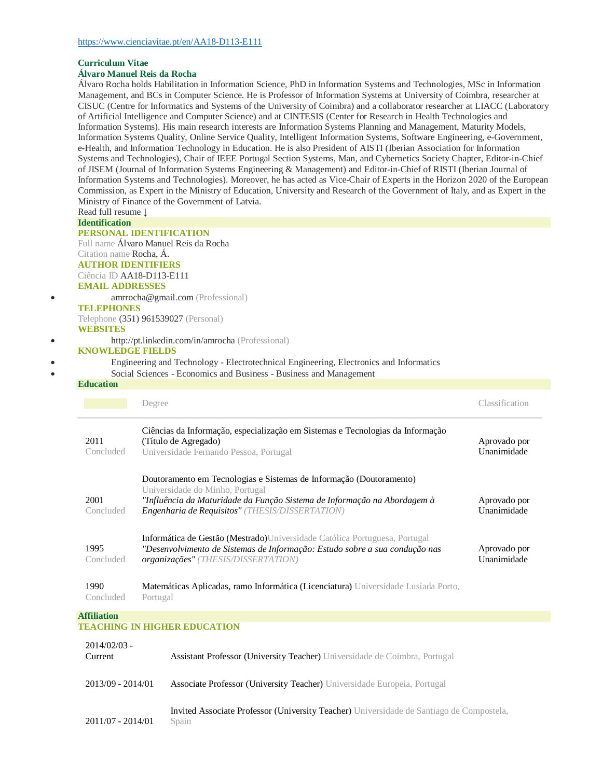#### **Curriculum Vitae**

#### **Álvaro Manuel Reis da Rocha**

Álvaro Rocha holds Habilitation in Information Science, PhD in Information Systems and Technologies, MSc in Information Management, and BCs in Computer Science. He is Professor of Information Systems at University of Coimbra, researcher at CISUC (Centre for Informatics and Systems of the University of Coimbra) and a collaborator researcher at LIACC (Laboratory of Artificial Intelligence and Computer Science) and at CINTESIS (Center for Research in Health Technologies and Information Systems). His main research interests are Information Systems Planning and Management, Maturity Models, Information Systems Quality, Online Service Quality, Intelligent Information Systems, Software Engineering, e-Government, e-Health, and Information Technology in Education. He is also President of AISTI (Iberian Association for Information Systems and Technologies), Chair of IEEE Portugal Section Systems, Man, and Cybernetics Society Chapter, Editor-in-Chief of JISEM (Journal of Information Systems Engineering & Management) and Editor-in-Chief of RISTI (Iberian Journal of Information Systems and Technologies). Moreover, he has acted as Vice-Chair of Experts in the Horizon 2020 of the European Commission, as Expert in the Ministry of Education, University and Research of the Government of Italy, and as Expert in the Ministry of Finance of the Government of Latvia.

Read full resume ↓ **Identification**

# **PERSONAL IDENTIFICATION**

Full name Álvaro Manuel Reis da Rocha Citation name Rocha, Á. **AUTHOR IDENTIFIERS**

# Ciência ID AA18-D113-E111

**EMAIL ADDRESSES** [amrrocha@gmail.com](mailto:amrrocha@gmail.com) (Professional)

#### **TELEPHONES**

Telephone (351) 961539027 (Personal) **WEBSITES**

#### <http://pt.linkedin.com/in/amrocha> (Professional)

### **KNOWLEDGE FIELDS**

Engineering and Technology - Electrotechnical Engineering, Electronics and Informatics

## Social Sciences - Economics and Business - Business and Management

#### **Education**

|                    | Degree                                                                                                                                                                                                                                       | Classification              |
|--------------------|----------------------------------------------------------------------------------------------------------------------------------------------------------------------------------------------------------------------------------------------|-----------------------------|
| 2011<br>Concluded  | Ciências da Informação, especialização em Sistemas e Tecnologias da Informação<br>(Título de Agregado)<br>Universidade Fernando Pessoa, Portugal                                                                                             | Aprovado por<br>Unanimidade |
| 2001<br>Concluded  | Doutoramento em Tecnologias e Sistemas de Informação (Doutoramento)<br>Universidade do Minho, Portugal<br>"Influência da Maturidade da Função Sistema de Informação na Abordagem à<br><b>Engenharia de Requisitos" (THESIS/DISSERTATION)</b> | Aprovado por<br>Unanimidade |
| 1995<br>Concluded  | Informática de Gestão (Mestrado)Universidade Católica Portuguesa, Portugal<br>"Desenvolvimento de Sistemas de Informação: Estudo sobre a sua condução nas<br>organizações" (THESIS/DISSERTATION)                                             | Aprovado por<br>Unanimidade |
| 1990<br>Concluded  | Matemáticas Aplicadas, ramo Informática (Licenciatura) Universidade Lusíada Porto,<br>Portugal                                                                                                                                               |                             |
| <b>Affiliation</b> |                                                                                                                                                                                                                                              |                             |

#### **TEACHING IN HIGHER EDUCATION**

| $2014/02/03$ -<br>Current | Assistant Professor (University Teacher) Universidade de Coimbra, Portugal                        |
|---------------------------|---------------------------------------------------------------------------------------------------|
| $2013/09 - 2014/01$       | Associate Professor (University Teacher) Universidade Europeia, Portugal                          |
| $2011/07 - 2014/01$       | Invited Associate Professor (University Teacher) Universidade de Santiago de Compostela,<br>Spain |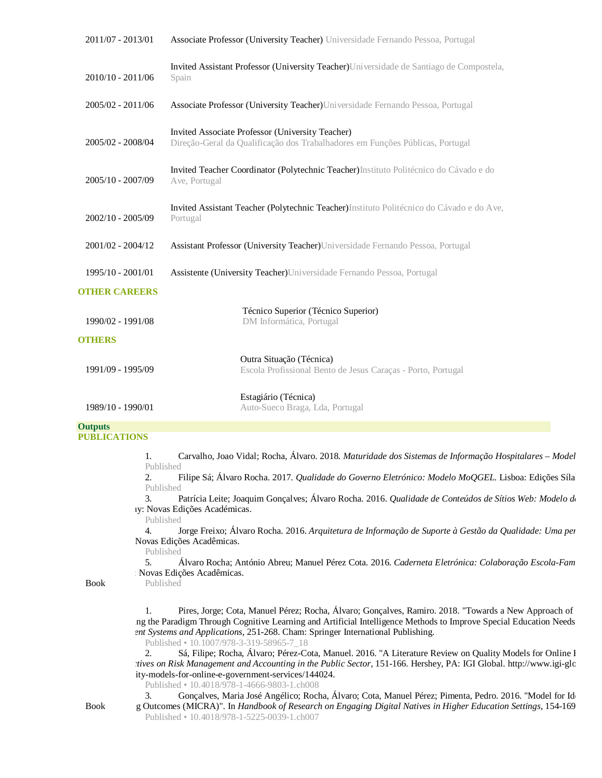| 2011/07 - 2013/01    | Associate Professor (University Teacher) Universidade Fernando Pessoa, Portugal                                                   |
|----------------------|-----------------------------------------------------------------------------------------------------------------------------------|
| 2010/10 - 2011/06    | Invited Assistant Professor (University Teacher) Universidade de Santiago de Compostela,<br>Spain                                 |
| 2005/02 - 2011/06    | Associate Professor (University Teacher) Universidade Fernando Pessoa, Portugal                                                   |
| 2005/02 - 2008/04    | Invited Associate Professor (University Teacher)<br>Direção-Geral da Qualificação dos Trabalhadores em Funções Públicas, Portugal |
| 2005/10 - 2007/09    | Invited Teacher Coordinator (Polytechnic Teacher) Instituto Politécnico do Cávado e do<br>Ave, Portugal                           |
| 2002/10 - 2005/09    | Invited Assistant Teacher (Polytechnic Teacher) Instituto Politécnico do Cávado e do Ave,<br>Portugal                             |
| $2001/02 - 2004/12$  | Assistant Professor (University Teacher) Universidade Fernando Pessoa, Portugal                                                   |
| 1995/10 - 2001/01    | Assistente (University Teacher) Universidade Fernando Pessoa, Portugal                                                            |
| <b>OTHER CAREERS</b> |                                                                                                                                   |
| 1990/02 - 1991/08    | Técnico Superior (Técnico Superior)<br>DM Informática, Portugal                                                                   |
| <b>OTHERS</b>        |                                                                                                                                   |
| 1991/09 - 1995/09    | Outra Situação (Técnica)<br>Escola Profissional Bento de Jesus Caraças - Porto, Portugal                                          |
| 1989/10 - 1990/01    | Estagiário (Técnica)<br>Auto-Sueco Braga, Lda, Portugal                                                                           |
| <b>Outputs</b>       |                                                                                                                                   |

## **PUBLICATIONS**

1. Carvalho, Joao Vidal; Rocha, Álvaro. 2018. *Maturidade dos Sistemas de Informação Hospitalares – Model* Published 2. Filipe Sá; Álvaro Rocha. 2017. *Qualidade do Governo Eletrónico: Modelo MoQGEL*. Lisboa: Edições Sílabo. Published

3. Patrícia Leite; Joaquim Gonçalves; Álvaro Rocha. 2016. *Qualidade de Conteúdos de Sítios Web: Modelo de Avaliação* v: Novas Edições Académicas.

Published

4. Jorge Freixo; Álvaro Rocha. 2016. *Arquitetura de Informação de Suporte à Gestão da Qualidade: Uma per* Novas Edições Acadêmicas.

Published

5. Álvaro Rocha; António Abreu; Manuel Pérez Cota. 2016. *Caderneta Eletrónica: Colaboração Escola-Fam* Novas Edições Acadêmicas. Published

Book

1. Pires, Jorge; Cota, Manuel Pérez; Rocha, Álvaro; Gonçalves, Ramiro. 2018. "Towards a New Approach of ng the Paradigm Through Cognitive Learning and Artificial Intelligence Methods to Improve Special Education Needs ent Systems and Applications, 251-268. Cham: Springer International Publishing.

Published • 10.1007/978-3-319-58965-7\_18

2. Sá, Filipe; Rocha, Álvaro; Pérez-Cota, Manuel. 2016. "A Literature Review on Quality Models for Online E *Perspectives on Risk Management and Accounting in the Public Sector, 151-166. Hershey, PA: IGI Global. <http://www.igi-global.com/chapter/a>ptical.com/chapter/aptical.com/chapter/aptical.com/chapter/aptical.com/chapter/apti* ity-models-for-online-e-government-services/144024.

Published • 10.4018/978-1-4666-9803-1.ch008<br>3. **Goncalves. Maria José Angélico: Roc** 

Book

Gonçalves, Maria José Angélico; Rocha, Álvaro; Cota, Manuel Pérez; Pimenta, Pedro. 2016. "Model for Id g Outcomes (MICRA)". In *Handbook of Research on Engaging Digital Natives in Higher Education Settings*, 154-169. Published • 10.4018/978-1-5225-0039-1.ch007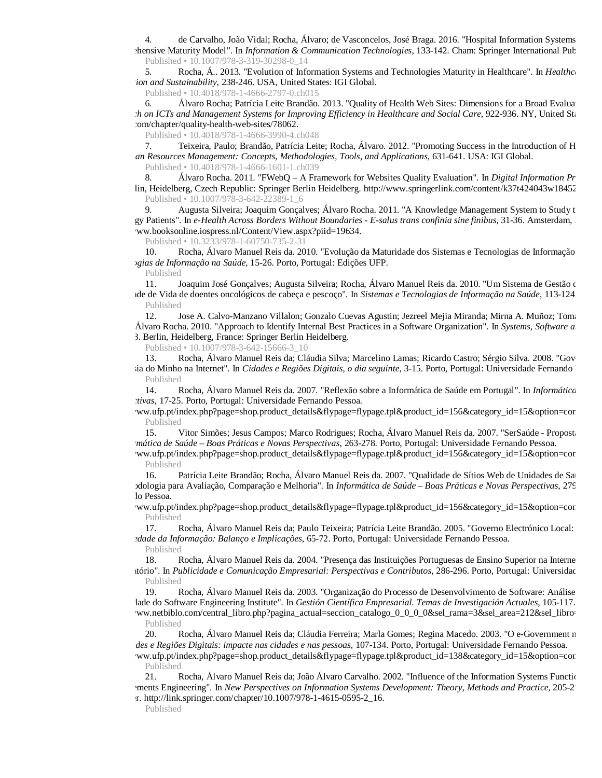4. de Carvalho, João Vidal; Rocha, Álvaro; de Vasconcelos, José Braga. 2016. "Hospital Information Systems hensive Maturity Model". In *Information & Communication Technologies*, 133-142. Cham: Springer International Publishing. Published • 10.1007/978-3-319-30298-0\_14

5. Rocha, Á.. 2013. "Evolution of Information Systems and Technologies Maturity in Healthcare". In *Healthcare Information Technology Ion and Sustainability*, 238-246. USA, United States: IGI Global.

Published • 10.4018/978-1-4666-2797-0.ch015

6. Álvaro Rocha; Patrícia Leite Brandão. 2013. "Quality of Health Web Sites: Dimensions for a Broad Evalua *Research on ICTs and Management Systems for Improving Efficiency in Healthcare and Social Care*, 922-936. NY, United States: :om/chapter/quality-health-web-sites/78062.

Published • 10.4018/978-1-4666-3990-4.ch048

7. Teixeira, Paulo; Brandão, Patrícia Leite; Rocha, Álvaro. 2012. "Promoting Success in the Introduction of H *Human Resources Management: Concepts, Methodologies, Tools, and Applications*, 631-641. USA: IGI Global.

Published • 10.4018/978-1-4666-1601-1.ch039

8. *Álvaro Rocha. 2011. "FWebQ – A Framework for Websites Quality Evaluation". In Digital Information Pr* lin, Heidelberg, Czech Republic: Springer Berlin Heidelberg. http://www.springerlink.com/content/k37t424043w18452 Published • 10.1007/978-3-642-22389-1\_6

Augusta Silveira; Joaquim Gonçalves; Álvaro Rocha. 2011. "A Knowledge Management System to Study t gy Patients". In *e-Health Across Borders Without Boundaries - E-salus trans confinia sine finibus*, 31-36. Amsterdam, ww.booksonline.iospress.nl/Content/View.aspx?piid=19634.

Published • 10.3233/978-1-60750-735-2-31

10. Rocha, Álvaro Manuel Reis da. 2010. "Evolução da Maturidade dos Sistemas e Tecnologias de Informação *Tecnologias de Informação na Saúde*, 15-26. Porto, Portugal: Edições UFP.

Published

11. Joaquim José Gonçalves; Augusta Silveira; Rocha, Álvaro Manuel Reis da. 2010. "Um Sistema de Gestão de de de Vida de doentes oncológicos de cabeça e pescoço". In *Sistemas e Tecnologias de Informação na Saúde*, 113-124 Published

12. Jose A. Calvo-Manzano Villalon; Gonzalo Cuevas Agustin; Jezreel Mejia Miranda; Mirna A. Muñoz; Tomas Álvaro Rocha. 2010. "Approach to Identify Internal Best Practices in a Software Organization". In *Systems, Software a* 3. Berlin, Heidelberg, France: Springer Berlin Heidelberg.

Published • 10.1007/978-3-642-15666-3\_10

13. Rocha, Álvaro Manuel Reis da; Cláudia Silva; Marcelino Lamas; Ricardo Castro; Sérgio Silva. 2008. "Gov ia do Minho na Internet". In *Cidades e Regiões Digitais, o dia seguinte*, 3-15. Porto, Portugal: Universidade Fernando Published

14. Rocha, Álvaro Manuel Reis da. 2007. "Reflexão sobre a Informática de Saúde em Portugal". In *Informática de Saúde Perspectivas*, 17-25. Porto, Portugal: Universidade Fernando Pessoa.

ww.ufp.pt/index.php?page=shop.product\_details&flypage=flypage.tpl&product\_id=156&category\_id=15&option=com Published

15. Vitor Simões; Jesus Campos; Marco Rodrigues; Rocha, Álvaro Manuel Reis da. 2007. "SerSaúde - Proposta *Informática de Saúde – Boas Práticas e Novas Perspectivas*, 263-278. Porto, Portugal: Universidade Fernando Pessoa.

ww.ufp.pt/index.php?page=shop.product\_details&flypage=flypage.tpl&product\_id=156&category\_id=15&option=cor Published

16. Patrícia Leite Brandão; Rocha, Álvaro Manuel Reis da. 2007. "Qualidade de Sítios Web de Unidades de Saúde de Metodologia para Avaliação, Comparação e Melhoria". In *Informática de Saúde – Boas Práticas e Novas Perspectivas*, 279 lo Pessoa.

ww.ufp.pt/index.php?page=shop.product\_details&flypage=flypage.tpl&product\_id=156&category\_id=15&option=cor Published

17. Rocha, Álvaro Manuel Reis da; Paulo Teixeira; Patrícia Leite Brandão. 2005. "Governo Electrónico Local: *Sociedade da Informação: Balanço e Implicações*, 65-72. Porto, Portugal: Universidade Fernando Pessoa.

Published

18. Rocha, Álvaro Manuel Reis da. 2004. "Presença das Instituições Portuguesas de Ensino Superior na Internet tório". In *Publicidade e Comunicação Empresarial: Perspectivas e Contributos*, 286-296. Porto, Portugal: Universidad Published

19. Rocha, Álvaro Manuel Reis da. 2003. "Organização do Processo de Desenvolvimento de Software: Análise lade do Software Engineering Institute". In *Gestión Científica Empresarial. Temas de Investigación Actuales*, 105-117. ww.netbiblo.com/central\_libro.php?pagina\_actual=seccion\_catalogo\_0\_0\_0\_0&sel\_rama=3&sel\_area=212&sel\_libro= Published

20. Rocha, Álvaro Manuel Reis da; Cláudia Ferreira; Marla Gomes; Regina Macedo. 2003. "O e-Government n *Cidades e Regiões Digitais: impacte nas cidades e nas pessoas*, 107-134. Porto, Portugal: Universidade Fernando Pessoa.

ww.ufp.pt/index.php?page=shop.product\_details&flypage=flypage.tpl&product\_id=138&category\_id=15&option=cor Published

21. Rocha, Álvaro Manuel Reis da; João Álvaro Carvalho. 2002. "Influence of the Information Systems Function Requirements Engineering". In *New Perspectives on Information Systems Development: Theory, Methods and Practice*, 205-215. Alemanha, Germany: Kluwer / Springer. [http://link.springer.com/chapter/10.1007/978-1-4615-0595-2\\_16.](http://link.springer.com/chapter/10.1007/978-1-4615-0595-2_16.)

Published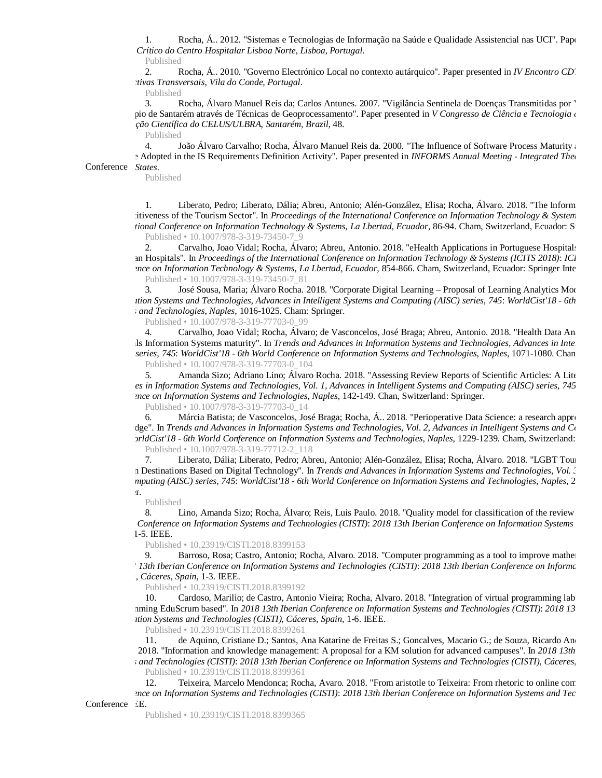1. Rocha, Á.. 2012. "Sistemas e Tecnologias de Informação na Saúde e Qualidade Assistencial nas UCI". Paper *Doente Crítico do Centro Hospitalar Lisboa Norte*, *Lisboa, Portugal*.

Published

2. Rocha, Á.. 2010. "Governo Electrónico Local no contexto autárquico". Paper presented in *IV Encontro CD*. *Perspectivas Transversais*, *Vila do Conde, Portugal*.

Published

Rocha, Álvaro Manuel Reis da; Carlos Antunes. 2007. "Vigilância Sentinela de Doenças Transmitidas por ' pio de Santarém através de Técnicas de Geoprocessamento". Paper presented in *V Congresso de Ciência e Tecnologia* de *e Iniciação Científica do CELUS/ULBRA*, *Santarém, Brazil*, 48.

Published

Conference States. 4. João Álvaro Carvalho; Rocha, Álvaro Manuel Reis da. 2000. "The Influence of Software Process Maturity and I edepted in the IS Requirements Definition Activity". Paper presented in *INFORMS Annual Meeting - Integrated Theory and Application* 

Published

1. Liberato, Pedro; Liberato, Dália; Abreu, Antonio; Alén-González, Elisa; Rocha, Álvaro. 2018. "The Inform itiveness of the Tourism Sector". In *Proceedings of the International Conference on Information Technology & System International Conference on Information Technology & Systems, La Lbertad, Ecuador*, 86-94. Cham, Switzerland, Ecuador: Springer International Publishing. Published • 10.1007/978-3-319-73450-7\_9

Carvalho, Joao Vidal; Rocha, Álvaro; Abreu, Antonio. 2018. "eHealth Applications in Portuguese Hospital: an Hospitals". In *Proceedings of the International Conference on Information Technology & Systems (ICITS 2018): ICI Conference on Information Technology & Systems, La Lbertad, Ecuador, 854-866. Cham, Switzerland, Ecuador: Springer International Publishing. Publishing. Publishing. Publishing. Publishing. Publishing. Publishing. Publishi* Published • 10.1007/978-3-319-73450-7\_81

José Sousa, Maria; Álvaro Rocha. 2018. "Corporate Digital Learning – Proposal of Learning Analytics Model". *Ition Systems and Technologies, Advances in Intelligent Systems and Computing (AISC) series, 745: World Cist'18 - 6th Systems and Technologies*, *Naples*, 1016-1025. Cham: Springer.

Published • 10.1007/978-3-319-77703-0\_99

4. Carvalho, Joao Vidal; Rocha, Álvaro; de Vasconcelos, José Braga; Abreu, Antonio. 2018. "Health Data An Hospitals Information Systems maturity". In *Trends and Advances in Information Systems and Technologies, Advances in Intelligent Systems and Computing series, 745: WorldCist'18 - 6th World Conference on Information Systems and Technologies, Naples, 1071-1080. Chan* Published • 10.1007/978-3-319-77703-0\_104

5. Amanda Sizo; Adriano Lino; Álvaro Rocha. 2018. "Assessing Review Reports of Scientific Articles: A Lite *Advances in Information Systems and Technologies, Vol. 1, Advances in Intelligent Systems and Computing (AISC) series, 745 Conference on Information Systems and Technologies*, *Naples*, 142-149. Chan, Switzerland: Springer.

Published • 10.1007/978-3-319-77703-0\_14

6. Márcia Batista; de Vasconcelos, José Braga; Rocha, Á. 2018. "Perioperative Data Science: a research approach dge". In *Trends and Advances in Information Systems and Technologies, Vol. 2, Advances in Intelligent Systems and Computing Computing (AISC) series, and Computing (AISC) series, and Computing (AISC) series, and Computing widCist'18 - 6th World Conference on Information Systems and Technologies, Naples, 1229-1239. Cham, Switzerland:* Published • 10.1007/978-3-319-77712-2\_118

7. Liberato, Dália; Liberato, Pedro; Abreu, Antonio; Alén-González, Elisa; Rocha, Álvaro. 2018. "LGBT Tourism: n Destinations Based on Digital Technology". In *Trends and Advances in Information Systems and Technologies, Vol. 3*, *and Computing (AISC) series, 745*: *WorldCist'18 - 6th World Conference on Information Systems and Technologies*, *Naples*, 264

 $\mathbf{r}$ . Published

8. Lino, Amanda Sizo; Rocha, Álvaro; Reis, Luis Paulo. 2018. "Quality model for classification of the review *Iberian Conference on Information Systems and Technologies (CISTI)*: *2018 13th Iberian Conference on Information Systems and Technologies (CIST* , 1-5. IEEE.

Published • 10.23919/CISTI.2018.8399153

9. Barroso, Rosa; Castro, Antonio; Rocha, Alvaro. 2018. "Computer programming as a tool to improve mathematic skills in basic education. *2018 13th Iberian Conference on Information Systems and Technologies (CISTI)*: *2018 13th Iberian Conference on Information Systems and Technologies (CISTI)*, *Cáceres, Spain*, 1-3. IEEE.

Published • 10.23919/CISTI.2018.8399192

10. Cardoso, Marilio; de Castro, Antonio Vieira; Rocha, Alvaro. 2018. "Integration of virtual programming lab programming EduScrum based". In *2018 13th Iberian Conference on Information Systems and Technologies (CISTI)*: *2018 13th Iberian Conference on Information Systems and Technologies (CISTI)*, *Cáceres, Spain*, 1-6. IEEE.

Published • 10.23919/CISTI.2018.8399261

11. de Aquino, Cristiane D.; Santos, Ana Katarine de Freitas S.; Goncalves, Macario G.; de Souza, Ricardo Andre 2018. "Information and knowledge management: A proposal for a KM solution for advanced campuses". In 2018 13th *Systems and Technologies (CISTI): 2018 13th Iberian Conference on Information Systems and Technologies (CISTI), Cáceres, Spain* 

Published • 10.23919/CISTI.2018.8399361

12. Teixeira, Marcelo Mendonca; Rocha, Avaro. 2018. "From aristotle to Teixeira: From rhetoric to online con *Conference on Information Systems and Technologies (CISTI)*: *2018 13th Iberian Conference on Information Systems and Technologies (CISTI)*

Conference EE.

Published • 10.23919/CISTI.2018.8399365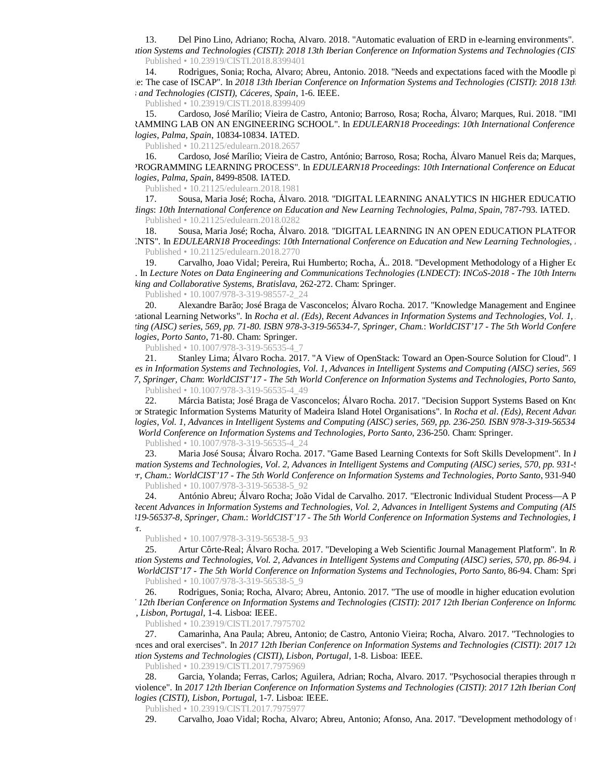13. Del Pino Lino, Adriano; Rocha, Alvaro. 2018. "Automatic evaluation of ERD in e-learning environments". *Information Systems and Technologies (CISTI)*: *2018 13th Iberian Conference on Information Systems and Technologies (CISTI)* Published • 10.23919/CISTI.2018.8399401

14. Rodrigues, Sonia; Rocha, Alvaro; Abreu, Antonio. 2018. "Needs and expectations faced with the Moodle pl available: The case of ISCAP". In *2018 13th Iberian Conference on Information Systems and Technologies (CISTI)*: *2018 13th Iberian Co Systems and Technologies (CISTI)*, *Cáceres, Spain*, 1-6. IEEE.

Published • 10.23919/CISTI.2018.8399409

15. Cardoso, José Marílio; Vieira de Castro, Antonio; Barroso, Rosa; Rocha, Álvaro; Marques, Rui. 2018. "IMI PROGRAMMING LAB ON AN ENGINEERING SCHOOL". In *EDULEARN18 Proceedings*: *10th International Conference on Education and New Learning Technologies*, *Palma, Spain*, 10834-10834. IATED.

Published • 10.21125/edulearn.2018.2657

16. Cardoso, José Marílio; Vieira de Castro, António; Barroso, Rosa; Rocha, Álvaro Manuel Reis da; Marques, ON A PROGRAMMING LEARNING PROCESS". In *EDULEARN18 Proceedings*: *10th International Conference on Education and New Learning Technologies*, *Palma, Spain*, 8499-8508. IATED.

Published • 10.21125/edulearn.2018.1981

17. Sousa, Maria José; Rocha, Álvaro. 2018. "DIGITAL LEARNING ANALYTICS IN HIGHER EDUCATIO *Proceedings*: *10th International Conference on Education and New Learning Technologies*, *Palma, Spain*, 787-793. IATED. Published • 10.21125/edulearn.2018.0282

18. Sousa, Maria José; Rocha, Álvaro. 2018. "DIGITAL LEARNING IN AN OPEN EDUCATION PLATFOR  $S$ TS". In *EDULEARN18 Proceedings: 10th International Conference on Education and New Learning Technologies, .* Published • 10.21125/edulearn.2018.2770

19. Carvalho, Joao Vidal; Pereira, Rui Humberto; Rocha, Á.. 2018. "Development Methodology of a Higher Education Model". In *Lecture Notes on Data Engineering and Communications Technologies (LNDECT)*: *INCoS-2018 - The 10th International Conference on Intelligent Networking and Collaborative Systems*, *Bratislava*, 262-272. Cham: Springer.

Published • 10.1007/978-3-319-98557-2\_24

20. Alexandre Barão; José Braga de Vasconcelos; Álvaro Rocha. 2017. "Knowledge Management and Engineer cational Learning Networks". In *Rocha et al. (Eds), Recent Advances in Information Systems and Technologies, Vol. 1, Computing (AISC) series, 569, pp. 71-80. ISBN 978-3-319-56534-7, Springer, Cham.*: *WorldCIST'17 - The 5th World Conference on Information Systems and Technologies*, *Porto Santo*, 71-80. Cham: Springer.

Published • 10.1007/978-3-319-56535-4\_7

21. Stanley Lima; Álvaro Rocha. 2017. "A View of OpenStack: Toward an Open-Source Solution for Cloud". I es in Information Systems and Technologies, Vol. 1, Advances in Intelligent Systems and Computing (AISC) series, 569

*7, Springer, Cham*: *WorldCIST'17 - The 5th World Conference on Information Systems and Technologies*, *Porto Santo*, 481 Published • 10.1007/978-3-319-56535-4\_49

22. Márcia Batista; José Braga de Vasconcelos; Álvaro Rocha. 2017. "Decision Support Systems Based on Knowledge or Strategic Information Systems Maturity of Madeira Island Hotel Organisations". In *Rocha et al. (Eds), Recent Advan Iogies, Vol. 1, Advances in Intelligent Systems and Computing (AISC) series, 569, pp. 236-250. ISBN 978-3-319-56534 The 5th World Conference on Information Systems and Technologies*, *Porto Santo*, 236-250. Cham: Springer.

Published • 10.1007/978-3-319-56535-4\_24

23. Maria José Sousa; Álvaro Rocha. 2017. "Game Based Learning Contexts for Soft Skills Development". In *l mation Systems and Technologies, Vol. 2, Advances in Intelligent Systems and Computing (AISC) series, 570, pp. 931-974-97 Springer, Cham.*: *WorldCIST'17 - The 5th World Conference on Information Systems and Technologies*, *Porto Santo*, 931-940. Cham: Springer.

Published • 10.1007/978-3-319-56538-5\_92

24. António Abreu; Álvaro Rocha; João Vidal de Carvalho. 2017. "Electronic Individual Student Process—A P *(ecent Advances in Information Systems and Technologies, Vol. 2, Advances in Intelligent Systems and Computing (AIS 319-56537-8, Springer, Cham.*: *WorldCIST'17 - The 5th World Conference on Information Systems and Technologies*, *Porto Santo*  $\mathbf r.$ 

Published • 10.1007/978-3-319-56538-5\_93

25. Artur Côrte-Real; Álvaro Rocha. 2017. "Developing a Web Scientific Journal Management Platform". In *R Ition Systems and Technologies, Vol. 2, Advances in Intelligent Systems and Computing (AISC) series, 570, pp. 86-94. I WorldCIST'17 - The 5th World Conference on Information Systems and Technologies*, *Porto Santo*, 86-94. Cham: Springer.

Published • 10.1007/978-3-319-56538-5\_9

26. Rodrigues, Sonia; Rocha, Alvaro; Abreu, Antonio. 2017. "The use of moodle in higher education evolution *2017 12th Iberian Conference on Information Systems and Technologies (CISTI)*: *2017 12th Iberian Conference on Information Systems and Technologies (CISTI)*, *Lisbon, Portugal*, 1-4. Lisboa: IEEE.

Published • 10.23919/CISTI.2017.7975702

27. Camarinha, Ana Paula; Abreu, Antonio; de Castro, Antonio Vieira; Rocha, Alvaro. 2017. "Technologies to Experiences and oral exercises". In *2017 12th Iberian Conference on Information Systems and Technologies (CISTI)*: *2017 12th Iberian Conference on Information Systems and Technologies (CISTI)*, *Lisbon, Portugal*, 1-8. Lisboa: IEEE.

Published • 10.23919/CISTI.2017.7975969

28. Garcia, Yolanda; Ferras, Carlos; Aguilera, Adrian; Rocha, Alvaro. 2017. "Psychosocial therapies through n gender violence". In *2017 12th Iberian Conference on Information Systems and Technologies (CISTI)*: *2017 12th Iberian Conference on Information Systems and Technologies (CISTI)*, *Lisbon, Portugal*, 1-7. Lisboa: IEEE.

Published • 10.23919/CISTI.2017.7975977<br>29. Carvalho, Joao Vidal; Rocha, Alva

Carvalho, Joao Vidal; Rocha, Alvaro; Abreu, Antonio; Afonso, Ana. 2017. "Development methodology of the HISMM Maturity Model".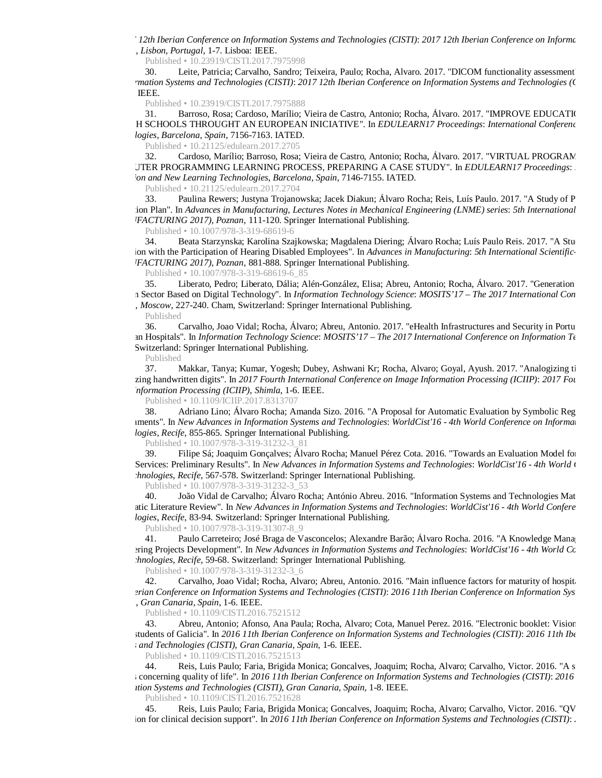*2017 12th Iberian Conference on Information Systems and Technologies (CISTI)*: *2017 12th Iberian Conference on Information Systems and Technologies (CISTI)*, *Lisbon, Portugal*, 1-7. Lisboa: IEEE.

Published • 10.23919/CISTI.2017.7975998

30. Leite, Patricia; Carvalho, Sandro; Teixeira, Paulo; Rocha, Alvaro. 2017. "DICOM functionality assessment". *on Information Systems and Technologies (CISTI)*: *2017 12th Iberian Conference on Information Systems and Technologies (CISTI)* Lisboa: IEEE.

Published • 10.23919/CISTI.2017.7975888

31. Barroso, Rosa; Cardoso, Marílio; Vieira de Castro, Antonio; Rocha, Álvaro. 2017. "IMPROVE EDUCATIO IN HIGH SCHOOLS THROUGHT AN EUROPEAN INICIATIVE". In *EDULEARN17 Proceedings*: *International Conference on Education and New Learning Technologies*, *Barcelona, Spain*, 7156-7163. IATED.

Published • 10.21125/edulearn.2017.2705

32. Cardoso, Marílio; Barroso, Rosa; Vieira de Castro, Antonio; Rocha, Álvaro. 2017. "VIRTUAL PROGRAM COMPUTER PROGRAMMING LEARNING PROCESS, PREPARING A CASE STUDY". In *EDULEARN17 Proceedings: Education and New Learning Technologies*, *Barcelona, Spain*, 7146-7155. IATED.

Published • 10.21125/edulearn.2017.2704

33. Paulina Rewers; Justyna Trojanowska; Jacek Diakun; Álvaro Rocha; Reis, Luís Paulo. 2017. "A Study of P ion Plan". In *Advances in Manufacturing, Lectures Notes in Mechanical Engineering (LNME) series: 5th International (MANUFACTURING 2017)*, *Poznan*, 111-120. Springer International Publishing.

Published • 10.1007/978-3-319-68619-6

34. Beata Starzynska; Karolina Szajkowska; Magdalena Diering; Álvaro Rocha; Luís Paulo Reis. 2017. "A Stu Inspection with the Participation of Hearing Disabled Employees". In *Advances in Manufacturing*: *5th International Scientific- (MANUFACTURING 2017)*, *Poznan*, 881-888. Springer International Publishing.

Published • 10.1007/978-3-319-68619-6\_85

35. Liberato, Pedro; Liberato, Dália; Alén-González, Elisa; Abreu, Antonio; Rocha, Álvaro. 2017. "Generation n Sector Based on Digital Technology". In *Information Technology Science: MOSITS'17 – The 2017 International Con* , *Moscow*, 227-240. Cham, Switzerland: Springer International Publishing.

Published

36. Carvalho, Joao Vidal; Rocha, Álvaro; Abreu, Antonio. 2017. "eHealth Infrastructures and Security in Portu European Hospitals". In *Information Technology Science*: *MOSITS'17 – The 2017 International Conference on Information Technology Science* Switzerland: Springer International Publishing.

Published

37. Makkar, Tanya; Kumar, Yogesh; Dubey, Ashwani Kr; Rocha, Alvaro; Goyal, Ayush. 2017. "Analogizing ti ring handwritten digits". In 2017 Fourth International Conference on Image Information Processing (ICIIP): 2017 Fou *Information Processing (ICIIP), Shimla, 1-6. IEEE.* 

Published • 10.1109/ICIIP.2017.8313707

38. Adriano Lino; Álvaro Rocha; Amanda Sizo. 2016. "A Proposal for Automatic Evaluation by Symbolic Reg Environments". In *New Advances in Information Systems and Technologies*: *WorldCist'16 - 4th World Conference on Information Systems and*  logies, *Recife*, 855-865. Springer International Publishing.

Published • 10.1007/978-3-319-31232-3\_81

39. Filipe Sá; Joaquim Gonçalves; Álvaro Rocha; Manuel Pérez Cota. 2016. "Towards an Evaluation Model for Online Services: Preliminary Results". In *New Advances in Information Systems and Technologies*: *WorldCist'16 - 4th World Conference on Information Systems hnologies, Recife, 567-578.* Switzerland: Springer International Publishing.

Published • 10.1007/978-3-319-31232-3\_53

40. João Vidal de Carvalho; Álvaro Rocha; António Abreu. 2016. "Information Systems and Technologies Mat atic Literature Review". In *New Advances in Information Systems and Technologies: WorldCist'16 - 4th World Confere Jogies, Recife, 83-94. Switzerland: Springer International Publishing.* 

Published • 10.1007/978-3-319-31307-8\_9

41. Paulo Carreteiro; José Braga de Vasconcelos; Alexandre Barão; Álvaro Rocha. 2016. "A Knowledge Management Approach for Software Barão; Alvaro Rocha. 2016. "A Knowledge Management Approach for Software For Software For ering Projects Development". In *New Advances in Information Systems and Technologies: WorldCist'16 - 4th World Conference on Information Systems and Technologies: WorldCist'16 - 4th World Co hnologies, Recife,* 59-68. Switzerland: Springer International Publishing.

Published • 10.1007/978-3-319-31232-3\_6

42. Carvalho, Joao Vidal; Rocha, Alvaro; Abreu, Antonio. 2016. "Main influence factors for maturity of hospit *11th Iberian Conference on Information Systems and Technologies (CISTI)*: *2016 11th Iberian Conference on Information Systems (CISTI)*, *Gran Canaria, Spain*, 1-6. IEEE.

Published • 10.1109/CISTI.2016.7521512

43. Abreu, Antonio; Afonso, Ana Paula; Rocha, Alvaro; Cota, Manuel Perez. 2016. "Electronic booklet: Vision school students of Galicia". In *2016 11th Iberian Conference on Information Systems and Technologies (CISTI)*: *2016 11th Iberian Conference on Information Systems and Technologies (CISTI)*, *Gran Canaria, Spain*, 1-6. IEEE.

Published • 10.1109/CISTI.2016.7521513

44. Reis, Luis Paulo; Faria, Brigida Monica; Goncalves, Joaquim; Rocha, Alvaro; Carvalho, Victor. 2016. "A s systems concerning quality of life". In *2016 11th Iberian Conference on Information Systems and Technologies (CISTI)*: *2016 11th Iberi Information Systems and Technologies (CISTI)*, *Gran Canaria, Spain*, 1-8. IEEE.

Published • 10.1109/CISTI.2016.7521628

45. Reis, Luis Paulo; Faria, Brigida Monica; Goncalves, Joaquim; Rocha, Alvaro; Carvalho, Victor. 2016. "QV ion for clinical decision support". In 2016 11th Iberian Conference on Information Systems and Technologies (CISTI): *2016* 11th Iberian Conference on Information Systems and Technologies (CISTI):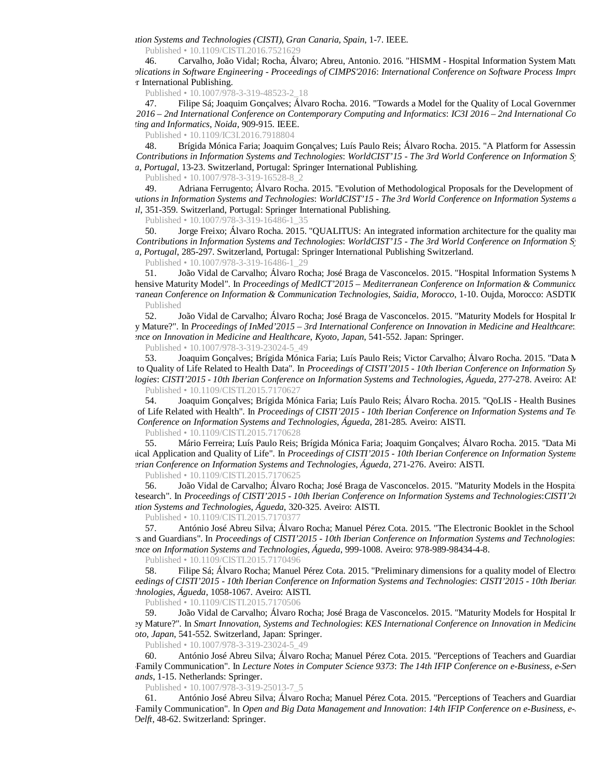*Information Systems and Technologies (CISTI)*, *Gran Canaria, Spain*, 1-7. IEEE.

Published • 10.1109/CISTI.2016.7521629

46. Carvalho, João Vidal; Rocha, Álvaro; Abreu, Antonio. 2016. "HISMM - Hospital Information System Maturity Model: A Synthesis". Information System Maturity Model: A Synthesis". Information System Maturity Model: A Synthe *and Applications in Software Engineering - Proceedings of CIMPS'2016*: *International Conference on Software Process Improvement* r International Publishing.

Published • 10.1007/978-3-319-48523-2\_18

47. Filipe Sá; Joaquim Gonçalves; Álvaro Rocha. 2016. "Towards a Model for the Quality of Local Government" *of IC3I 2016 – 2nd International Conference on Contemporary Computing and Informatics*: *IC3I 2016 – 2nd International Conference on Contemporary Computing and Informatics*, *Noida*, 909-915. IEEE.

Published • 10.1109/IC3I.2016.7918804

48. Brígida Mónica Faria; Joaquim Gonçalves; Luís Paulo Reis; Álvaro Rocha. 2015. "A Platform for Assessin *New Contributions in Information Systems and Technologies*: *WorldCIST'15 - The 3rd World Conference on Information System Delgada, Portugal*, 13-23. Switzerland, Portugal: Springer International Publishing.

Published • 10.1007/978-3-319-16528-8\_2

49. Adriana Ferrugento; Álvaro Rocha. 2015. "Evolution of Methodological Proposals for the Development of Enterprise Architecture". In Architecture Architecture". In Architecture Architecture Architecture". In Architecture *cutions in Information Systems and Technologies: WorldCIST'15 - The 3rd World Conference on Information Systems a Portugal*, 351-359. Switzerland, Portugal: Springer International Publishing.

Published • 10.1007/978-3-319-16486-1\_35

50. Jorge Freixo; Álvaro Rocha. 2015. "QUALITUS: An integrated information architecture for the quality man *New Contributions in Information Systems and Technologies*: *WorldCIST'15 - The 3rd World Conference on Information Systems and Technologies Delgada, Portugal*, 285-297. Switzerland, Portugal: Springer International Publishing Switzerland.

Published • 10.1007/978-3-319-16486-1\_29

51. João Vidal de Carvalho; Álvaro Rocha; José Braga de Vasconcelos. 2015. "Hospital Information Systems M hensive Maturity Model". In *Proceedings of MedICT'2015 – Mediterranean Conference on Information & Communication Technology and MedICT'2015 – Mediterranean Conference on Information & Communication erranean Conference on Information & Communication Technologies*, *Saidia, Morocco*, 1-10. Oujda, Morocco: ASDTIC. Published

52. João Vidal de Carvalho; Álvaro Rocha; José Braga de Vasconcelos. 2015. "Maturity Models for Hospital Ir re they Mature?". In *Proceedings of InMed'2015 – 3rd International Conference on Innovation in Medicine and Healthcare*:*InMed'2015 Conference on Innovation in Medicine and Healthcare*, *Kyoto, Japan*, 541-552. Japan: Springer.

Published • 10.1007/978-3-319-23024-5\_49<br>53. **Joaquim Gonçalves: Brígida Mónic** Joaquim Gonçalves; Brígida Mónica Faria; Luís Paulo Reis; Victor Carvalho; Álvaro Rocha. 2015. "Data M to Quality of Life Related to Health Data". In *Proceedings of CISTI'2015 - 10th Iberian Conference on Information Sy Togies*: *CISTI'2015 - 10th Iberian Conference on Information Systems and Technologies*, *Águeda*, 277-278. Aveiro: AISTI. Published • 10.1109/CISTI.2015.7170627

54. Joaquim Gonçalves; Brígida Mónica Faria; Luís Paulo Reis; Álvaro Rocha. 2015. "QoLIS - Health Busines of Life Related with Health". In *Proceedings of CISTI'2015 - 10th Iberian Conference on Information Systems and Te Iberian Conference on Information Systems and Technologies*, *Águeda*, 281-285. Aveiro: AISTI.

Published • 10.1109/CISTI.2015.7170628

55. Mário Ferreira; Luís Paulo Reis; Brígida Mónica Faria; Joaquim Gonçalves; Álvaro Rocha. 2015. "Data Mi ical Application and Quality of Life". In *Proceedings of CISTI'2015 - 10th Iberian Conference on Information Systems 10th Iberian Conference on Information Systems and Technologies*, *Águeda*, 271-276. Aveiro: AISTI.

Published • 10.1109/CISTI.2015.7170625<br>56. João Vidal de Carvalho: Álvaro F

João Vidal de Carvalho; Álvaro Rocha; José Braga de Vasconcelos. 2015. "Maturity Models in the Hospita Initial Research". In *Proceedings of CISTI'2015 - 10th Iberian Conference on Information Systems and Technologies*:*CISTI'2015 Information Systems and Technologies*, *Águeda*, 320-325. Aveiro: AISTI.

Published • 10.1109/CISTI.2015.7170377

57. António José Abreu Silva; Álvaro Rocha; Manuel Pérez Cota. 2015. "The Electronic Booklet in the School Teachers and Guardians". In *Proceedings of CISTI'2015 - 10th Iberian Conference on Information Systems and Technologies*: *Conference on Information Systems and Technologies*, *Águeda*, 999-1008. Aveiro: 978-989-98434-4-8.

Published • 10.1109/CISTI.2015.7170496

58. Filipe Sá; Álvaro Rocha; Manuel Pérez Cota. 2015. "Preliminary dimensions for a quality model of Electronic *Proceedings of CISTI'2015 - 10th Iberian Conference on Information Systems and Technologies*: *CISTI'2015 - 10th Iberian Conference on Information Systems and Technologies*, *Águeda*, 1058-1067. Aveiro: AISTI.

Published • 10.1109/CISTI.2015.7170506

59. João Vidal de Carvalho; Álvaro Rocha; José Braga de Vasconcelos. 2015. "Maturity Models for Hospital Ir Are They Mature?". In *Smart Innovation, Systems and Technologies*: *KES International Conference on Innovation in Medicine and Healthcare (KES Kyoto, Japan*, 541-552. Switzerland, Japan: Springer.

Published • 10.1007/978-3-319-23024-5\_49

60. António José Abreu Silva; Álvaro Rocha; Manuel Pérez Cota. 2015. "Perceptions of Teachers and Guardian -Family Communication". In *Lecture Notes in Computer Science 9373*: *The 14th IFIP Conference on e-Business, e-Services and e Netherlands*, 1-15. Netherlands: Springer.

Published • 10.1007/978-3-319-25013-7\_5

61. António José Abreu Silva; Álvaro Rocha; Manuel Pérez Cota. 2015. "Perceptions of Teachers and Guardians Family Communication". In *Open and Big Data Management and Innovation*: *14th IFIP Conference on e-Business, e-Delft*, 48-62. Switzerland: Springer.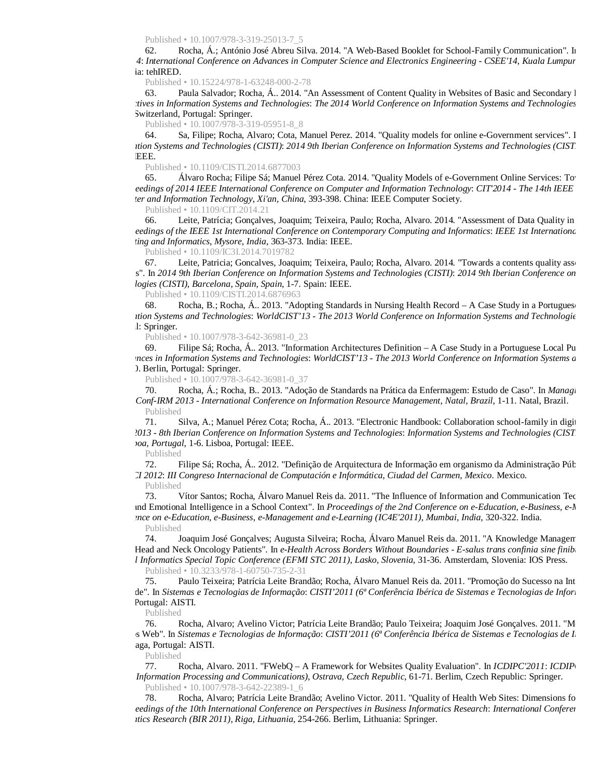Published • 10.1007/978-3-319-25013-7\_5

62. Rocha, Á.; António José Abreu Silva. 2014. "A Web-Based Booklet for School-Family Communication". In *CSEE'14*: *International Conference on Advances in Computer Science and Electronics Engineering - CSEE'14*, *Kuala Lumpur, Malaysia* ia: tehIRED.

Published • 10.15224/978-1-63248-000-2-78

63. Paula Salvador; Rocha, Á.. 2014. "An Assessment of Content Quality in Websites of Basic and Secondary l *erspectives in Information Systems and Technologies*: *The 2014 World Conference on Information Systems and Technologies*  82. Switzerland, Portugal: Springer.

Published • 10.1007/978-3-319-05951-8\_8

64. Sa, Filipe; Rocha, Alvaro; Cota, Manuel Perez. 2014. "Quality models for online e-Government services". I *Information Systems and Technologies (CISTI)*: *2014 9th Iberian Conference on Information Systems and Technologies (CISTI)* EEE.

Published • 10.1109/CISTI.2014.6877003

65. Álvaro Rocha; Filipe Sá; Manuel Pérez Cota. 2014. "Quality Models of e-Government Online Services: To *Proceedings of 2014 IEEE International Conference on Computer and Information Technology*: *CIT'2014 - The 14th IEEE International Conference on Computer and Information Technology*, *Xi'an, China*, 393-398. China: IEEE Computer Society.

Published • 10.1109/CIT.2014.21

66. Leite, Patrícia; Gonçalves, Joaquim; Teixeira, Paulo; Rocha, Alvaro. 2014. "Assessment of Data Quality in *Proceedings of the IEEE 1st International Conference on Contemporary Computing and Informatics*: *IEEE 1st International Conference on Contemporary Computing and Informatics*, *Mysore, India*, 363-373. India: IEEE.

Published • 10.1109/IC3I.2014.7019782

67. Leite, Patricia; Goncalves, Joaquim; Teixeira, Paulo; Rocha, Alvaro. 2014. "Towards a contents quality asse s". In 2014 9th Iberian Conference on Information Systems and Technologies (CISTI): 2014 9th Iberian Conference on *Technologies (CISTI)*, *Barcelona, Spain, Spain*, 1-7. Spain: IEEE.

Published • 10.1109/CISTI.2014.6876963

Rocha, B.; Rocha, Á.. 2013. "Adopting Standards in Nursing Health Record – A Case Study in a Portugues *Information Systems and Technologies*: *WorldCIST'13 - The 2013 World Conference on Information Systems and Technologies* l: Springer.

Published • 10.1007/978-3-642-36981-0\_23

69. Filipe Sá; Rocha, Á.. 2013. "Information Architectures Definition – A Case Study in a Portuguese Local Pu *Advances in Information Systems and Technologies*: *WorldCIST'13 - The 2013 World Conference on Information Systems and Technologies* ). Berlin, Portugal: Springer.

Published • 10.1007/978-3-642-36981-0\_37

70. Rocha, Á.; Rocha, B.. 2013. "Adoção de Standards na Prática da Enfermagem: Estudo de Caso". In *Managi*n *Conf-IRM 2013 - International Conference on Information Resource Management*, *Natal, Brazil*, 1-11. Natal, Brazil. Published

71. Silva, A.; Manuel Pérez Cota; Rocha, Á.. 2013. "Electronic Handbook: Collaboration school-family in digit *CISTI'2013 - 8th Iberian Conference on Information Systems and Technologies*: *Information Systems and Technologies (CISTI), 2013 8th Iberian Conference Lisboa, Portugal*, 1-6. Lisboa, Portugal: IEEE.

Published

72. Filipe Sá; Rocha, Á.. 2012. "Definição de Arquitectura de Informação em organismo da Administração Pública *CONACI 2012*: *III Congreso Internacional de Computación e Informática*, *Ciudad del Carmen, Mexico*. Mexico.

Published

73. Vítor Santos; Rocha, Álvaro Manuel Reis da. 2011. "The Influence of Information and Communication Tec Social and Emotional Intelligence in a School Context". In *Proceedings of the 2nd Conference on e-Education, e-Business, e-Management and e Conference on e-Education, e-Business, e-Management and e-Learning (IC4E'2011)*, *Mumbai, India*, 320-322. India. Published

74. Joaquim José Gonçalves; Augusta Silveira; Rocha, Álvaro Manuel Reis da. 2011. "A Knowledge Managen Head and Neck Oncology Patients". In *e-Health Across Borders Without Boundaries - E-salus trans confinia sine finib Medical Informatics Special Topic Conference (EFMI STC 2011)*, *Lasko, Slovenia*, 31-36. Amsterdam, Slovenia: IOS Press.

Published • 10.3233/978-1-60750-735-2-31

75. Paulo Teixeira; Patrícia Leite Brandão; Rocha, Álvaro Manuel Reis da. 2011. "Promoção do Sucesso na Int de". In Sistemas e Tecnologias de Informação: CISTI'2011 (6ª Conferência Ibérica de Sistemas e Tecnologias de Infor Portugal: AISTI.

Published

76. Rocha, Alvaro; Avelino Victor; Patrícia Leite Brandão; Paulo Teixeira; Joaquim José Gonçalves. 2011. "Model" de Sítios Web". In *Sistemas e Tecnologias de Informação*: *CISTI'2011 (6ª Conferência Ibérica de Sistemas e Tecnologias de Informação)* aga, Portugal: AISTI.

Published

77. Rocha, Alvaro. 2011. "FWebO – A Framework for Websites Quality Evaluation". In *ICDIPC'2011: ICDIP Digital Information Processing and Communications)*, *Ostrava, Czech Republic*, 61-71. Berlim, Czech Republic: Springer. Published • 10.1007/978-3-642-22389-1\_6

78. Rocha, Alvaro; Patrícia Leite Brandão; Avelino Victor. 2011. "Quality of Health Web Sites: Dimensions for *Proceedings of the 10th International Conference on Perspectives in Business Informatics Research: International Conferer Informatics Research (BIR 2011)*, *Riga, Lithuania*, 254-266. Berlim, Lithuania: Springer.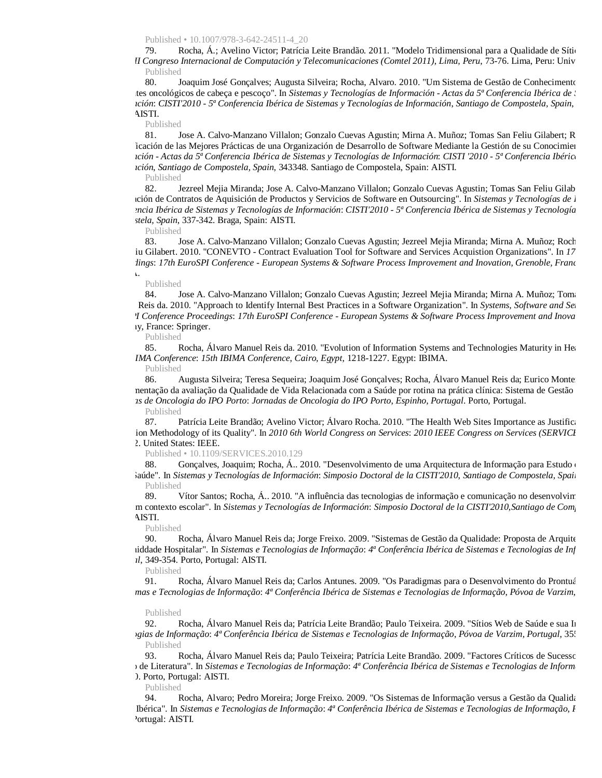Published • 10.1007/978-3-642-24511-4\_20

79. Rocha, Á.; Avelino Victor; Patrícia Leite Brandão. 2011. "Modelo Tridimensional para a Qualidade de Sítio *II Congreso Internacional de Computación y Telecomunicaciones (Comtel 2011)*, *Lima, Peru*, 73-76. Lima, Peru: Univ Published

80. Joaquim José Gonçalves; Augusta Silveira; Rocha, Alvaro. 2010. "Um Sistema de Gestão de Conhecimento des oncológicos de cabeça e pescoço". In *Sistemas y Tecnologías de Información - Actas da 5ª Conferencia Ibérica de* . *Ición: CISTI'2010 - 5ª Conferencia Ibérica de Sistemas y Tecnologías de Información, Santiago de Compostela, Spain,* AISTI.

Published

81. Jose A. Calvo-Manzano Villalon; Gonzalo Cuevas Agustin; Mirna A. Muñoz; Tomas San Feliu Gilabert; R icación de las Mejores Prácticas de una Organización de Desarrollo de Software Mediante la Gestión de su Conocimien *Información - Actas da 5ª Conferencia Ibérica de Sistemas y Tecnologías de Información*: *CISTI '2010 - 5ª Conferencia Ibérica de Sistemas y Tecnologías de Información*, *Santiago de Compostela, Spain*, 343348. Santiago de Compostela, Spain: AISTI.

Published

82. Jezreel Mejia Miranda; Jose A. Calvo-Manzano Villalon; Gonzalo Cuevas Agustin; Tomas San Feliu Gilab "Evaluación de Contratos de Aquisición de Productos y Servicios de Software en Outsourcing". In *Sistemas y Tecnologías de Información Conferencia Ibérica de Sistemas y Tecnologías de Información*: *CISTI'2010 - 5ª Conferencia Ibérica de Sistemas y Tecnologías de Información Compostela, Spain*, 337-342. Braga, Spain: AISTI.

Published

83. Jose A. Calvo-Manzano Villalon; Gonzalo Cuevas Agustin; Jezreel Mejia Miranda; Mirna A. Muñoz; Roch iu Gilabert. 2010. "CONEVTO - Contract Evaluation Tool for Software and Services Acquistion Organizations". In 17 *Proceedings*: *17th EuroSPI Conference - European Systems & Software Process Improvement and Inovation*, *Grenoble, France*

#### Published

DELTA.

84. Jose A. Calvo-Manzano Villalon; Gonzalo Cuevas Agustin; Jezreel Mejia Miranda; Mirna A. Muñoz; Toma Reis da. 2010. "Approach to Identify Internal Best Practices in a Software Organization". In *Systems, Software and Se EuroSPI Conference Proceedings*: *17th EuroSPI Conference - European Systems & Software Process Improvement and Inovation* IV, France: Springer.

Published

85. Rocha, Álvaro Manuel Reis da. 2010. "Evolution of Information Systems and Technologies Maturity in Healthcare *15th IBIMA Conference*: *15th IBIMA Conference*, *Cairo, Egypt*, 1218-1227. Egypt: IBIMA.

Published

86. Augusta Silveira; Teresa Sequeira; Joaquim José Gonçalves; Rocha, Álvaro Manuel Reis da; Eurico Monte nentação da avaliação da Qualidade de Vida Relacionada com a Saúde por rotina na prática clínica: Sistema de Gestão

*Jornadas de Oncologia do IPO Porto*: *Jornadas de Oncologia do IPO Porto*, *Espinho, Portugal*. Porto, Portugal. Published

87. Patrícia Leite Brandão; Avelino Victor; Álvaro Rocha. 2010. "The Health Web Sites Importance as Justification Evaluation Methodology of its Quality". In *2010 6th World Congress on Services*: *2010 IEEE Congress on Services (SERVICES)* 2. United States: IEEE.

Published • 10.1109/SERVICES.2010.129

88. Gonçalves, Joaquim; Rocha, Á.. 2010. "Desenvolvimento de uma Arquitectura de Informação para Estudo de Vida Relacionada Relacionada Relacionada Relacionada Relacionada Relacionada Relacionada Relacionada Relacionada Re  $a$ iaúde". In *Sistemas y Tecnologías de Información: Simposio Doctoral de la CISTI'2010*, *Santiago de Compostela, Spain* Published

89. Vítor Santos; Rocha, Á.. 2010. "A influência das tecnologias de informação e comunicação no desenvolvim social em contexto escolar". In *Sistemas y Tecnologías de Información*: *Simposio Doctoral de la CISTI'2010*,*Santiago de Compostela, Spain* AISTI.

Published

90. Rocha, Álvaro Manuel Reis da; Jorge Freixo. 2009. "Sistemas de Gestão da Qualidade: Proposta de Arquite uma Uniddade Hospitalar". In *Sistemas e Tecnologias de Informação*: *4ª Conferência Ibérica de Sistemas e Tecnologias de Informação Portugal*, 349-354. Porto, Portugal: AISTI.

Published

91. Rocha, Álvaro Manuel Reis da; Carlos Antunes. 2009. "Os Paradigmas para o Desenvolvimento do Prontuá *Sistemas e Tecnologias de Informação*: *4ª Conferência Ibérica de Sistemas e Tecnologias de Informação*, *Póvoa de Varzim, Portug*

#### Published

92. Rocha, Álvaro Manuel Reis da; Patrícia Leite Brandão; Paulo Teixeira. 2009. "Sítios Web de Saúde e sua Im *Tecnologias de Informação*: *4ª Conferência Ibérica de Sistemas e Tecnologias de Informação*, *Póvoa de Varzim, Portugal*, 355 Published

93. Rocha, Álvaro Manuel Reis da; Paulo Teixeira; Patrícia Leite Brandão. 2009. "Factores Críticos de Sucesso Revisão de Literatura". In *Sistemas e Tecnologias de Informação*: *4ª Conferência Ibérica de Sistemas e Tecnologias de Informação* ). Porto, Portugal: AISTI.

Published

94. Rocha, Alvaro; Pedro Moreira; Jorge Freixo. 2009. "Os Sistemas de Informação versus a Gestão da Qualida origem Ibérica". In *Sistemas e Tecnologias de Informação*: *4ª Conferência Ibérica de Sistemas e Tecnologias de Informação*, *Póvoa de Varzim, Portugal* 'ortugal: AISTI.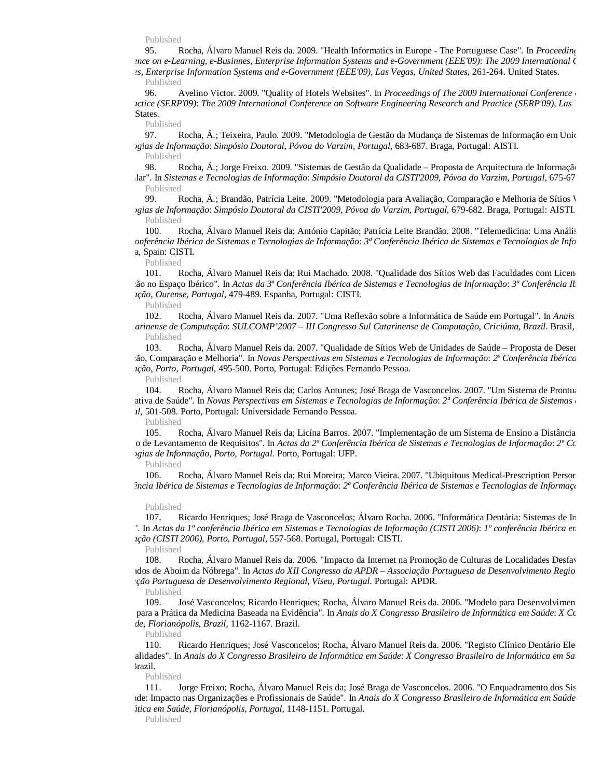Published

95. Rocha, Álvaro Manuel Reis da. 2009. "Health Informatics in Europe - The Portuguese Case". In *Proceeding Conference on e-Learning, e-Businnes, Enterprise Information Systems and e-Government (EEE'09)*: *The 2009 International Conference on e*

*usinnes, Enterprise Information Systems and e-Government (EEE'09)*, *Las Vegas, United States*, 261-264. United States. Published

96. Avelino Victor. 2009. "Quality of Hotels Websites". In *Proceedings of The 2009 International Conference actice (SERP'09): The 2009 International Conference on Software Engineering Research and Practice (SERP'09), Las* States.

Published

97. Rocha, Á.; Teixeira, Paulo. 2009. "Metodologia de Gestão da Mudança de Sistemas de Informação em Unio *Tecnologias de Informação*: *Simpósio Doutoral*, *Póvoa do Varzim, Portugal*, 683-687. Braga, Portugal: AISTI.

Published

98. Rocha, Á.; Jorge Freixo. 2009. "Sistemas de Gestão da Qualidade – Proposta de Arquitectura de Informação Hospitalar". In *Sistemas e Tecnologias de Informação*: *Simpósio Doutoral da CISTI'2009*, *Póvoa do Varzim, Portugal*, 675-678. Braga, Portugal: AISTI Published

99. Rocha, Á.; Brandão, Patrícia Leite. 2009. "Metodologia para Avaliação, Comparação e Melhoria de Sítios V *Tecnologias de Informação*: *Simpósio Doutoral da CISTI'2009*, *Póvoa do Varzim, Portugal*, 679-682. Braga, Portugal: AISTI. Published

100. Rocha, Álvaro Manuel Reis da; António Capitão; Patrícia Leite Brandão. 2008. "Telemedicina: Uma Anális *da 3ª Conferência Ibérica de Sistemas e Tecnologias de Informação*: *3ª Conferência Ibérica de Sistemas e Tecnologias de Informação* a, Spain: CISTI.

Published

101. Rocha, Álvaro Manuel Reis da; Rui Machado. 2008. "Qualidade dos Sítios Web das Faculdades com Licen Avaliação no Espaço Ibérico". In *Actas da 3ª Conferência Ibérica de Sistemas e Tecnologias de Informação*: *3ª Conferência Ibérica de Sistemas e Tecnologias de Informação*, *Ourense, Portugal*, 479-489. Espanha, Portugal: CISTI.

Published

102. Rocha, Álvaro Manuel Reis da. 2007. "Uma Reflexão sobre a Informática de Saúde em Portugal". In *Anais Sul Catarinense de Computação*: *SULCOMP'2007 – III Congresso Sul Catarinense de Computação*, *Criciúma, Brazil*. Brasil, Brazil. Published

103. Rocha, Álvaro Manuel Reis da. 2007. "Qualidade de Sítios Web de Unidades de Saúde – Proposta de Desen ão, Comparação e Melhoria". In *Novas Perspectivas em Sistemas e Tecnologias de Informação*: 2ª Conferência Ibérica *Informação*, *Porto, Portugal*, 495-500. Porto, Portugal: Edições Fernando Pessoa.

Published

104. Rocha, Álvaro Manuel Reis da; Carlos Antunes; José Braga de Vasconcelos. 2007. "Um Sistema de Prontuario Cooperativa de Saúde". In *Novas Perspectivas em Sistemas e Tecnologias de Informação*: *2ª Conferência Ibérica de Sistemas e Tecnologias de Informação Portugal*, 501-508. Porto, Portugal: Universidade Fernando Pessoa.

Published

105. Rocha, Álvaro Manuel Reis da; Licína Barros. 2007. "Implementação de um Sistema de Ensino a Distância Processo de Levantamento de Requisitos". In *Actas da 2ª Conferência Ibérica de Sistemas e Tecnologias de Informação*: *2ª Conferência Ibérica de Sistemas e Tecnologias de Informação*, *Porto, Portugal*. Porto, Portugal: UFP.

Published

106. Rocha, Álvaro Manuel Reis da; Rui Moreira; Marco Vieira. 2007. "Ubiquitous Medical-Prescription Persor *Conferência Ibérica de Sistemas e Tecnologias de Informação*: *2ª Conferência Ibérica de Sistemas e Tecnologias de Informação*

#### Published

107. Ricardo Henriques; José Braga de Vasconcelos; Álvaro Rocha. 2006. "Informática Dentária: Sistemas de In <sup>1</sup>. In *Actas da 1<sup>°</sup> conferência Ibérica em Sistemas e Tecnologias de Informação (CISTI 2006): 1<sup>°</sup> conferência Ibérica en Informação (CISTI 2006)*, *Porto, Portugal*, 557-568. Portugal, Portugal: CISTI.

Published

108. Rocha, Álvaro Manuel Reis da. 2006. "Impacto da Internet na Promoção de Culturas de Localidades Desfavore ndos de Aboim da Nóbrega". In *Actas do XII Congresso da APDR – Associação Portuguesa de Desenvolvimento Regio iação Portuguesa de Desenvolvimento Regional*, *Viseu, Portugal*. Portugal: APDR.

Published

109. José Vasconcelos; Ricardo Henriques; Rocha, Álvaro Manuel Reis da. 2006. "Modelo para Desenvolvimen Clínica para a Prática da Medicina Baseada na Evidência". In *Anais do X Congresso Brasileiro de Informática em Saúde*: *X Congresso Brasileiro de Informática em Saúde*, *Florianópolis, Brazil*, 1162-1167. Brazil.

Published

110. Ricardo Henriques; José Vasconcelos; Rocha, Álvaro Manuel Reis da. 2006. "Registo Clínico Dentário Ele Potencialidades". In *Anais do X Congresso Brasileiro de Informática em Saúde*: *X Congresso Brasileiro de Informática em Saúde* razil.

Published

111. Jorge Freixo; Rocha, Álvaro Manuel Reis da; José Braga de Vasconcelos. 2006. "O Enquadramento dos Sis de: Impacto nas Organizações e Profissionais de Saúde". In *Anais do X Congresso Brasileiro de Informática em Saúde Informática em Saúde*, *Florianópolis, Portugal*, 1148-1151. Portugal.

Published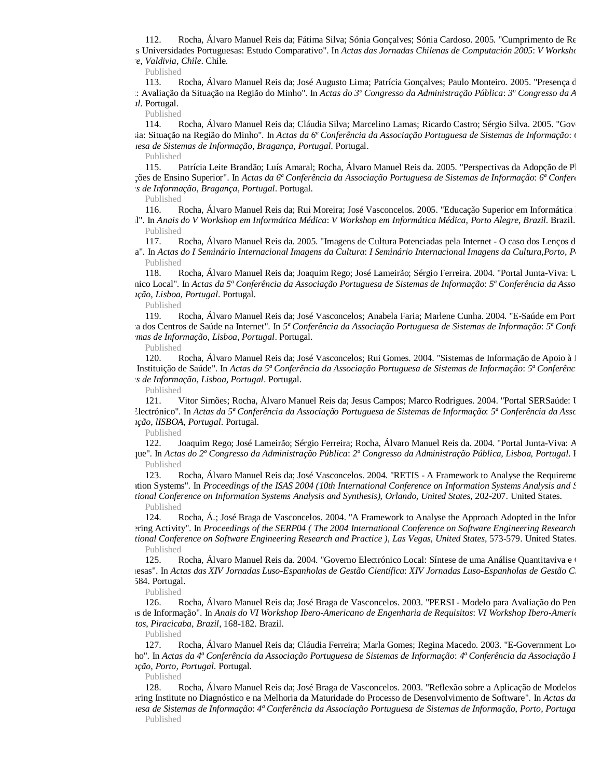112. Rocha, Álvaro Manuel Reis da; Fátima Silva; Sónia Gonçalves; Sónia Cardoso. 2005. "Cumprimento de Re s Universidades Portuguesas: Estudo Comparativo". In *Actas das Jornadas Chilenas de Computación 2005*: *V Workshop Software*, *Valdivia, Chile*. Chile.

Published

113. Rocha, Álvaro Manuel Reis da; José Augusto Lima; Patrícia Gonçalves; Paulo Monteiro. 2005. "Presença d Internet: Avaliação da Situação na Região do Minho". In *Actas do 3º Congresso da Administração Pública*: *3º Congresso da Administração Pública Portugal*. Portugal.

Published

114. Rocha, Álvaro Manuel Reis da; Cláudia Silva; Marcelino Lamas; Ricardo Castro; Sérgio Silva. 2005. "Gov Freguesia: Situação na Região do Minho". In *Actas da 6ª Conferência da Associação Portuguesa de Sistemas de Informação*: *6ª Conferência da Associação Portuguesa de Sistemas de Informação*, *Bragança, Portugal*. Portugal.

Published

115. Patrícia Leite Brandão; Luís Amaral; Rocha, Álvaro Manuel Reis da. 2005. "Perspectivas da Adopção de Pl nstituições de Ensino Superior". In *Actas da 6ª Conferência da Associação Portuguesa de Sistemas de Informação*: *6ª Conferência da Associação Portuguesa de Sistemas de Informação*, *Bragança, Portugal*. Portugal.

Published

116. Rocha, Álvaro Manuel Reis da; Rui Moreira; José Vasconcelos. 2005. "Educação Superior em Informática Portugal". In *Anais do V Workshop em Informática Médica*: *V Workshop em Informática Médica*, *Porto Alegre, Brazil*. Brazil. Published

117. Rocha, Álvaro Manuel Reis da. 2005. "Imagens de Cultura Potenciadas pela Internet - O caso dos Lenços d Nóbrega". In *Actas do I Seminário Internacional Imagens da Cultura*: *I Seminário Internacional Imagens da Cultura*,*Porto, Portugal* Published

118. Rocha, Álvaro Manuel Reis da; Joaquim Rego; José Lameirão; Sérgio Ferreira. 2004. "Portal Junta-Viva: U Electrónico Local". In *Actas da 5ª Conferência da Associação Portuguesa de Sistemas de Informação*: *5ª Conferência da Associação Po Informação*, *Lisboa, Portugal*. Portugal.

Published

119. Rocha, Álvaro Manuel Reis da; José Vasconcelos; Anabela Faria; Marlene Cunha. 2004. "E-Saúde em Port Presença dos Centros de Saúde na Internet". In *5ª Conferência da Associação Portuguesa de Sistemas de Informação*: *5ª Conferência da Associação Portuguesa de Sistemas de Informação*, *Lisboa, Portugal*. Portugal.

Published

120. Rocha, Álvaro Manuel Reis da; José Vasconcelos; Rui Gomes. 2004. "Sistemas de Informação de Apoio à Decisão de uma Instituição de Saúde". In *Actas da 5ª Conferência da Associação Portuguesa de Sistemas de Informação*: *5ª Conferência da Associação Portuguesa de Sistemas de Informação*, *Lisboa, Portugal*. Portugal.

Published

121. Vitor Simões; Rocha, Álvaro Manuel Reis da; Jesus Campos; Marco Rodrigues. 2004. "Portal SERSaúde: U Saúde Electrónico". In *Actas da 5ª Conferência da Associação Portuguesa de Sistemas de Informação*: *5ª Conferência da Associa Informação*, *lISBOA, Portugal*. Portugal.

Published

122. Joaquim Rego; José Lameirão; Sérgio Ferreira; Rocha, Álvaro Manuel Reis da. 2004. "Portal Junta-Viva: A um Clique". In *Actas do 2º Congresso da Administração Pública*: *2º Congresso da Administração Pública*, *Lisboa, Portugal*. Portugal. Published

123. Rocha, Álvaro Manuel Reis da; José Vasconcelos. 2004. "RETIS - A Framework to Analyse the Requireme Information Systems". In *Proceedings of the ISAS 2004 (10th International Conference on Information Systems Analysis and Synthesis) International Conference on Information Systems Analysis and Synthesis)*, *Orlando, United States*, 202-207. United States. Published

124. Rocha, Á.; José Braga de Vasconcelos. 2004. "A Framework to Analyse the Approach Adopted in the Information Systems Republican." ering Activity". In *Proceedings of the SERP04 (The 2004 International Conference on Software Engineering Research International Conference on Software Engineering Research and Practice )*, *Las Vegas, United States*, 573-579. United States. Published

125. Rocha, Álvaro Manuel Reis da. 2004. "Governo Electrónico Local: Síntese de uma Análise Quantitaviva e  $\cdot$ Portuguesas". In *Actas das XIV Jornadas Luso-Espanholas de Gestão Científica*: *XIV Jornadas Luso-Espanholas de Gestão Ci* 1584. Portugal.

Published

126. Rocha, Álvaro Manuel Reis da; José Braga de Vasconcelos. 2003. "PERSI - Modelo para Avaliação do Pen Sistemas de Informação". In *Anais do VI Workshop Ibero-Americano de Engenharia de Requisitos*: *VI Workshop Ibero-Americano de Engenharia de Requisitos*, *Piracicaba, Brazil*, 168-182. Brazil.

Published

127. Rocha, Álvaro Manuel Reis da; Cláudia Ferreira; Marla Gomes; Regina Macedo. 2003. "E-Government Lo ho". In Actas da 4<sup>ª</sup> Conferência da Associação Portuguesa de Sistemas de Informação: 4<sup>ª</sup> Conferência da Associação P *Informação*, *Porto, Portugal*. Portugal.

Published

128. Rocha, Álvaro Manuel Reis da; José Braga de Vasconcelos. 2003. "Reflexão sobre a Aplicação de Modelos ering Institute no Diagnóstico e na Melhoria da Maturidade do Processo de Desenvolvimento de Software". In *Actas da Portuguesa de Sistemas de Informação*: *4ª Conferência da Associação Portuguesa de Sistemas de Informação*, *Porto, Portugal* Published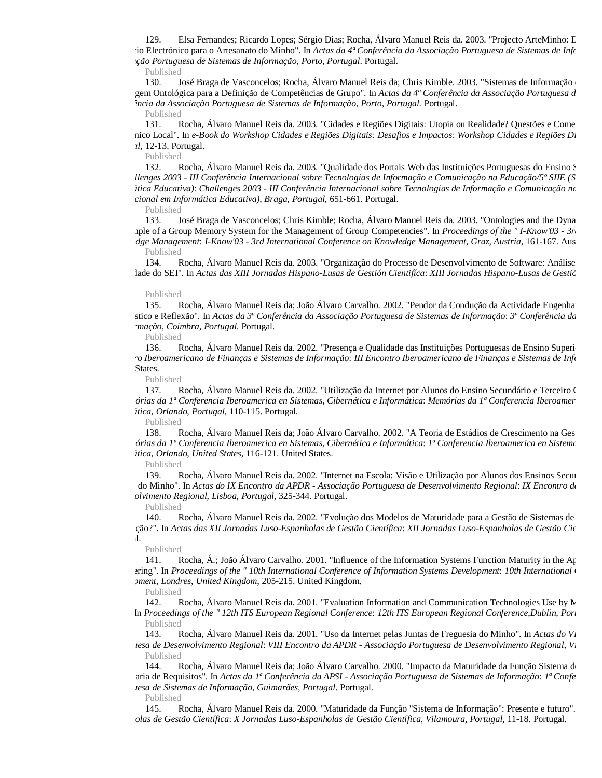129. Elsa Fernandes; Ricardo Lopes; Sérgio Dias; Rocha, Álvaro Manuel Reis da. 2003. "Projecto ArteMinho: L io Electrónico para o Artesanato do Minho". In *Actas da 4ª Conferência da Associação Portuguesa de Sistemas de Info Associação Portuguesa de Sistemas de Informação*, *Porto, Portugal*. Portugal.

Published

130. José Braga de Vasconcelos; Rocha, Álvaro Manuel Reis da; Chris Kimble. 2003. "Sistemas de Informação Abordagem Ontológica para a Definição de Competências de Grupo". In *Actas da 4ª Conferência da Associação Portuguesa de Sistemas de Informação Conferência da Associação Portuguesa de Sistemas de Informação*, *Porto, Portugal*. Portugal.

Published

131. Rocha, Álvaro Manuel Reis da. 2003. "Cidades e Regiões Digitais: Utopia ou Realidade? Questões e Come Electrónico Local". In *e-Book do Workshop Cidades e Regiões Digitais: Desafios e Impactos*: *Workshop Cidades e Regiões Digitais: Desafios e Impactos Portugal*, 12-13. Portugal.

Published

132. Rocha, Álvaro Manuel Reis da. 2003. "Qualidade dos Portais Web das Instituições Portuguesas do Ensino Superior: A *do Challenges 2003 - III Conferência Internacional sobre Tecnologias de Informação e Comunicação na Educação/5º SIIE (Simpósio Internacional em Informática Educativa)*: *Challenges 2003 - III Conferência Internacional sobre Tecnologias de Informação e Comunicação na Educação/5º SIIE (Simpósio Internacional em Informática Educativa)*, *Braga, Portugal*, 651-661. Portugal.

Published

133. José Braga de Vasconcelos; Chris Kimble; Rocha, Álvaro Manuel Reis da. 2003. "Ontologies and the Dyna aple of a Group Memory System for the Management of Group Competencies". In *Proceedings of the "I-Know'03 - 3rd Knowledge Management*: *I-Know'03 - 3rd International Conference on Knowledge Management*, *Graz, Austria*, 161-167. Austria. Published

134. Rocha, Álvaro Manuel Reis da. 2003. "Organização do Processo de Desenvolvimento de Software: Análise lade do SEI". In *Actas das XIII Jornadas Hispano-Lusas de Gestión Cientifíca: XIII Jornadas Hispano-Lusas de Gestić* 

#### Published

135. Rocha, Álvaro Manuel Reis da; João Álvaro Carvalho. 2002. "Pendor da Condução da Actividade Engenharia de Re Diagnóstico e Reflexão". In *Actas da 3ª Conferência da Associação Portuguesa de Sistemas de Informação*: *3ª Conferência da Associação Portuguesa de Sistemas de Informação*, *Coimbra, Portugal*. Portugal.

Published

136. Rocha, Álvaro Manuel Reis da. 2002. "Presença e Qualidade das Instituições Portuguesas de Ensino Superior *Encontro Iberoamericano de Finanças e Sistemas de Informação*: *III Encontro Iberoamericano de Finanças e Sistemas de Informação* States.

Published

137. Rocha, Álvaro Manuel Reis da. 2002. "Utilização da Internet por Alunos do Ensino Secundário e Terceiro C *Memórias da 1ª Conferencia Iberoamerica en Sistemas, Cibernética e Informática*: *Memórias da 1ª Conferencia Iberoamerica en Sistemas, Cibernética e Informática*, *Orlando, Portugal*, 110-115. Portugal.

Published

138. Rocha, Álvaro Manuel Reis da; João Álvaro Carvalho. 2002. "A Teoria de Estádios de Crescimento na Ges *Memórias da 1ª Conferencia Iberoamerica en Sistemas, Cibernética e Informática*: *1ª Conferencia Iberoamerica en Sistemas, Cibernética e Informática*, *Orlando, United States*, 116-121. United States.

Published

139. Rocha, Álvaro Manuel Reis da. 2002. "Internet na Escola: Visão e Utilização por Alunos dos Ensinos Secun Escolas do Minho". In *Actas do IX Encontro da APDR - Associação Portuguesa de Desenvolvimento Regional*: *IX Encontro da APDR Desenvolvimento Regional*, *Lisboa, Portugal*, 325-344. Portugal.

Published

140. Rocha, Álvaro Manuel Reis da. 2002. "Evolução dos Modelos de Maturidade para a Gestão de Sistemas de Renovação?". In *Actas das XII Jornadas Luso-Espanholas de Gestão Científica*: *XII Jornadas Luso-Espanholas de Gestão Científica*  $\mathbf{I}$ 

Published

141. Rocha, Á.; João Álvaro Carvalho. 2001. "Influence of the Information Systems Function Maturity in the Ar ering". In *Proceedings of the " 10th International Conference of Information Systems Development: 10th International Development*, *Londres, United Kingdom*, 205-215. United Kingdom.

Published

142. Rocha, Álvaro Manuel Reis da. 2001. "Evaluation Information and Communication Technologies Use by  $N$ In Proceedings of the " 12th ITS European Regional Conference: 12th ITS European Regional Conference, Dublin, Portugala Published

143. Rocha, Álvaro Manuel Reis da. 2001. "Uso da Internet pelas Juntas de Freguesia do Minho". In *Actas do Vi Portuguesa de Desenvolvimento Regional*: *VIII Encontro da APDR - Associação Portuguesa de Desenvolvimento Regional*, *Vila Real, Portugal* Published

144. Rocha, Álvaro Manuel Reis da; João Álvaro Carvalho. 2000. "Impacto da Maturidade da Função Sistema d Engenharia de Requisitos". In *Actas da 1ª Conferência da APSI - Associação Portuguesa de Sistemas de Informação*: *1ª Conferência da APSI Portuguesa de Sistemas de Informação*, *Guimarães, Portugal*. Portugal.

Published

145. Rocha, Álvaro Manuel Reis da. 2000. "Maturidade da Função "Sistema de Informação": Presente e futuro". In *Espanholas de Gestão Científica*: *X Jornadas Luso-Espanholas de Gestão Científica*, *Vilamoura, Portugal*, 11-18. Portugal.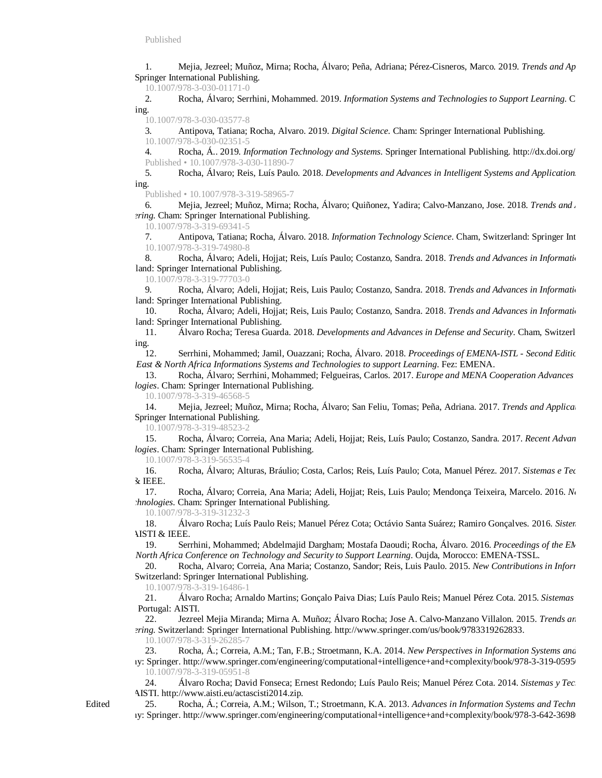1. Mejia, Jezreel; Muñoz, Mirna; Rocha, Álvaro; Peña, Adriana; Pérez-Cisneros, Marco. 2019. *Trends and Applications in Software Engineering* Springer International Publishing.

10.1007/978-3-030-01171-0

2. Rocha, Álvaro; Serrhini, Mohammed. 2019. *Information Systems and Technologies to Support Learning*. C ing.

10.1007/978-3-030-03577-8

3. Antipova, Tatiana; Rocha, Alvaro. 2019. *Digital Science*. Cham: Springer International Publishing.

10.1007/978-3-030-02351-5

4. Rocha, Á.. 2019. *Information Technology and Systems*. Springer International Publishing. http://dx.doi.org/ Published • 10.1007/978-3-030-11890-7

5. Rocha, Álvaro; Reis, Luís Paulo. 2018. *Developments and Advances in Intelligent Systems and Applications* ing.

Published • 10.1007/978-3-319-58965-7

6. Mejia, Jezreel; Muñoz, Mirna; Rocha, Álvaro; Quiñonez, Yadira; Calvo-Manzano, Jose. 2018. *Trends and . ering*. Cham: Springer International Publishing.

10.1007/978-3-319-69341-5

7. Antipova, Tatiana; Rocha, Álvaro. 2018. *Information Technology Science*. Cham, Switzerland: Springer Int 10.1007/978-3-319-74980-8

8. Rocha, Álvaro; Adeli, Hojjat; Reis, Luís Paulo; Costanzo, Sandra. 2018. *Trends and Advances in Information* land: Springer International Publishing.

10.1007/978-3-319-77703-0

9. Rocha, Álvaro; Adeli, Hojjat; Reis, Luis Paulo; Costanzo, Sandra. 2018. *Trends and Advances in Information* land: Springer International Publishing.

10. Rocha, Álvaro; Adeli, Hojjat; Reis, Luis Paulo; Costanzo, Sandra. 2018. *Trends and Advances in Information* land: Springer International Publishing.

11. *Álvaro Rocha; Teresa Guarda. 2018. Developments and Advances in Defense and Security. Cham, Switzerl* ing.

12. Serrhini, Mohammed; Jamil, Ouazzani; Rocha, Álvaro. 2018. Proceedings of EMENA-ISTL - Second Editic *Middle East & North Africa Informations Systems and Technologies to support Learning*. Fez: EMENA.

13. Rocha, Álvaro; Serrhini, Mohammed; Felgueiras, Carlos. 2017. *Europe and MENA Cooperation Advances Logies*. Cham: Springer International Publishing.

10.1007/978-3-319-46568-5

14. Mejia, Jezreel; Muñoz, Mirna; Rocha, Álvaro; San Feliu, Tomas; Peña, Adriana. 2017. *Trends and Applications in Software Engineering* Springer International Publishing.

10.1007/978-3-319-48523-2

15. Rocha, Álvaro; Correia, Ana Maria; Adeli, Hojjat; Reis, Luís Paulo; Costanzo, Sandra. 2017. *Recent Advan* logies. Cham: Springer International Publishing.

10.1007/978-3-319-56535-4

16. Rocha, Álvaro; Alturas, Bráulio; Costa, Carlos; Reis, Luís Paulo; Cota, Manuel Pérez. 2017. *Sistemas e Tec*  $\&$  IEEE.

17. Rocha, Álvaro; Correia, Ana Maria; Adeli, Hojjat; Reis, Luis Paulo; Mendonça Teixeira, Marcelo. 2016. *Ne hnologies*. Cham: Springer International Publishing.

10.1007/978-3-319-31232-3

18. Álvaro Rocha; Luís Paulo Reis; Manuel Pérez Cota; Octávio Santa Suárez; Ramiro Gonçalves. 2016. *Sisten* **NISTI & IEEE.** 

19. Serrhini, Mohammed; Abdelmajid Dargham; Mostafa Daoudi; Rocha, Álvaro. 2016. *Proceedings of the EN East & North Africa Conference on Technology and Security to Support Learning*. Oujda, Morocco: EMENA-TSSL.

20. Rocha, Alvaro; Correia, Ana Maria; Costanzo, Sandor; Reis, Luis Paulo. 2015. *New Contributions in Inform* Switzerland: Springer International Publishing.

10.1007/978-3-319-16486-1

21. Álvaro Rocha; Arnaldo Martins; Gonçalo Paiva Dias; Luís Paulo Reis; Manuel Pérez Cota. 2015. *Sistemas e Tecnologias de Informação* Portugal: AISTI.

22. Jezreel Mejia Miranda; Mirna A. Muñoz; Álvaro Rocha; Jose A. Calvo-Manzano Villalon. 2015. *Trends an Engineering*. Switzerland: Springer International Publishing. <http://www.springer.com/us/book/9783319262833.>

10.1007/978-3-319-26285-7

23. Rocha, Á.; Correia, A.M.; Tan, F.B.; Stroetmann, K.A. 2014. *New Perspectives in Information Systems and* iy: Springer. http://www.springer.com/engineering/computational+intelligence+and+complexity/book/978-3-319-0595 10.1007/978-3-319-05951-8

24. Álvaro Rocha; David Fonseca; Ernest Redondo; Luís Paulo Reis; Manuel Pérez Cota. 2014. *Sistemas y Tec*nologías de *Información* AISTI.<http://www.aisti.eu/actascisti2014.zip.>

25. Rocha, Á.; Correia, A.M.; Wilson, T.; Stroetmann, K.A. 2013. *Advances in Information Systems and Techn* iy: Springer. http://www.springer.com/engineering/computational+intelligence+and+complexity/book/978-3-642-3698

Edited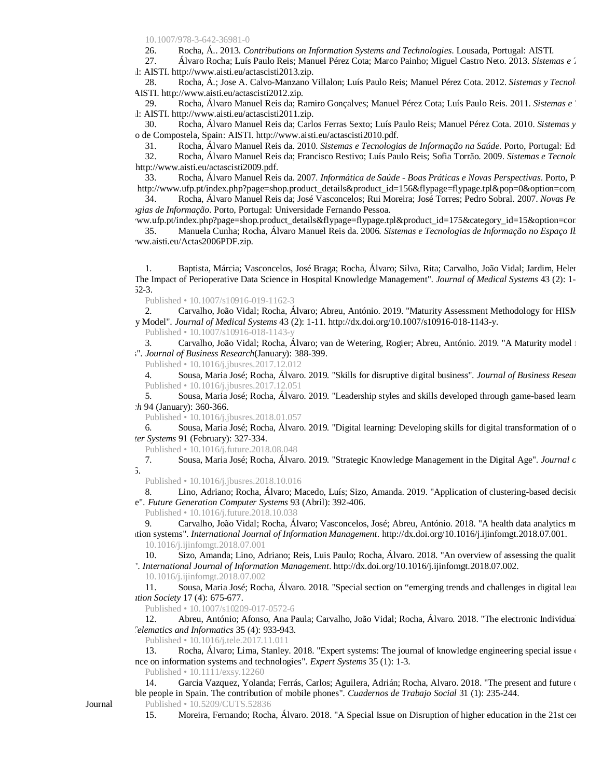10.1007/978-3-642-36981-0

26. Rocha, Á.. 2013. *Contributions on Information Systems and Technologies*. Lousada, Portugal: AISTI.

27. Álvaro Rocha; Luís Paulo Reis; Manuel Pérez Cota; Marco Painho; Miguel Castro Neto. 2013. *Sistemas e Tecnologias de Informação* 1: AISTI. <http://www.aisti.eu/actascisti2013.zip.>

28. Rocha, Á.; Jose A. Calvo-Manzano Villalon; Luís Paulo Reis; Manuel Pérez Cota. 2012. *Sistemas y Tecnol* AISTI.<http://www.aisti.eu/actascisti2012.zip.>

29. Rocha, Álvaro Manuel Reis da; Ramiro Gonçalves; Manuel Pérez Cota; Luís Paulo Reis. 2011. *Sistemas e* 1: AISTI. <http://www.aisti.eu/actascisti2011.zip.>

30. Rocha, Álvaro Manuel Reis da; Carlos Ferras Sexto; Luís Paulo Reis; Manuel Pérez Cota. 2010. *Sistemas y* o de Compostela, Spain: AISTI. <http://www.aisti.eu/actascisti2010.pdf.>

31. Rocha, Álvaro Manuel Reis da. 2010. *Sistemas e Tecnologias de Informação na Saúde*. Porto, Portugal: Edição.<br>32. Rocha, Álvaro Manuel Reis da: Francisco Restivo: Luís Paulo Reis: Sofia Torrão. 2009. *Sistemas e Tecnol* 

32. Rocha, Álvaro Manuel Reis da; Francisco Restivo; Luís Paulo Reis; Sofia Torrão. 2009. *Sistemas e Tecnologias de Informação* <http://www.aisti.eu/actascisti2009.pdf.>

33. Rocha, Álvaro Manuel Reis da. 2007. *Informática de Saúde - Boas Práticas e Novas Perspectivas*. Porto, P http://www.ufp.pt/index.php?page=shop.product\_details&product\_id=156&flypage=flypage.tpl&pop=0&option=com

34. Rocha, Álvaro Manuel Reis da; José Vasconcelos; Rui Moreira; José Torres; Pedro Sobral. 2007. *Novas Perspectivas em Sistemas e Tecnologias de Informação*. Porto, Portugal: Universidade Fernando Pessoa.

ww.ufp.pt/index.php?page=shop.product\_details&flypage=flypage.tpl&product\_id=175&category\_id=15&option=cor 35. Manuela Cunha; Rocha, Álvaro Manuel Reis da. 2006. *Sistemas e Tecnologias de Informação no Espaço Ibérico* ww.aisti.eu/Actas2006PDF.zip.

Baptista, Márcia; Vasconcelos, José Braga; Rocha, Álvaro; Silva, Rita; Carvalho, João Vidal; Jardim, Helen "The Impact of Perioperative Data Science in Hospital Knowledge Management". *Journal of Medical Systems* 43 (2): 1-  $52-3.$ 

Published • 10.1007/s10916-019-1162-3

2. Carvalho, João Vidal; Rocha, Álvaro; Abreu, António. 2019. "Maturity Assessment Methodology for HISMM Maturity Model". *Journal of Medical Systems* 43 (2): 1-11.<http://dx.doi.org/10.1007/s10916-018-1143-y.>

Published • 10.1007/s10916-018-1143-y

3. Carvalho, João Vidal; Rocha, Álvaro; van de Wetering, Rogier; Abreu, António. 2019. "A Maturity model i  $\cdot$ ". *Journal of Business Research*(January): 388-399.

Published • 10.1016/j.jbusres.2017.12.012

4. Sousa, Maria José; Rocha, Álvaro. 2019. "Skills for disruptive digital business". *Journal of Business Resear* Published • 10.1016/j.jbusres.2017.12.051

5. Sousa, Maria José; Rocha, Álvaro. 2019. "Leadership styles and skills developed through game-based learn *h* 94 (January): 360-366.

Published • 10.1016/j.jbusres.2018.01.057

6. Sousa, Maria José; Rocha, Álvaro. 2019. "Digital learning: Developing skills for digital transformation of o *Computer Systems* 91 (February): 327-334.

Published • 10.1016/j.future.2018.08.048<br>7. Sousa. Maria José: Rocha. Álvar

7. Sousa, Maria José; Rocha, Álvaro. 2019. "Strategic Knowledge Management in the Digital Age". *Journal of Business Research* 5.

Published • 10.1016/j.jbusres.2018.10.016

Lino, Adriano; Rocha, Álvaro; Macedo, Luís; Sizo, Amanda. 2019. "Application of clustering-based decision e". Future Generation Computer Systems 93 (Abril): 392-406.

Published • 10.1016/j.future.2018.10.038

9. Carvalho, João Vidal; Rocha, Álvaro; Vasconcelos, José; Abreu, António. 2018. "A health data analytics m information systems". *International Journal of Information Management*. <http://dx.doi.org/10.1016/j.ijinfomgt.2018.07.001.> 10.1016/j.ijinfomgt.2018.07.001

10. Sizo, Amanda; Lino, Adriano; Reis, Luis Paulo; Rocha, Álvaro. 2018. "An overview of assessing the qualit articles". *International Journal of Information Management*.<http://dx.doi.org/10.1016/j.ijinfomgt.2018.07.002.>

10.1016/j.ijinfomgt.2018.07.002

11. Sousa, Maria José; Rocha, Álvaro. 2018. "Special section on "emerging trends and challenges in digital lear *Information Society* 17 (4): 675-677.

Published • 10.1007/s10209-017-0572-6

12. Abreu, António; Afonso, Ana Paula; Carvalho, João Vidal; Rocha, Álvaro. 2018. "The electronic Individual *Telematics and Informatics* 35 (4): 933-943.

Published • 10.1016/j.tele.2017.11.011

13. Rocha, Álvaro; Lima, Stanley. 2018. "Expert systems: The journal of knowledge engineering special issue  $\epsilon$ nce on information systems and technologies". *Expert Systems* 35 (1): 1-3.

Published • 10.1111/exsy.12260

14. Garcia Vazquez, Yolanda; Ferrás, Carlos; Aguilera, Adrián; Rocha, Alvaro. 2018. "The present and future of ble people in Spain. The contribution of mobile phones". *Cuadernos de Trabajo Social* 31 (1): 235-244. Published • 10.5209/CUTS.52836

15. Moreira, Fernando; Rocha, Álvaro. 2018. "A Special Issue on Disruption of higher education in the 21st century due to ICTs.".

Journal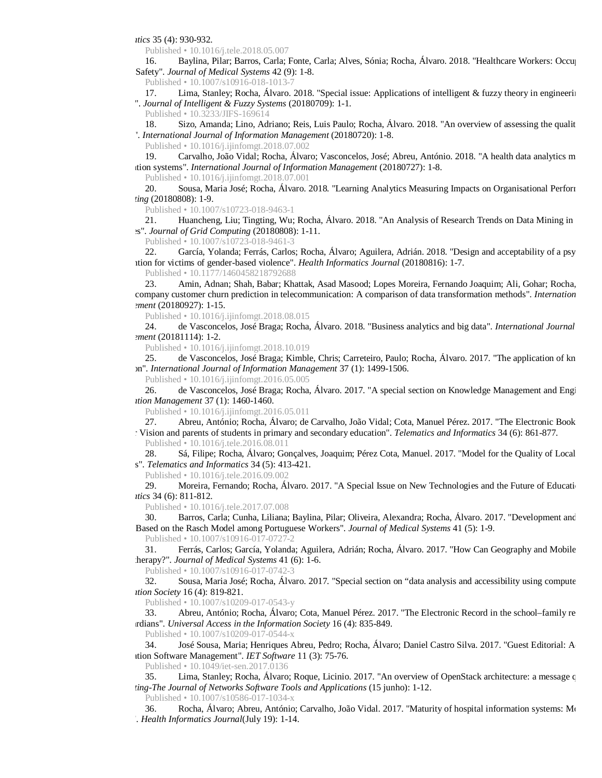*Informatics* 35 (4): 930-932.

Published • 10.1016/j.tele.2018.05.007

16. Baylina, Pilar; Barros, Carla; Fonte, Carla; Alves, Sónia; Rocha, Álvaro. 2018. "Healthcare Workers: Occup Safety". *Journal of Medical Systems* 42 (9): 1-8.

Published • 10.1007/s10916-018-1013-7

17. Lima, Stanley; Rocha, Álvaro. 2018. "Special issue: Applications of intelligent & fuzzy theory in engineering ". *Journal of Intelligent & Fuzzy Systems* (20180709): 1-1.

Published • 10.3233/JIFS-169614

18. Sizo, Amanda; Lino, Adriano; Reis, Luis Paulo; Rocha, Álvaro. 2018. "An overview of assessing the quality <sup>2</sup>. *International Journal of Information Management* (20180720): 1-8.

Published • 10.1016/j.ijinfomgt.2018.07.002

19. Carvalho, João Vidal; Rocha, Álvaro; Vasconcelos, José; Abreu, António. 2018. "A health data analytics m tion systems". *International Journal of Information Management* (20180727): 1-8.

Published • 10.1016/j.ijinfomgt.2018.07.001

20. Sousa, Maria José; Rocha, Álvaro. 2018. "Learning Analytics Measuring Impacts on Organisational Performance". *Computing* (20180808): 1-9.

Published • 10.1007/s10723-018-9463-1

21. Huancheng, Liu; Tingting, Wu; Rocha, Álvaro. 2018. "An Analysis of Research Trends on Data Mining in Libraries". *Journal of Grid Computing* (20180808): 1-11.

Published • 10.1007/s10723-018-9461-3

22. García, Yolanda; Ferrás, Carlos; Rocha, Álvaro; Aguilera, Adrián. 2018. "Design and acceptability of a psy ition for victims of gender-based violence". *Health Informatics Journal* (20180816): 1-7.

Published • 10.1177/1460458218792688

23. Amin, Adnan; Shah, Babar; Khattak, Asad Masood; Lopes Moreira, Fernando Joaquim; Ali, Gohar; Rocha, company customer churn prediction in telecommunication: A comparison of data transformation methods". *Internation Management* (20180927): 1-15.

Published • 10.1016/j.ijinfomgt.2018.08.015

24. de Vasconcelos, José Braga; Rocha, Álvaro. 2018. "Business analytics and big data". *International Journal of Information Management* (20181114): 1-2.

Published • 10.1016/j.ijinfomgt.2018.10.019

25. de Vasconcelos, José Braga; Kimble, Chris; Carreteiro, Paulo; Rocha, Álvaro. 2017. "The application of kn bn". *International Journal of Information Management* 37 (1): 1499-1506.

Published • 10.1016/j.ijinfomgt.2016.05.005

26. de Vasconcelos, José Braga; Rocha, Álvaro. 2017. "A special section on Knowledge Management and Engi *Information Management* 37 (1): 1460-1460.

Published • 10.1016/j.ijinfomgt.2016.05.011

27. Abreu, António; Rocha, Álvaro; de Carvalho, João Vidal; Cota, Manuel Pérez. 2017. "The Electronic Book Teacher Vision and parents of students in primary and secondary education". *Telematics and Informatics* 34 (6): 861-877. Published • 10.1016/j.tele.2016.08.011

28. Sá, Filipe; Rocha, Álvaro; Gonçalves, Joaquim; Pérez Cota, Manuel. 2017. "Model for the Quality of Local s". *Telematics and Informatics* 34 (5): 413-421.

Published • 10.1016/j.tele.2016.09.002

29. Moreira, Fernando; Rocha, Álvaro. 2017. "A Special Issue on New Technologies and the Future of Education *Informatics* 34 (6): 811-812.

Published • 10.1016/j.tele.2017.07.008

30. Barros, Carla; Cunha, Liliana; Baylina, Pilar; Oliveira, Alexandra; Rocha, Álvaro. 2017. "Development and Based on the Rasch Model among Portuguese Workers". *Journal of Medical Systems* 41 (5): 1-9. Published • 10.1007/s10916-017-0727-2

31. Ferrás, Carlos; García, Yolanda; Aguilera, Adrián; Rocha, Álvaro. 2017. "How Can Geography and Mobile herapy?". *Journal of Medical Systems* 41 (6): 1-6.

Published • 10.1007/s10916-017-0742-3

32. Sousa, Maria José; Rocha, Álvaro. 2017. "Special section on "data analysis and accessibility using compute *Information Society* 16 (4): 819-821.

Published • 10.1007/s10209-017-0543-y

33. Abreu, António; Rocha, Álvaro; Cota, Manuel Pérez. 2017. "The Electronic Record in the school–family re and guardians". *Universal Access in the Information Society* 16 (4): 835-849.

Published • 10.1007/s10209-017-0544-x

34. José Sousa, Maria; Henriques Abreu, Pedro; Rocha, Álvaro; Daniel Castro Silva. 2017. "Guest Editorial: A Information Software Management". *IET Software* 11 (3): 75-76.

Published • 10.1049/iet-sen.2017.0136

Lima, Stanley; Rocha, Álvaro; Roque, Licinio. 2017. "An overview of OpenStack architecture: a message queu *Computing-The Journal of Networks Software Tools and Applications* (15 junho): 1-12.

Published • 10.1007/s10586-017-1034-x

36. Rocha, Álvaro; Abreu, António; Carvalho, João Vidal. 2017. "Maturity of hospital information systems: Most . *Health Informatics Journal*(July 19): 1-14.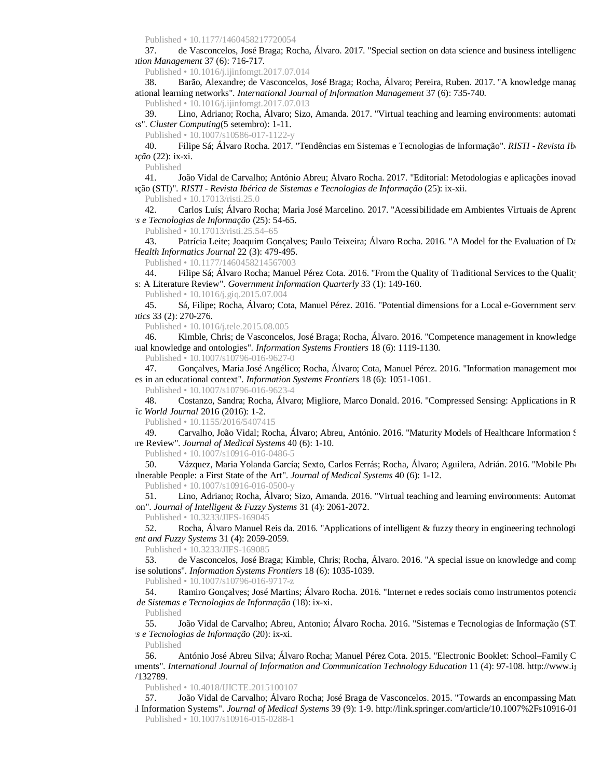Published • 10.1177/1460458217720054

37. de Vasconcelos, José Braga; Rocha, Álvaro. 2017. "Special section on data science and business intelligence". *Information Management* 37 (6): 716-717.

Published • 10.1016/j.ijinfomgt.2017.07.014

Barão, Alexandre; de Vasconcelos, José Braga; Rocha, Álvaro; Pereira, Ruben. 2017. "A knowledge management approach to capture approach to capture approach to capture approach to capture approach to capture approach to cap ational learning networks". *International Journal of Information Management* 37 (6): 735-740. Published • 10.1016/j.ijinfomgt.2017.07.013

39. Lino, Adriano; Rocha, Álvaro; Sizo, Amanda. 2017. "Virtual teaching and learning environments: automati  $is$ ". *Cluster Computing*(5 setembro): 1-11.

Published • 10.1007/s10586-017-1122-y

40. Filipe Sá; Álvaro Rocha. 2017. "Tendências em Sistemas e Tecnologias de Informação". *RISTI - Revista Ibérica de Sistemas e Tecnologias de Informação* (22): ix-xi.

Published

41. João Vidal de Carvalho; António Abreu; Álvaro Rocha. 2017. "Editorial: Metodologias e aplicações inovadora Informação (STI)". *RISTI - Revista Ibérica de Sistemas e Tecnologias de Informação* (25): ix-xii.

Published • 10.17013/risti.25.0

42. Carlos Luís; Álvaro Rocha; Maria José Marcelino. 2017. "Acessibilidade em Ambientes Virtuais de Aprendi *Sistemas e Tecnologias de Informação* (25): 54-65.

Published • 10.17013/risti.25.54–65

43. Patrícia Leite; Joaquim Gonçalves; Paulo Teixeira; Álvaro Rocha. 2016. "A Model for the Evaluation of Da *Health Informatics Journal* 22 (3): 479-495.

Published • 10.1177/1460458214567003

44. Filipe Sá; Álvaro Rocha; Manuel Pérez Cota. 2016. "From the Quality of Traditional Services to the Quality s: A Literature Review". *Government Information Quarterly* 33 (1): 149-160.

Published • 10.1016/j.giq.2015.07.004

45. Sá, Filipe; Rocha, Álvaro; Cota, Manuel Pérez. 2016. "Potential dimensions for a Local e-Government serv *Informatics* 33 (2): 270-276.

Published • 10.1016/j.tele.2015.08.005

46. Kimble, Chris; de Vasconcelos, José Braga; Rocha, Álvaro. 2016. "Competence management in knowledge aul knowledge and ontologies". *Information Systems Frontiers* 18 (6): 1119-1130.

Published • 10.1007/s10796-016-9627-0

47. Gonçalves, Maria José Angélico; Rocha, Álvaro; Cota, Manuel Pérez. 2016. "Information management model" es in an educational context". *Information Systems Frontiers* 18 (6): 1051-1061.

Published • 10.1007/s10796-016-9623-4

48. Costanzo, Sandra; Rocha, Álvaro; Migliore, Marco Donald. 2016. "Compressed Sensing: Applications in R *Scientific World Journal* 2016 (2016): 1-2.

Published • 10.1155/2016/5407415

49. Carvalho, João Vidal; Rocha, Álvaro; Abreu, António. 2016. "Maturity Models of Healthcare Information S re Review". *Journal of Medical Systems* 40 (6): 1-10.

Published • 10.1007/s10916-016-0486-5

50. Vázquez, Maria Yolanda García; Sexto, Carlos Ferrás; Rocha, Álvaro; Aguilera, Adrián. 2016. "Mobile Pho with Vulnerable People: a First State of the Art". *Journal of Medical Systems* 40 (6): 1-12.

Published • 10.1007/s10916-016-0500-y

51. Lino, Adriano; Rocha, Álvaro; Sizo, Amanda. 2016. "Virtual teaching and learning environments: Automat on". *Journal of Intelligent & Fuzzy Systems* 31 (4): 2061-2072.

Published • 10.3233/JIFS-169045

52. Rocha, Álvaro Manuel Reis da. 2016. "Applications of intelligent & fuzzy theory in engineering technologi *igent and Fuzzy Systems* 31 (4): 2059-2059.

Published • 10.3233/JIFS-169085

53. de Vasconcelos, José Braga; Kimble, Chris; Rocha, Álvaro. 2016. "A special issue on knowledge and comp ise solutions". *Information Systems Frontiers* 18 (6): 1035-1039.

Published • 10.1007/s10796-016-9717-z

54. Ramiro Gonçalves; José Martins; Álvaro Rocha. 2016. "Internet e redes sociais como instrumentos potencia *Ibérica de Sistemas e Tecnologias de Informação* (18): ix-xi.

Published

55. João Vidal de Carvalho; Abreu, Antonio; Álvaro Rocha. 2016. "Sistemas e Tecnologias de Informação (ST. *Sistemas e Tecnologias de Informação* (20): ix-xi.

Published

56. António José Abreu Silva; Álvaro Rocha; Manuel Pérez Cota. 2015. "Electronic Booklet: School–Family C Environments". *International Journal of Information and Communication Technology Education* 11 (4): 97-108.<http://www.igi>  $/132789.$ 

Published • 10.4018/IJICTE.2015100107

57. João Vidal de Carvalho; Álvaro Rocha; José Braga de Vasconcelos. 2015. "Towards an encompassing Maturity Model for the Management of the Management of the Management of the Management of the Management of the Managemen Hospital Information Systems". *Journal of Medical Systems* 39 (9): 1-9.<http://link.springer.com/article/10.1007%2Fs10916-015> Published • 10.1007/s10916-015-0288-1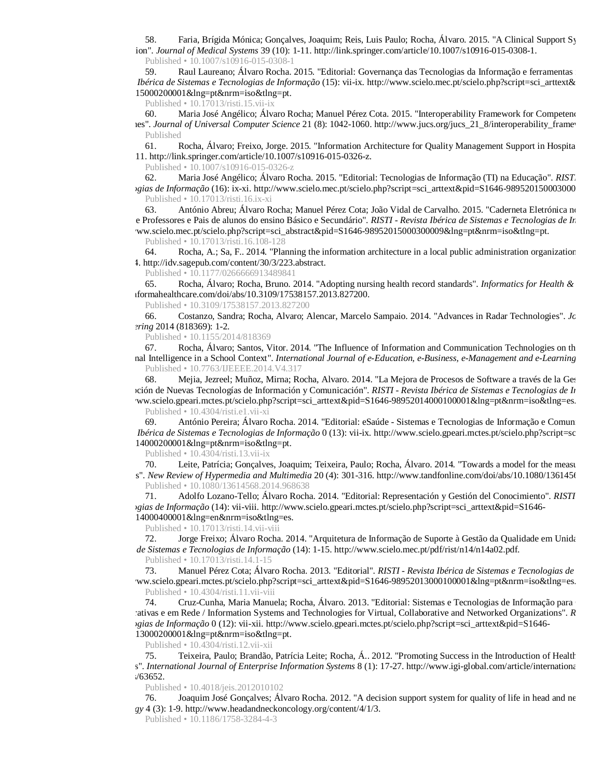58. Faria, Brígida Mónica; Gonçalves, Joaquim; Reis, Luis Paulo; Rocha, Álvaro. 2015. "A Clinical Support Sy Estimation". *Journal of Medical Systems* 39 (10): 1-11. <http://link.springer.com/article/10.1007/s10916-015-0308-1.> Published • 10.1007/s10916-015-0308-1

59. Raul Laureano; Álvaro Rocha. 2015. "Editorial: Governança das Tecnologias da Informação e ferramentas informáticas para auditoria e ferramentas e auditorias para auditoria e ferramentas informáticas para auditorialemen *Ibérica de Sistemas e Tecnologias de Informação* (15): vii-ix. http://www.scielo.mec.pt/scielo.php?script=sci\_arttext& 98952015000200001&lng=pt&nrm=iso&tlng=pt.

Published • 10.17013/risti.15.vii-ix

60. Maria José Angélico; Álvaro Rocha; Manuel Pérez Cota. 2015. "Interoperability Framework for Competence les". *Journal of Universal Computer Science* 21 (8): 1042-1060. http://www.jucs.org/jucs\_21\_8/interoperability\_framew Published

61. Rocha, Álvaro; Freixo, Jorge. 2015. "Information Architecture for Quality Management Support in Hospita 11.<http://link.springer.com/article/10.1007/s10916-015-0326-z.>

Published • 10.1007/s10916-015-0326-z

62. Maria José Angélico; Álvaro Rocha. 2015. "Editorial: Tecnologias de Informação (TI) na Educação". *RISTI pgias de Informação* (16): ix-xi. http://www.scielo.mec.pt/scielo.php?script=sci\_arttext&pid=S1646-989520150003000 Published • 10.17013/risti.16.ix-xi

63. António Abreu; Álvaro Rocha; Manuel Pérez Cota; João Vidal de Carvalho. 2015. "Caderneta Eletrónica no e Professores e Pais de alunos do ensino Básico e Secundário". *RISTI - Revista Ibérica de Sistemas e Tecnologias de In* ww.scielo.mec.pt/scielo.php?script=sci\_abstract&pid=S1646-98952015000300009&lng=pt&nrm=iso&tlng=pt.

Published • 10.17013/risti.16.108-128

64. Rocha, A.; Sa, F.. 2014. "Planning the information architecture in a local public administration organization". 234. <http://idv.sagepub.com/content/30/3/223.abstract.>

Published • 10.1177/0266666913489841

65. Rocha, Álvaro; Rocha, Bruno. 2014. "Adopting nursing health record standards". *Informatics for Health & Social Care* <http://informahealthcare.com/doi/abs/10.3109/17538157.2013.827200.>

Published • 10.3109/17538157.2013.827200

66. Costanzo, Sandra; Rocha, Alvaro; Alencar, Marcelo Sampaio. 2014. "Advances in Radar Technologies". *Journal of Electrical and Computer Engineering* 2014 (818369): 1-2.

Published • 10.1155/2014/818369

67. Rocha, Álvaro; Santos, Vitor. 2014. "The Influence of Information and Communication Technologies on th nal Intelligence in a School Context". *International Journal of e-Education, e-Business, e-Management and e-Learning* Published • 10.7763/IJEEEE.2014.V4.317

68. Mejia, Jezreel; Muñoz, Mirna; Rocha, Alvaro. 2014. "La Mejora de Procesos de Software a través de la Ges la Adopción de Nuevas Tecnologías de Información y Comunicación". *RISTI - Revista Ibérica de Sistemas e Tecnologias de Informação* ww.scielo.gpeari.mctes.pt/scielo.php?script=sci\_arttext&pid=S1646-98952014000100001&lng=pt&nrm=iso&tlng=es. Published • 10.4304/risti.e1.vii-xi

69. António Pereira; Álvaro Rocha. 2014. "Editorial: eSaúde - Sistemas e Tecnologias de Informação e Comun *Ibérica de Sistemas e Tecnologias de Informação* 0 (13): vii-ix. http://www.scielo.gpeari.mctes.pt/scielo.php?script=sc 98952014000200001&lng=pt&nrm=iso&tlng=pt.

Published • 10.4304/risti.13.vii-ix

70. Leite, Patrícia; Gonçalves, Joaquim; Teixeira, Paulo; Rocha, Álvaro. 2014. "Towards a model for the measurement s". *New Review of Hypermedia and Multimedia* 20 (4): 301-316. http://www.tandfonline.com/doi/abs/10.1080/136145t

Published • 10.1080/13614568.2014.968638

71. Adolfo Lozano-Tello; Álvaro Rocha. 2014. "Editorial: Representación y Gestión del Conocimiento". *RISTI Tecnologias de Informação* (14): vii-viii. [http://www.scielo.gpeari.mctes.pt/scielo.php?script=sci\\_arttext&pid=S1646-](http://www.scielo.gpeari.mctes.pt/scielo.php?script=sci_arttext&pid=S1646-) 98952014000400001&lng=en&nrm=iso&tlng=es.

Published • 10.17013/risti.14.vii-viii

72. Jorge Freixo; Álvaro Rocha. 2014. "Arquitetura de Informação de Suporte à Gestão da Qualidade em Unida *bérica de Sistemas e Tecnologias de Informação* (14): 1-15.<http://www.scielo.mec.pt/pdf/rist/n14/n14a02.pdf.> Published • 10.17013/risti.14.1-15

73. Manuel Pérez Cota; Álvaro Rocha. 2013. "Editorial". *RISTI - Revista Ibérica de Sistemas e Tecnologias de Informa* ww.scielo.gpeari.mctes.pt/scielo.php?script=sci\_arttext&pid=S1646-98952013000100001&lng=pt&nrm=iso&tlng=es. Published • 10.4304/risti.11.vii-viii

74. Cruz-Cunha, Maria Manuela; Rocha, Álvaro. 2013. "Editorial: Sistemas e Tecnologias de Informação para cativas e em Rede / Information Systems and Technologies for Virtual, Collaborative and Networked Organizations". *R Tecnologias de Informação* 0 (12): vii-xii. [http://www.scielo.gpeari.mctes.pt/scielo.php?script=sci\\_arttext&pid=S1646-](http://www.scielo.gpeari.mctes.pt/scielo.php?script=sci_arttext&pid=S1646-) 98952013000200001&lng=pt&nrm=iso&tlng=pt.

Published • 10.4304/risti.12.vii-xii

75. Teixeira, Paulo; Brandão, Patrícia Leite; Rocha, Á.. 2012. "Promoting Success in the Introduction of Health s". *International Journal of Enterprise Information Systems* 8 (1): 17-27. <http://www.igi-global.com/article/international>  $/63652.$ 

Published • 10.4018/jeis.2012010102

76. Joaquim José Gonçalves; Álvaro Rocha. 2012. "A decision support system for quality of life in head and ne *Oncology* 4 (3): 1-9. <http://www.headandneckoncology.org/content/4/1/3.>

Published • 10.1186/1758-3284-4-3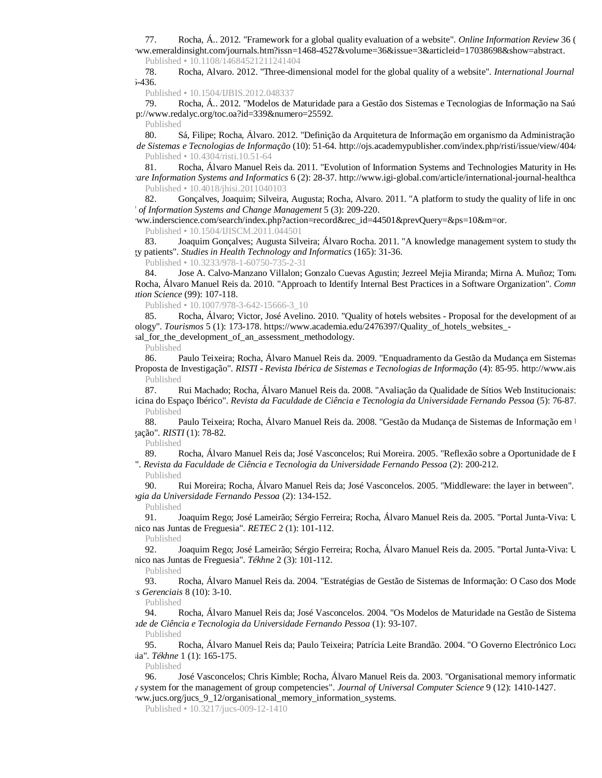77. Rocha, Á.. 2012. "Framework for a global quality evaluation of a website". *Online Information Review* 36 (3): 374 ww.emeraldinsight.com/journals.htm?issn=1468-4527&volume=36&issue=3&articleid=17038698&show=abstract. Published • 10.1108/14684521211241404

78. Rocha, Alvaro. 2012. "Three-dimensional model for the global quality of a website". *International Journal*  $i - 436.$ 

Published • 10.1504/IJBIS.2012.048337

79. Rocha, Á.. 2012. "Modelos de Maturidade para a Gestão dos Sistemas e Tecnologias de Informação na Saú p://www.redalyc.org/toc.oa?id=339&numero=25592.

Published

80. Sá, Filipe; Rocha, Álvaro. 2012. "Definição da Arquitetura de Informação em organismo da Administração *de Sistemas e Tecnologias de Informação* (10): 51-64. http://ojs.academypublisher.com/index.php/risti/issue/view/404/ Published • 10.4304/risti.10.51-64

81. Rocha, Álvaro Manuel Reis da. 2011. "Evolution of Information Systems and Technologies Maturity in Healthcare *Are Information Systems and Informatics* 6 (2): 28-37.<http://www.igi-global.com/article/international-journal-healthcare> Published • 10.4018/jhisi.2011040103

82. Gonçalves, Joaquim; Silveira, Augusta; Rocha, Alvaro. 2011. "A platform to study the quality of life in onc *Jof Information Systems and Change Management* 5 (3): 209-220.

ww.inderscience.com/search/index.php?action=record&rec\_id=44501&prevQuery=&ps=10&m=or. Published • 10.1504/IJISCM.2011.044501

83. Joaquim Gonçalves; Augusta Silveira; Álvaro Rocha. 2011. "A knowledge management system to study the gy patients". *Studies in Health Technology and Informatics* (165): 31-36.

Published • 10.3233/978-1-60750-735-2-31

84. Jose A. Calvo-Manzano Villalon; Gonzalo Cuevas Agustin; Jezreel Mejia Miranda; Mirna A. Muñoz; Toma Rocha, Álvaro Manuel Reis da. 2010. "Approach to Identify Internal Best Practices in a Software Organization". *Comn Information Science* (99): 107-118.

Published • 10.1007/978-3-642-15666-3\_10

85. Rocha, Álvaro; Victor, José Avelino. 2010. "Quality of hotels websites - Proposal for the development of an ology". *Tourismos* 5 (1): 173-178. https://www.academia.edu/2476397/Quality of hotels websites -

sal\_for\_the\_development\_of\_an\_assessment\_methodology.

Published

86. Paulo Teixeira; Rocha, Álvaro Manuel Reis da. 2009. "Enquadramento da Gestão da Mudança em Sistemas Proposta de Investigação". *RISTI - Revista Ibérica de Sistemas e Tecnologias de Informação* (4): 85-95. http://www.ais Published

87. Rui Machado; Rocha, Álvaro Manuel Reis da. 2008. "Avaliação da Qualidade de Sítios Web Institucionais: icina do Espaço Ibérico". *Revista da Faculdade de Ciência e Tecnologia da Universidade Fernando Pessoa* (5): 76-87. Published

88. Paulo Teixeira; Rocha, Álvaro Manuel Reis da. 2008. "Gestão da Mudança de Sistemas de Informação em 1 Investigação". *RISTI* (1): 78-82.

Published

89. Rocha, Álvaro Manuel Reis da; José Vasconcelos; Rui Moreira. 2005. "Reflexão sobre a Oportunidade de I Médica". *Revista da Faculdade de Ciência e Tecnologia da Universidade Fernando Pessoa* (2): 200-212.

Published<br>90.

90. Rui Moreira; Rocha, Álvaro Manuel Reis da; José Vasconcelos. 2005. "Middleware: the layer in between". *Tecnologia da Universidade Fernando Pessoa* (2): 134-152.

Published

91. Joaquim Rego; José Lameirão; Sérgio Ferreira; Rocha, Álvaro Manuel Reis da. 2005. "Portal Junta-Viva: U nico nas Juntas de Freguesia". *RETEC* 2 (1): 101-112.

Published

92. Joaquim Rego; José Lameirão; Sérgio Ferreira; Rocha, Álvaro Manuel Reis da. 2005. "Portal Junta-Viva: U nico nas Juntas de Freguesia". *Tékhne* 2 (3): 101-112.

Published

93. Rocha, Álvaro Manuel Reis da. 2004. "Estratégias de Gestão de Sistemas de Informação: O Caso dos Mode *Ciências Gerenciais* 8 (10): 3-10.

Published

94. Rocha, Álvaro Manuel Reis da; José Vasconcelos. 2004. "Os Modelos de Maturidade na Gestão de Sistema *Faculdade de Ciência e Tecnologia da Universidade Fernando Pessoa* (1): 93-107.

Published

95. Rocha, Álvaro Manuel Reis da; Paulo Teixeira; Patrícia Leite Brandão. 2004. "O Governo Electrónico Local ia". *Tékhne* 1 (1): 165-175.

Published

96. José Vasconcelos: Chris Kimble: Rocha, Álvaro Manuel Reis da. 2003. "Organisational memory informatic memory system for the management of group competencies". *Journal of Universal Computer Science* 9 (12): 1410-1427.

ww.jucs.org/jucs\_9\_12/organisational\_memory\_information\_systems.

Published • 10.3217/jucs-009-12-1410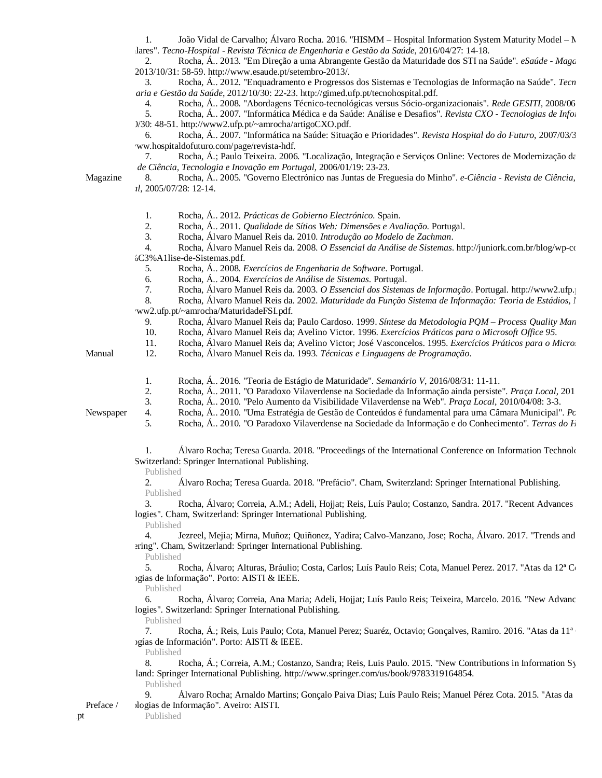1. João Vidal de Carvalho; Álvaro Rocha. 2016. "HISMM – Hospital Information System Maturity Model –  $N$ Hospitalares". *Tecno-Hospital - Revista Técnica de Engenharia e Gestão da Saúde*, 2016/04/27: 14-18.

2. Rocha, Á.. 2013. "Em Direção a uma Abrangente Gestão da Maturidade dos STI na Saúde". *eSaúde - Magazine dos Sistemas de Informação na*  , 2013/10/31: 58-59. <http://www.esaude.pt/setembro-2013/.>

3. Rocha, Á.. 2012. "Enquadramento e Progressos dos Sistemas e Tecnologias de Informação na Saúde". *Tecno Engenharia e Gestão da Saúde*, 2012/10/30: 22-23. <http://gimed.ufp.pt/tecnohospital.pdf.>

4. Rocha, Á.. 2008. "Abordagens Técnico-tecnológicas versus Sócio-organizacionais". *Rede GESITI*, 2008/06

5. Rocha, Á.. 2007. "Informática Médica e da Saúde: Análise e Desafios". *Revista CXO - Tecnologias de Informação* )/30: 48-51.<http://www2.ufp.pt/~amrocha/artigoCXO.pdf.>

6. Rocha, Á.. 2007. "Informática na Saúde: Situação e Prioridades". *Revista Hospital do do Futuro*, 2007/03/30: ww.hospitaldofuturo.com/page/revista-hdf.

7. Rocha, Á.; Paulo Teixeira. 2006. "Localização, Integração e Serviços Online: Vectores de Modernização da *Revista de Ciência, Tecnologia e Inovação em Portugal*, 2006/01/19: 23-23.

8. Rocha, Á.. 2005. "Governo Electrónico nas Juntas de Freguesia do Minho". *e-Ciência - Revista de Ciência*, *Portugal*, 2005/07/28: 12-14.

- 1. Rocha, Á.. 2012. *Prácticas de Gobierno Electrónico*. Spain.
- 2. Rocha, Á.. 2011. *Qualidade de Sítios Web: Dimensões e Avaliação*. Portugal.
- 3. Rocha, Álvaro Manuel Reis da. 2010. *Introdução ao Modelo de Zachman*.

4. Rocha, Álvaro Manuel Reis da. 2008. *O Essencial da Análise de Sistemas*. http://juniork.com.br/blog/wp-content  $bC3%$ A1lise-de-Sistemas.pdf.

5. Rocha, Á.. 2008. *Exercícios de Engenharia de Software*. Portugal.

6. Rocha, Á.. 2004. *Exercícios de Análise de Sistemas*. Portugal.

7. Rocha, Álvaro Manuel Reis da. 2003. *O Essencial dos Sistemas de Informação*. Portugal. http://www2.ufp.

- 8. Rocha, Álvaro Manuel Reis da. 2002. *Maturidade da Função Sistema de Informação: Teoria de Estádios, l*
- ww2.ufp.pt/~amrocha/MaturidadeFSI.pdf.
- 9. Rocha, Álvaro Manuel Reis da; Paulo Cardoso. 1999. *Síntese da Metodologia PQM Process Quality Man*
- 10. Rocha, Álvaro Manuel Reis da; Avelino Victor. 1996. *Exercícios Práticos para o Microsoft Office 95*.
- 11. Rocha, Álvaro Manuel Reis da; Avelino Victor; José Vasconcelos. 1995. *Exercícios Práticos para o Micro*.

Manual

- 12. Rocha, Álvaro Manuel Reis da. 1993. *Técnicas e Linguagens de Programação*.
- 
- 1. Rocha, Á.. 2016. "Teoria de Estágio de Maturidade". *Semanário V*, 2016/08/31: 11-11.
- 2. Rocha, Á.. 2011. "O Paradoxo Vilaverdense na Sociedade da Informação ainda persiste". *Praca Local*, 201

5. Rocha, Á.. 2010. "O Paradoxo Vilaverdense na Sociedade da Informação e do Conhecimento". *Terras do Homem*

3. Rocha, Á.. 2010. "Pelo Aumento da Visibilidade Vilaverdense na Web". *Praça Local*, 2010/04/08: 3-3. 4. Rocha, Á.. 2010. "Uma Estratégia de Gestão de Conteúdos é fundamental para uma Câmara Municipal". *Po* 

Newspaper

- 1. Alvaro Rocha; Teresa Guarda. 2018. "Proceedings of the International Conference on Information Technology Switzerland: Springer International Publishing.
	- Published

2. Álvaro Rocha; Teresa Guarda. 2018. "Prefácio". Cham, Switerzland: Springer International Publishing. Published

3. Rocha, Álvaro; Correia, A.M.; Adeli, Hojjat; Reis, Luís Paulo; Costanzo, Sandra. 2017. "Recent Advances" logies". Cham, Switzerland: Springer International Publishing.

Published

4. Jezreel, Mejia; Mirna, Muñoz; Quiñonez, Yadira; Calvo-Manzano, Jose; Rocha, Álvaro. 2017. "Trends and ering". Cham, Switzerland: Springer International Publishing.

Published

5. Rocha, Álvaro; Alturas, Bráulio; Costa, Carlos; Luís Paulo Reis; Cota, Manuel Perez. 2017. "Atas da 12<sup>ª</sup> Conferência de Sistemas en Sistemas en Sistemas en Sistemas en Sistemas en Sistemas en Sistemas en Sistemas en Si ogias de Informação". Porto: AISTI & IEEE.

Published

6. Rocha, Álvaro; Correia, Ana Maria; Adeli, Hojjat; Luís Paulo Reis; Teixeira, Marcelo. 2016. "New Advance logies". Switzerland: Springer International Publishing.

Published

7. Rocha, Á.; Reis, Luis Paulo; Cota, Manuel Perez; Suaréz, Octavio; Gonçalves, Ramiro. 2016. "Atas da 11<sup>ª</sup> ogías de Información". Porto: AISTI & IEEE.

Published

Rocha, Á.; Correia, A.M.; Costanzo, Sandra; Reis, Luis Paulo. 2015. "New Contributions in Information Sy land: Springer International Publishing.<http://www.springer.com/us/book/9783319164854.>

Published

Álvaro Rocha; Arnaldo Martins; Gonçalo Paiva Dias; Luís Paulo Reis; Manuel Pérez Cota. 2015. "Atas da logias de Informação". Aveiro: AISTI.

Published

Preface /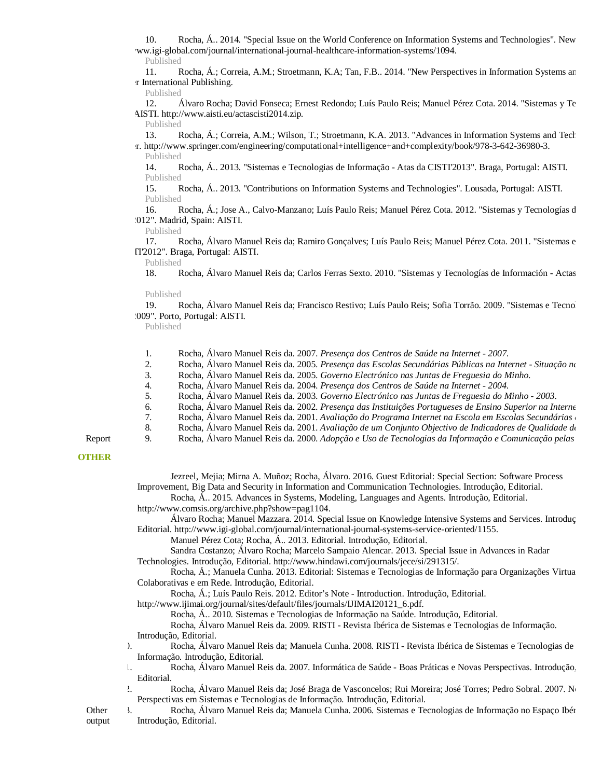10. Rocha, Á.. 2014. "Special Issue on the World Conference on Information Systems and Technologies". New ww.igi-global.com/journal/international-journal-healthcare-information-systems/1094.

Published

11. Rocha, Á.; Correia, A.M.; Stroetmann, K.A; Tan, F.B., 2014. "New Perspectives in Information Systems and r International Publishing.

Published

12. Álvaro Rocha; David Fonseca; Ernest Redondo; Luís Paulo Reis; Manuel Pérez Cota. 2014. "Sistemas y Te AISTI.<http://www.aisti.eu/actascisti2014.zip.>

Published

13. Rocha, Á.; Correia, A.M.; Wilson, T.; Stroetmann, K.A. 2013. "Advances in Information Systems and Technology Springer. <http://www.springer.com/engineering/computational+intelligence+and+complexity/book/978-3-642-36980-3.> Published

14. Rocha, Á.. 2013. "Sistemas e Tecnologias de Informação - Atas da CISTI'2013". Braga, Portugal: AISTI. Published

15. Rocha, Á.. 2013. "Contributions on Information Systems and Technologies". Lousada, Portugal: AISTI. Published

16. Rocha, Á.; Jose A., Calvo-Manzano; Luís Paulo Reis; Manuel Pérez Cota. 2012. "Sistemas y Tecnologías d 012". Madrid, Spain: AISTI.

Published

17. Rocha, Álvaro Manuel Reis da; Ramiro Gonçalves; Luís Paulo Reis; Manuel Pérez Cota. 2011. "Sistemas e  $TI'2012"$ . Braga, Portugal: AISTI.

Published

18. Rocha, Álvaro Manuel Reis da; Carlos Ferras Sexto. 2010. "Sistemas y Tecnologías de Información - Actas

Published

19. Rocha, Álvaro Manuel Reis da; Francisco Restivo; Luís Paulo Reis; Sofia Torrão. 2009. "Sistemas e Tecno 009". Porto, Portugal: AISTI.

Published

- 1. Rocha, Álvaro Manuel Reis da. 2007. *Presença dos Centros de Saúde na Internet 2007*.
- 2. Rocha, Álvaro Manuel Reis da. 2005. *Presença das Escolas Secundárias Públicas na Internet Situação na*
- 3. Rocha, Álvaro Manuel Reis da. 2005. *Governo Electrónico nas Juntas de Freguesia do Minho*.
- 4. Rocha, Álvaro Manuel Reis da. 2004. *Presença dos Centros de Saúde na Internet 2004*.
- 5. Rocha, Álvaro Manuel Reis da. 2003. *Governo Electrónico nas Juntas de Freguesia do Minho 2003*.
- 6. Rocha, Álvaro Manuel Reis da. 2002. *Presença das Instituições Portugueses de Ensino Superior na Internet*
- 7. Rocha, Álvaro Manuel Reis da. 2001. *Avaliação do Programa Internet na Escola em Escolas Secundárias*
- 8. Rocha, Álvaro Manuel Reis da. 2001. *Avaliação de um Conjunto Objectivo de Indicadores de Qualidade de*

9. Rocha, Álvaro Manuel Reis da. 2000. *Adopção e Uso de Tecnologias da Informação e Comunicação pelas* 

# Report **OTHER**

Jezreel, Mejia; Mirna A. Muñoz; Rocha, Álvaro. 2016. Guest Editorial: Special Section: Software Process Improvement, Big Data and Security in Information and Communication Technologies. Introdução, Editorial.

Rocha, Á.. 2015. Advances in Systems, Modeling, Languages and Agents. Introdução, Editorial.

<http://www.comsis.org/archive.php?show=pag1104.>

Álvaro Rocha; Manuel Mazzara. 2014. Special Issue on Knowledge Intensive Systems and Services. Introdução, Editorial.<http://www.igi-global.com/journal/international-journal-systems-service-oriented/1155.>

Manuel Pérez Cota; Rocha, Á.. 2013. Editorial. Introdução, Editorial.

Sandra Costanzo; Álvaro Rocha; Marcelo Sampaio Alencar. 2013. Special Issue in Advances in Radar Technologies. Introdução, Editorial.<http://www.hindawi.com/journals/jece/si/291315/.>

Rocha, Á.; Manuela Cunha. 2013. Editorial: Sistemas e Tecnologias de Informação para Organizações Virtua Colaborativas e em Rede. Introdução, Editorial.

Rocha, Á.; Luís Paulo Reis. 2012. Editor's Note - Introduction. Introdução, Editorial.

[http://www.ijimai.org/journal/sites/default/files/journals/IJIMAI20121\\_6.pdf.](http://www.ijimai.org/journal/sites/default/files/journals/IJIMAI20121_6.pdf.)

Rocha, Á.. 2010. Sistemas e Tecnologias de Informação na Saúde. Introdução, Editorial.

Rocha, Álvaro Manuel Reis da. 2009. RISTI - Revista Ibérica de Sistemas e Tecnologias de Informação. Introdução, Editorial.

- 10. Rocha, Álvaro Manuel Reis da; Manuela Cunha. 2008. RISTI Revista Ibérica de Sistemas e Tecnologias de Informação. Introdução, Editorial.
- 11. Rocha, Álvaro Manuel Reis da. 2007. Informática de Saúde Boas Práticas e Novas Perspectivas. Introdução, Editorial.
- <sup>2</sup>. Rocha, Álvaro Manuel Reis da; José Braga de Vasconcelos; Rui Moreira; José Torres; Pedro Sobral. 2007. No Perspectivas em Sistemas e Tecnologias de Informação. Introdução, Editorial.
- 3. Rocha, Álvaro Manuel Reis da; Manuela Cunha. 2006. Sistemas e Tecnologias de Informação no Espaço Ibér Introdução, Editorial.

**Other** output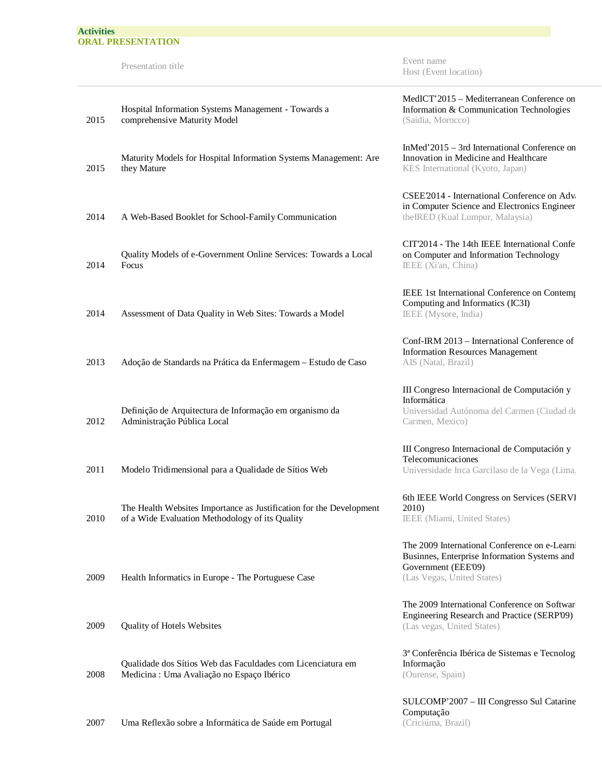Presentation title Event name Host (Event location)

| 2015 | Hospital Information Systems Management - Towards a<br>comprehensive Maturity Model                                    |
|------|------------------------------------------------------------------------------------------------------------------------|
| 2015 | Maturity Models for Hospital Information Systems Management: Are<br>they Mature                                        |
| 2014 | A Web-Based Booklet for School-Family Communication                                                                    |
| 2014 | Quality Models of e-Government Online Services: Towards a Local<br>Focus                                               |
| 2014 | Assessment of Data Quality in Web Sites: Towards a Model                                                               |
| 2013 | Adoção de Standards na Prática da Enfermagem - Estudo de Caso                                                          |
| 2012 | Definição de Arquitectura de Informação em organismo da<br>Administração Pública Local                                 |
| 2011 | Modelo Tridimensional para a Qualidade de Sítios Web                                                                   |
| 2010 | The Health Websites Importance as Justification for the Development<br>of a Wide Evaluation Methodology of its Quality |
| 2009 | Health Informatics in Europe - The Portuguese Case                                                                     |
| 2009 | Quality of Hotels Websites                                                                                             |
| 2008 | Qualidade dos Sítios Web das Faculdades com Licenciatura em<br>Medicina : Uma Avaliação no Espaço Ibérico              |

2007 Uma Reflexão sobre a Informática de Saúde em Portugal

MedICT'2015 – Mediterranean Conference on Information & Communication Technologies (Saidia, Morocco)

InMed'2015 – 3rd International Conference on Innovation in Medicine and Healthcare KES International (Kyoto, Japan)

CSEE'2014 - International Conference on Advances in Computer Science and Electronics Engineer theIRED (Kual Lumpur, Malaysia)

CIT'2014 - The 14th IEEE International Confe on Computer and Information Technology IEEE (Xi'an, China)

IEEE 1st International Conference on Contemp Computing and Informatics (IC3I) IEEE (Mysore, India)

Conf-IRM 2013 – International Conference of Information Resources Management AIS (Natal, Brazil)

III Congreso Internacional de Computación y Informática Universidad Autónoma del Carmen (Ciudad del Carmen, Mexico)

III Congreso Internacional de Computación y Telecomunicaciones Universidade Inca Garcilaso de la Vega (Lima,

6th IEEE World Congress on Services (SERVI 2010) IEEE (Miami, United States)

The 2009 International Conference on e-Learni Businnes, Enterprise Information Systems and Government (EEE'09) (Las Vegas, United States)

The 2009 International Conference on Softwar Engineering Research and Practice (SERP'09) (Las vegas, United States)

3ª Conferência Ibérica de Sistemas e Tecnologi Informação (Ourense, Spain)

SULCOMP'2007 – III Congresso Sul Catarine Computação (Criciúma, Brazil)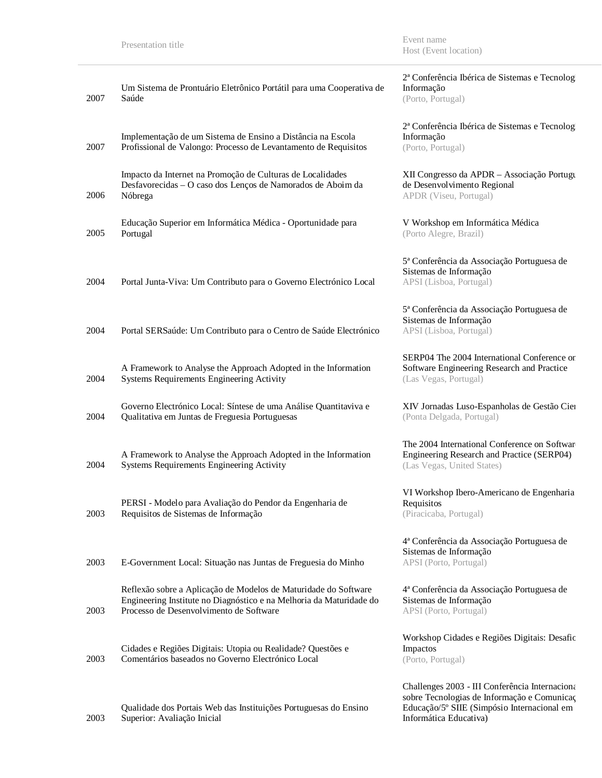Presentation title Event name Host (Event location)

| 2007 | Um Sistema de Prontuário Eletrônico Portátil para uma Cooperativa de<br>Saúde                                                                                                     | 2ª Conferência Ibérica de Sistemas e Tecnolog<br>Informação<br>(Porto, Portugal)                                                                                       |
|------|-----------------------------------------------------------------------------------------------------------------------------------------------------------------------------------|------------------------------------------------------------------------------------------------------------------------------------------------------------------------|
| 2007 | Implementação de um Sistema de Ensino a Distância na Escola<br>Profissional de Valongo: Processo de Levantamento de Requisitos                                                    | 2ª Conferência Ibérica de Sistemas e Tecnolog<br>Informação<br>(Porto, Portugal)                                                                                       |
| 2006 | Impacto da Internet na Promoção de Culturas de Localidades<br>Desfavorecidas - O caso dos Lenços de Namorados de Aboim da<br>Nóbrega                                              | XII Congresso da APDR - Associação Portugu<br>de Desenvolvimento Regional<br>APDR (Viseu, Portugal)                                                                    |
| 2005 | Educação Superior em Informática Médica - Oportunidade para<br>Portugal                                                                                                           | V Workshop em Informática Médica<br>(Porto Alegre, Brazil)                                                                                                             |
| 2004 | Portal Junta-Viva: Um Contributo para o Governo Electrónico Local                                                                                                                 | 5ª Conferência da Associação Portuguesa de<br>Sistemas de Informação<br>APSI (Lisboa, Portugal)                                                                        |
| 2004 | Portal SERSaúde: Um Contributo para o Centro de Saúde Electrónico                                                                                                                 | 5ª Conferência da Associação Portuguesa de<br>Sistemas de Informação<br>APSI (Lisboa, Portugal)                                                                        |
| 2004 | A Framework to Analyse the Approach Adopted in the Information<br>Systems Requirements Engineering Activity                                                                       | SERP04 The 2004 International Conference or<br>Software Engineering Research and Practice<br>(Las Vegas, Portugal)                                                     |
| 2004 | Governo Electrónico Local: Síntese de uma Análise Quantitaviva e<br>Qualitativa em Juntas de Freguesia Portuguesas                                                                | XIV Jornadas Luso-Espanholas de Gestão Cier<br>(Ponta Delgada, Portugal)                                                                                               |
| 2004 | A Framework to Analyse the Approach Adopted in the Information<br>Systems Requirements Engineering Activity                                                                       | The 2004 International Conference on Softwar<br>Engineering Research and Practice (SERP04)<br>(Las Vegas, United States)                                               |
| 2003 | PERSI - Modelo para Avaliação do Pendor da Engenharia de<br>Requisitos de Sistemas de Informação                                                                                  | VI Workshop Ibero-Americano de Engenharia<br>Requisitos<br>(Piracicaba, Portugal)                                                                                      |
| 2003 | E-Government Local: Situação nas Juntas de Freguesia do Minho                                                                                                                     | 4ª Conferência da Associação Portuguesa de<br>Sistemas de Informação<br>APSI (Porto, Portugal)                                                                         |
| 2003 | Reflexão sobre a Aplicação de Modelos de Maturidade do Software<br>Engineering Institute no Diagnóstico e na Melhoria da Maturidade do<br>Processo de Desenvolvimento de Software | 4ª Conferência da Associação Portuguesa de<br>Sistemas de Informação<br>APSI (Porto, Portugal)                                                                         |
| 2003 | Cidades e Regiões Digitais: Utopia ou Realidade? Questões e<br>Comentários baseados no Governo Electrónico Local                                                                  | Workshop Cidades e Regiões Digitais: Desafic<br>Impactos<br>(Porto, Portugal)                                                                                          |
| 2003 | Qualidade dos Portais Web das Instituições Portuguesas do Ensino<br>Superior: Avaliação Inicial                                                                                   | Challenges 2003 - III Conferência Internaciona<br>sobre Tecnologias de Informação e Comunicaç<br>Educação/5° SIIE (Simpósio Internacional em<br>Informática Educativa) |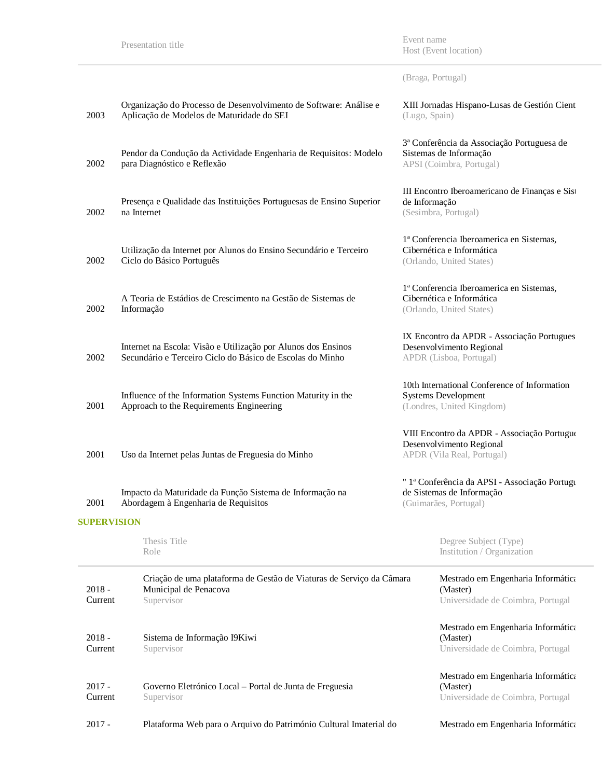Presentation title Event name Host (Event location)

(Braga, Portugal)

| $2017 -$            | Plataforma Web para o Arquivo do Património Cultural Imaterial do                                                          | Mestrado em Engenharia Informática                                                                      |  |
|---------------------|----------------------------------------------------------------------------------------------------------------------------|---------------------------------------------------------------------------------------------------------|--|
| $2017 -$<br>Current | Governo Eletrónico Local - Portal de Junta de Freguesia<br>Supervisor                                                      | Mestrado em Engenharia Informática<br>(Master)<br>Universidade de Coimbra, Portugal                     |  |
| $2018 -$<br>Current | Sistema de Informação I9Kiwi<br>Supervisor                                                                                 | Mestrado em Engenharia Informática<br>(Master)<br>Universidade de Coimbra, Portugal                     |  |
| $2018 -$<br>Current | Criação de uma plataforma de Gestão de Viaturas de Serviço da Câmara<br>Municipal de Penacova<br>Supervisor                | Mestrado em Engenharia Informática<br>(Master)<br>Universidade de Coimbra, Portugal                     |  |
|                     | Thesis Title<br>Role                                                                                                       | Degree Subject (Type)<br>Institution / Organization                                                     |  |
| <b>SUPERVISION</b>  |                                                                                                                            |                                                                                                         |  |
| 2001                | Impacto da Maturidade da Função Sistema de Informação na<br>Abordagem à Engenharia de Requisitos                           | " la Conferência da APSI - Associação Portugu<br>de Sistemas de Informação<br>(Guimarães, Portugal)     |  |
| 2001                | Uso da Internet pelas Juntas de Freguesia do Minho                                                                         | VIII Encontro da APDR - Associação Portuguo<br>Desenvolvimento Regional<br>APDR (Vila Real, Portugal)   |  |
| 2001                | Influence of the Information Systems Function Maturity in the<br>Approach to the Requirements Engineering                  | 10th International Conference of Information<br><b>Systems Development</b><br>(Londres, United Kingdom) |  |
| 2002                | Internet na Escola: Visão e Utilização por Alunos dos Ensinos<br>Secundário e Terceiro Ciclo do Básico de Escolas do Minho | IX Encontro da APDR - Associação Portugues<br>Desenvolvimento Regional<br>APDR (Lisboa, Portugal)       |  |
| 2002                | A Teoria de Estádios de Crescimento na Gestão de Sistemas de<br>Informação                                                 | 1ª Conferencia Iberoamerica en Sistemas,<br>Cibernética e Informática<br>(Orlando, United States)       |  |
| 2002                | Utilização da Internet por Alunos do Ensino Secundário e Terceiro<br>Ciclo do Básico Português                             | 1ª Conferencia Iberoamerica en Sistemas,<br>Cibernética e Informática<br>(Orlando, United States)       |  |
| 2002                | Presença e Qualidade das Instituições Portuguesas de Ensino Superior<br>na Internet                                        | III Encontro Iberoamericano de Finanças e Sist<br>de Informação<br>(Sesimbra, Portugal)                 |  |
| 2002                | Pendor da Condução da Actividade Engenharia de Requisitos: Modelo<br>para Diagnóstico e Reflexão                           | 3ª Conferência da Associação Portuguesa de<br>Sistemas de Informação<br>APSI (Coimbra, Portugal)        |  |
| 2003                | Organização do Processo de Desenvolvimento de Software: Análise e<br>Aplicação de Modelos de Maturidade do SEI             | XIII Jornadas Hispano-Lusas de Gestión Cient<br>(Lugo, Spain)                                           |  |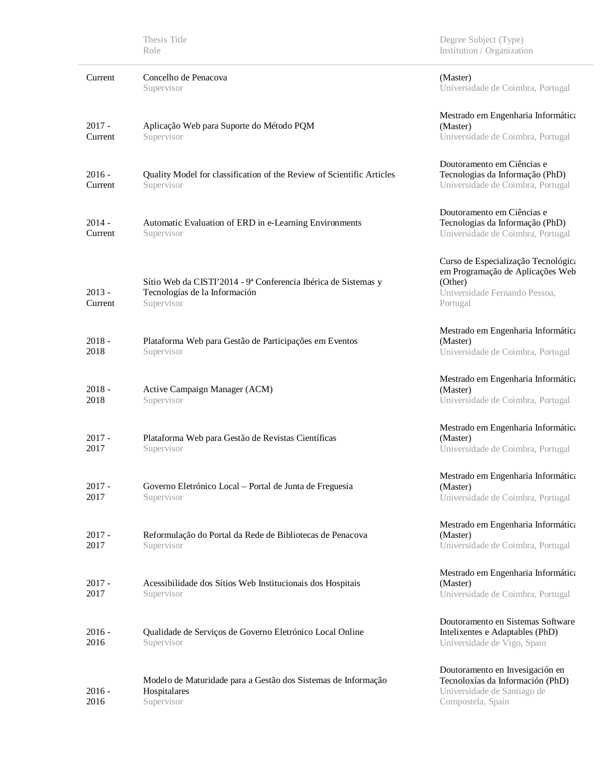|                     | Thesis Title<br>Role                                                                                          | Degree Subject (Type)<br>Institution / Organization                                                                             |
|---------------------|---------------------------------------------------------------------------------------------------------------|---------------------------------------------------------------------------------------------------------------------------------|
| Current             | Concelho de Penacova<br>Supervisor                                                                            | (Master)<br>Universidade de Coimbra, Portugal                                                                                   |
| $2017 -$<br>Current | Aplicação Web para Suporte do Método PQM<br>Supervisor                                                        | Mestrado em Engenharia Informática<br>(Master)<br>Universidade de Coimbra, Portugal                                             |
| $2016 -$<br>Current | Quality Model for classification of the Review of Scientific Articles<br>Supervisor                           | Doutoramento em Ciências e<br>Tecnologias da Informação (PhD)<br>Universidade de Coimbra, Portugal                              |
| $2014 -$<br>Current | Automatic Evaluation of ERD in e-Learning Environments<br>Supervisor                                          | Doutoramento em Ciências e<br>Tecnologias da Informação (PhD)<br>Universidade de Coimbra, Portugal                              |
| $2013 -$<br>Current | Sítio Web da CISTI'2014 - 9ª Conferencia Ibérica de Sistemas y<br>Tecnologías de la Información<br>Supervisor | Curso de Especialização Tecnológica<br>em Programação de Aplicações Web<br>(Other)<br>Universidade Fernando Pessoa,<br>Portugal |
| $2018 -$<br>2018    | Plataforma Web para Gestão de Participações em Eventos<br>Supervisor                                          | Mestrado em Engenharia Informática<br>(Master)<br>Universidade de Coimbra, Portugal                                             |
| $2018 -$<br>2018    | Active Campaign Manager (ACM)<br>Supervisor                                                                   | Mestrado em Engenharia Informática<br>(Master)<br>Universidade de Coimbra, Portugal                                             |
| $2017 -$<br>2017    | Plataforma Web para Gestão de Revistas Científicas<br>Supervisor                                              | Mestrado em Engenharia Informática<br>(Master)<br>Universidade de Coimbra, Portugal                                             |
| $2017 -$<br>2017    | Governo Eletrónico Local - Portal de Junta de Freguesia<br>Supervisor                                         | Mestrado em Engenharia Informática<br>(Master)<br>Universidade de Coimbra, Portugal                                             |
| $2017 -$<br>2017    | Reformulação do Portal da Rede de Bibliotecas de Penacova<br>Supervisor                                       | Mestrado em Engenharia Informática<br>(Master)<br>Universidade de Coimbra, Portugal                                             |
| $2017 -$<br>2017    | Acessibilidade dos Sítios Web Institucionais dos Hospitais<br>Supervisor                                      | Mestrado em Engenharia Informática<br>(Master)<br>Universidade de Coimbra, Portugal                                             |
| $2016 -$<br>2016    | Qualidade de Serviços de Governo Eletrónico Local Online<br>Supervisor                                        | Doutoramento en Sistemas Software<br>Intelixentes e Adaptables (PhD)<br>Universidade de Vigo, Spain                             |
| $2016 -$<br>2016    | Modelo de Maturidade para a Gestão dos Sistemas de Informação<br>Hospitalares<br>Supervisor                   | Doutoramento en Invesigación en<br>Tecnoloxías da Información (PhD)<br>Universidade de Santiago de<br>Compostela, Spain         |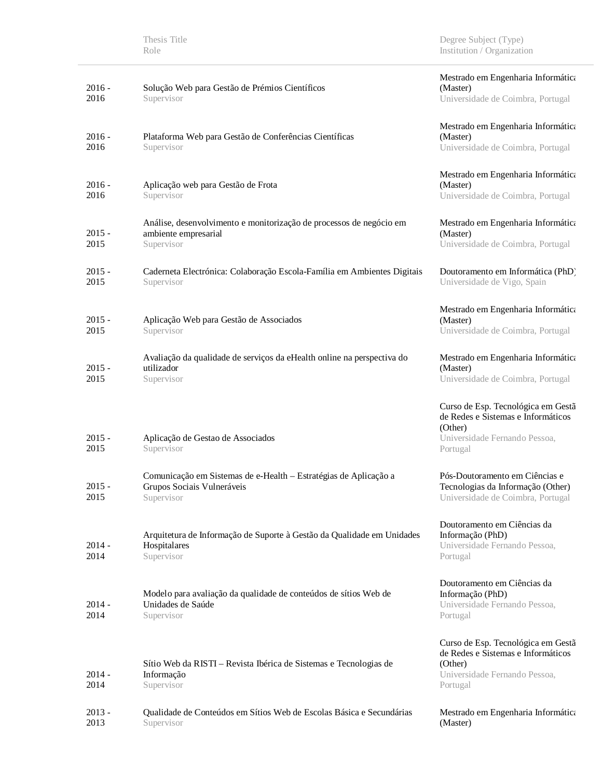| $2016 -$<br>2016 | Solução Web para Gestão de Prémios Científicos<br>Supervisor                                                 | Mestrado em Engenharia Informática<br>(Master)<br>Universidade de Coimbra, Portugal                                              |
|------------------|--------------------------------------------------------------------------------------------------------------|----------------------------------------------------------------------------------------------------------------------------------|
| $2016 -$<br>2016 | Plataforma Web para Gestão de Conferências Científicas<br>Supervisor                                         | Mestrado em Engenharia Informática<br>(Master)<br>Universidade de Coimbra, Portugal                                              |
| $2016 -$<br>2016 | Aplicação web para Gestão de Frota<br>Supervisor                                                             | Mestrado em Engenharia Informática<br>(Master)<br>Universidade de Coimbra, Portugal                                              |
| $2015 -$<br>2015 | Análise, desenvolvimento e monitorização de processos de negócio em<br>ambiente empresarial<br>Supervisor    | Mestrado em Engenharia Informática<br>(Master)<br>Universidade de Coimbra, Portugal                                              |
| $2015 -$<br>2015 | Caderneta Electrónica: Colaboração Escola-Família em Ambientes Digitais<br>Supervisor                        | Doutoramento em Informática (PhD)<br>Universidade de Vigo, Spain                                                                 |
| $2015 -$<br>2015 | Aplicação Web para Gestão de Associados<br>Supervisor                                                        | Mestrado em Engenharia Informática<br>(Master)<br>Universidade de Coimbra, Portugal                                              |
| $2015 -$<br>2015 | Avaliação da qualidade de serviços da eHealth online na perspectiva do<br>utilizador<br>Supervisor           | Mestrado em Engenharia Informática<br>(Master)<br>Universidade de Coimbra, Portugal                                              |
| $2015 -$<br>2015 | Aplicação de Gestao de Associados<br>Supervisor                                                              | Curso de Esp. Tecnológica em Gestã<br>de Redes e Sistemas e Informáticos<br>(Other)<br>Universidade Fernando Pessoa,<br>Portugal |
| $2015 -$<br>2015 | Comunicação em Sistemas de e-Health - Estratégias de Aplicação a<br>Grupos Sociais Vulneráveis<br>Supervisor | Pós-Doutoramento em Ciências e<br>Tecnologias da Informação (Other)<br>Universidade de Coimbra, Portugal                         |
| $2014 -$<br>2014 | Arquitetura de Informação de Suporte à Gestão da Qualidade em Unidades<br>Hospitalares<br>Supervisor         | Doutoramento em Ciências da<br>Informação (PhD)<br>Universidade Fernando Pessoa.<br>Portugal                                     |
| $2014 -$<br>2014 | Modelo para avaliação da qualidade de conteúdos de sítios Web de<br>Unidades de Saúde<br>Supervisor          | Doutoramento em Ciências da<br>Informação (PhD)<br>Universidade Fernando Pessoa,<br>Portugal                                     |
| $2014 -$<br>2014 | Sítio Web da RISTI – Revista Ibérica de Sistemas e Tecnologias de<br>Informação<br>Supervisor                | Curso de Esp. Tecnológica em Gestã<br>de Redes e Sistemas e Informáticos<br>(Other)<br>Universidade Fernando Pessoa,<br>Portugal |
| $2013 -$<br>2013 | Qualidade de Conteúdos em Sítios Web de Escolas Básica e Secundárias<br>Supervisor                           | Mestrado em Engenharia Informática<br>(Master)                                                                                   |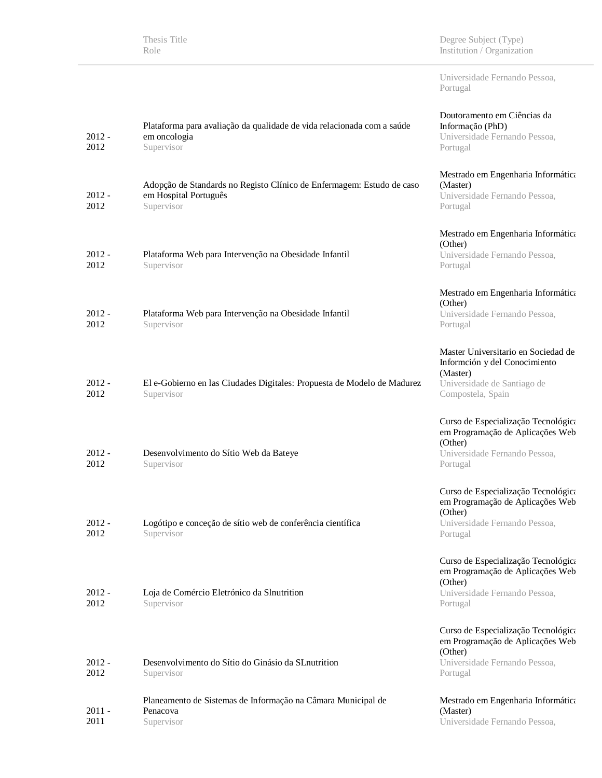|                  | Thesis Title<br>Role                                                                                         | Degree Subject (Type)<br>Institution / Organization                                                                                  |
|------------------|--------------------------------------------------------------------------------------------------------------|--------------------------------------------------------------------------------------------------------------------------------------|
|                  |                                                                                                              | Universidade Fernando Pessoa,<br>Portugal                                                                                            |
| $2012 -$<br>2012 | Plataforma para avaliação da qualidade de vida relacionada com a saúde<br>em oncologia<br>Supervisor         | Doutoramento em Ciências da<br>Informação (PhD)<br>Universidade Fernando Pessoa,<br>Portugal                                         |
| $2012 -$<br>2012 | Adopção de Standards no Registo Clínico de Enfermagem: Estudo de caso<br>em Hospital Português<br>Supervisor | Mestrado em Engenharia Informática<br>(Master)<br>Universidade Fernando Pessoa,<br>Portugal                                          |
| $2012 -$<br>2012 | Plataforma Web para Intervenção na Obesidade Infantil<br>Supervisor                                          | Mestrado em Engenharia Informática<br>(Other)<br>Universidade Fernando Pessoa,<br>Portugal                                           |
| $2012 -$<br>2012 | Plataforma Web para Intervenção na Obesidade Infantil<br>Supervisor                                          | Mestrado em Engenharia Informática<br>(Other)<br>Universidade Fernando Pessoa,<br>Portugal                                           |
| $2012 -$<br>2012 | El e-Gobierno en las Ciudades Digitales: Propuesta de Modelo de Madurez<br>Supervisor                        | Master Universitario en Sociedad de<br>Informción y del Conocimiento<br>(Master)<br>Universidade de Santiago de<br>Compostela, Spain |
| $2012 -$<br>2012 | Desenvolvimento do Sítio Web da Bateye<br>Supervisor                                                         | Curso de Especialização Tecnológica<br>em Programação de Aplicações Web<br>(Other)<br>Universidade Fernando Pessoa,<br>Portugal      |
| $2012 -$<br>2012 | Logótipo e conceção de sítio web de conferência científica<br>Supervisor                                     | Curso de Especialização Tecnológica<br>em Programação de Aplicações Web<br>(Other)<br>Universidade Fernando Pessoa,<br>Portugal      |
| $2012 -$<br>2012 | Loja de Comércio Eletrónico da Slnutrition<br>Supervisor                                                     | Curso de Especialização Tecnológica<br>em Programação de Aplicações Web<br>(Other)<br>Universidade Fernando Pessoa,<br>Portugal      |
| $2012 -$<br>2012 | Desenvolvimento do Sítio do Ginásio da SL nutrition<br>Supervisor                                            | Curso de Especialização Tecnológica<br>em Programação de Aplicações Web<br>(Other)<br>Universidade Fernando Pessoa,<br>Portugal      |
| $2011 -$<br>2011 | Planeamento de Sistemas de Informação na Câmara Municipal de<br>Penacova<br>Supervisor                       | Mestrado em Engenharia Informática<br>(Master)<br>Universidade Fernando Pessoa,                                                      |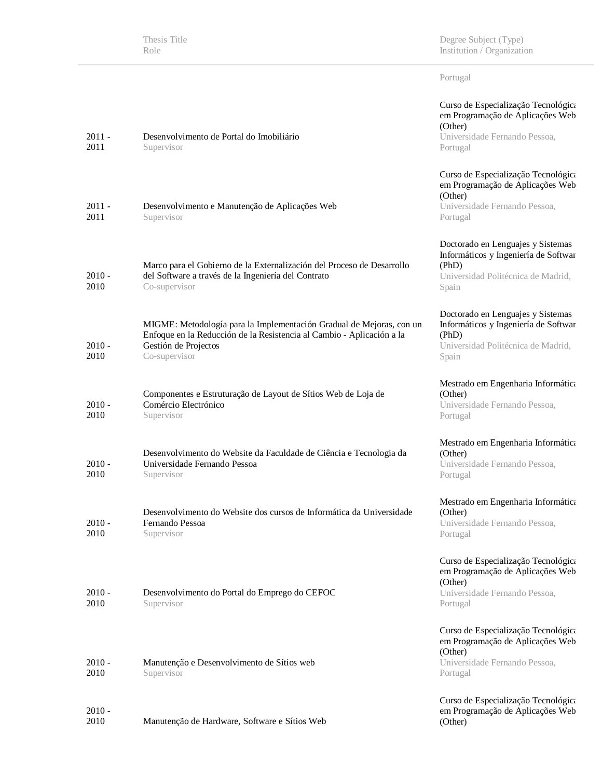Thesis Title Role

Degree Subject (Type) Institution / Organization

Portugal

| $2011 -$<br>2011 | Desenvolvimento de Portal do Imobiliário<br>Supervisor                                                                                                                                 | Curso de Especialização Tecnológica<br>em Programação de Aplicações Web<br>(Other)<br>Universidade Fernando Pessoa,<br>Portugal   |
|------------------|----------------------------------------------------------------------------------------------------------------------------------------------------------------------------------------|-----------------------------------------------------------------------------------------------------------------------------------|
| $2011 -$<br>2011 | Desenvolvimento e Manutenção de Aplicações Web<br>Supervisor                                                                                                                           | Curso de Especialização Tecnológica<br>em Programação de Aplicações Web<br>(Other)<br>Universidade Fernando Pessoa,<br>Portugal   |
| $2010 -$<br>2010 | Marco para el Gobierno de la Externalización del Proceso de Desarrollo<br>del Software a través de la Ingeniería del Contrato<br>Co-supervisor                                         | Doctorado en Lenguajes y Sistemas<br>Informáticos y Ingeniería de Softwar<br>(PhD)<br>Universidad Politécnica de Madrid,<br>Spain |
| $2010 -$<br>2010 | MIGME: Metodología para la Implementación Gradual de Mejoras, con un<br>Enfoque en la Reducción de la Resistencia al Cambio - Aplicación a la<br>Gestión de Projectos<br>Co-supervisor | Doctorado en Lenguajes y Sistemas<br>Informáticos y Ingeniería de Softwar<br>(PhD)<br>Universidad Politécnica de Madrid,<br>Spain |
| $2010 -$<br>2010 | Componentes e Estruturação de Layout de Sítios Web de Loja de<br>Comércio Electrónico<br>Supervisor                                                                                    | Mestrado em Engenharia Informática<br>(Other)<br>Universidade Fernando Pessoa,<br>Portugal                                        |
| $2010 -$<br>2010 | Desenvolvimento do Website da Faculdade de Ciência e Tecnologia da<br>Universidade Fernando Pessoa<br>Supervisor                                                                       | Mestrado em Engenharia Informática<br>(Other)<br>Universidade Fernando Pessoa,<br>Portugal                                        |
| $2010 -$<br>2010 | Desenvolvimento do Website dos cursos de Informática da Universidade<br>Fernando Pessoa<br>Supervisor                                                                                  | Mestrado em Engenharia Informática<br>(Other)<br>Universidade Fernando Pessoa,<br>Portugal                                        |
| $2010 -$<br>2010 | Desenvolvimento do Portal do Emprego do CEFOC<br>Supervisor                                                                                                                            | Curso de Especialização Tecnológica<br>em Programação de Aplicações Web<br>(Other)<br>Universidade Fernando Pessoa,<br>Portugal   |
| $2010 -$<br>2010 | Manutenção e Desenvolvimento de Sítios web<br>Supervisor                                                                                                                               | Curso de Especialização Tecnológica<br>em Programação de Aplicações Web<br>(Other)<br>Universidade Fernando Pessoa,<br>Portugal   |
| $2010 -$<br>2010 | Manutenção de Hardware, Software e Sítios Web                                                                                                                                          | Curso de Especialização Tecnológica<br>em Programação de Aplicações Web<br>(Other)                                                |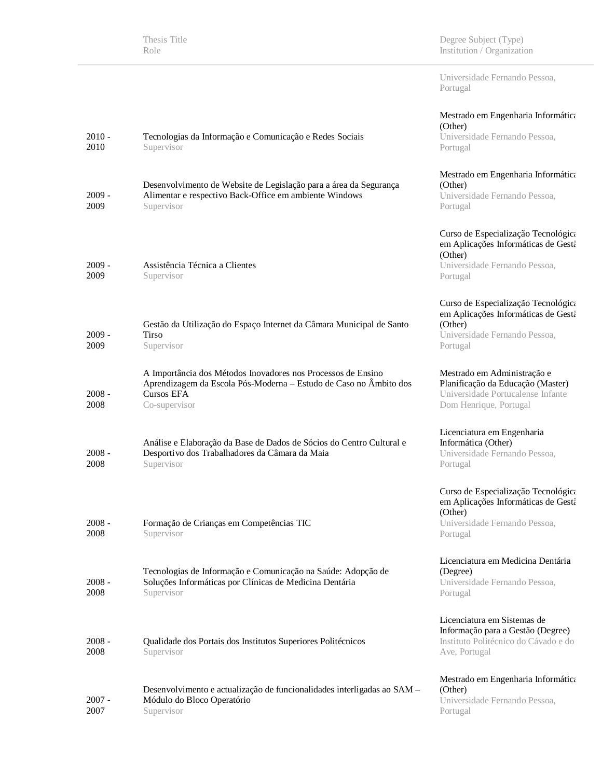| Universidade Fernando Pessoa, |
|-------------------------------|
| Portugal                      |

| 2010 -<br>2010   | Tecnologias da Informação e Comunicação e Redes Sociais<br>Supervisor                                                                                            | Mestrado em Engenharia Informática<br>(Other)<br>Universidade Fernando Pessoa,<br>Portugal                                         |
|------------------|------------------------------------------------------------------------------------------------------------------------------------------------------------------|------------------------------------------------------------------------------------------------------------------------------------|
| 2009 -<br>2009   | Desenvolvimento de Website de Legislação para a área da Segurança<br>Alimentar e respectivo Back-Office em ambiente Windows<br>Supervisor                        | Mestrado em Engenharia Informática<br>(Other)<br>Universidade Fernando Pessoa,<br>Portugal                                         |
| $2009 -$<br>2009 | Assistência Técnica a Clientes<br>Supervisor                                                                                                                     | Curso de Especialização Tecnológica<br>em Aplicações Informáticas de Gestá<br>(Other)<br>Universidade Fernando Pessoa,<br>Portugal |
| 2009 -<br>2009   | Gestão da Utilização do Espaço Internet da Câmara Municipal de Santo<br><b>Tirso</b><br>Supervisor                                                               | Curso de Especialização Tecnológica<br>em Aplicações Informáticas de Gestá<br>(Other)<br>Universidade Fernando Pessoa,<br>Portugal |
| 2008 -<br>2008   | A Importância dos Métodos Inovadores nos Processos de Ensino<br>Aprendizagem da Escola Pós-Moderna - Estudo de Caso no Âmbito dos<br>Cursos EFA<br>Co-supervisor | Mestrado em Administração e<br>Planificação da Educação (Master)<br>Universidade Portucalense Infante<br>Dom Henrique, Portugal    |
| 2008 -<br>2008   | Análise e Elaboração da Base de Dados de Sócios do Centro Cultural e<br>Desportivo dos Trabalhadores da Câmara da Maia<br>Supervisor                             | Licenciatura em Engenharia<br>Informática (Other)<br>Universidade Fernando Pessoa,<br>Portugal                                     |
| $2008 -$<br>2008 | Formação de Crianças em Competências TIC<br>Supervisor                                                                                                           | Curso de Especialização Tecnológica<br>em Aplicações Informáticas de Gestá<br>(Other)<br>Universidade Fernando Pessoa,<br>Portugal |
| $2008 -$<br>2008 | Tecnologias de Informação e Comunicação na Saúde: Adopção de<br>Soluções Informáticas por Clínicas de Medicina Dentária<br>Supervisor                            | Licenciatura em Medicina Dentária<br>(Degree)<br>Universidade Fernando Pessoa,<br>Portugal                                         |
| $2008 -$<br>2008 | Qualidade dos Portais dos Institutos Superiores Politécnicos<br>Supervisor                                                                                       | Licenciatura em Sistemas de<br>Informação para a Gestão (Degree)<br>Instituto Politécnico do Cávado e do<br>Ave, Portugal          |
| $2007 -$<br>2007 | Desenvolvimento e actualização de funcionalidades interligadas ao SAM -<br>Módulo do Bloco Operatório<br>Supervisor                                              | Mestrado em Engenharia Informática<br>(Other)<br>Universidade Fernando Pessoa,<br>Portugal                                         |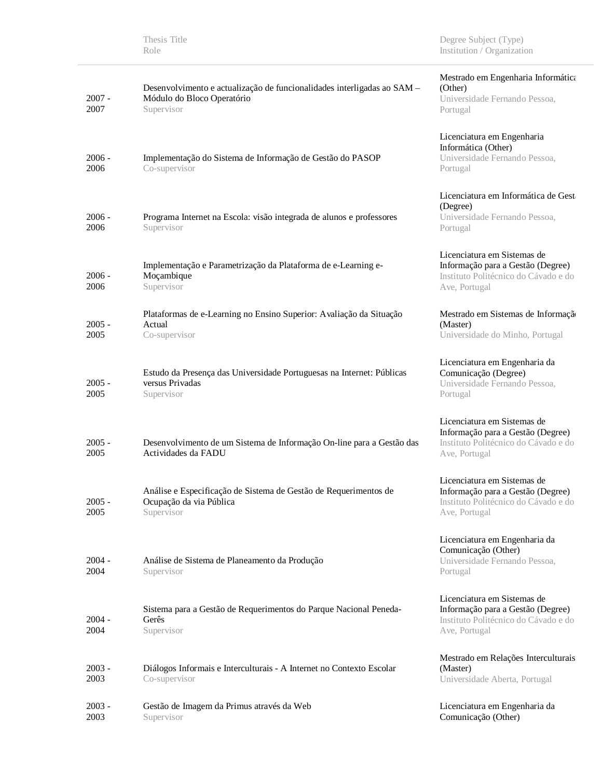| <b>Thesis Title</b> |  |
|---------------------|--|
| Role                |  |

Degree Subject (Type) Institution / Organization

| $2007 -$<br>2007 | Desenvolvimento e actualização de funcionalidades interligadas ao SAM -<br>Módulo do Bloco Operatório<br>Supervisor | Mestrado em Engenharia Informática<br>(Other)<br>Universidade Fernando Pessoa,<br>Portugal                                |
|------------------|---------------------------------------------------------------------------------------------------------------------|---------------------------------------------------------------------------------------------------------------------------|
| 2006 -<br>2006   | Implementação do Sistema de Informação de Gestão do PASOP<br>Co-supervisor                                          | Licenciatura em Engenharia<br>Informática (Other)<br>Universidade Fernando Pessoa,<br>Portugal                            |
| $2006 -$<br>2006 | Programa Internet na Escola: visão integrada de alunos e professores<br>Supervisor                                  | Licenciatura em Informática de Gest<br>(Degree)<br>Universidade Fernando Pessoa,<br>Portugal                              |
| $2006 -$<br>2006 | Implementação e Parametrização da Plataforma de e-Learning e-<br>Moçambique<br>Supervisor                           | Licenciatura em Sistemas de<br>Informação para a Gestão (Degree)<br>Instituto Politécnico do Cávado e do<br>Ave, Portugal |
| $2005 -$<br>2005 | Plataformas de e-Learning no Ensino Superior: Avaliação da Situação<br>Actual<br>Co-supervisor                      | Mestrado em Sistemas de Informação<br>(Master)<br>Universidade do Minho, Portugal                                         |
| $2005 -$<br>2005 | Estudo da Presença das Universidade Portuguesas na Internet: Públicas<br>versus Privadas<br>Supervisor              | Licenciatura em Engenharia da<br>Comunicação (Degree)<br>Universidade Fernando Pessoa,<br>Portugal                        |
| $2005 -$<br>2005 | Desenvolvimento de um Sistema de Informação On-line para a Gestão das<br>Actividades da FADU                        | Licenciatura em Sistemas de<br>Informação para a Gestão (Degree)<br>Instituto Politécnico do Cávado e do<br>Ave, Portugal |
| $2005 -$<br>2005 | Análise e Especificação de Sistema de Gestão de Requerimentos de<br>Ocupação da via Pública<br>Supervisor           | Licenciatura em Sistemas de<br>Informação para a Gestão (Degree)<br>Instituto Politécnico do Cávado e do<br>Ave, Portugal |
| $2004 -$<br>2004 | Análise de Sistema de Planeamento da Produção<br>Supervisor                                                         | Licenciatura em Engenharia da<br>Comunicação (Other)<br>Universidade Fernando Pessoa,<br>Portugal                         |
| $2004 -$<br>2004 | Sistema para a Gestão de Requerimentos do Parque Nacional Peneda-<br>Gerês<br>Supervisor                            | Licenciatura em Sistemas de<br>Informação para a Gestão (Degree)<br>Instituto Politécnico do Cávado e do<br>Ave, Portugal |
| $2003 -$<br>2003 | Diálogos Informais e Interculturais - A Internet no Contexto Escolar<br>Co-supervisor                               | Mestrado em Relações Interculturais<br>(Master)<br>Universidade Aberta, Portugal                                          |
| 2003 -<br>2003   | Gestão de Imagem da Primus através da Web<br>Supervisor                                                             | Licenciatura em Engenharia da<br>Comunicação (Other)                                                                      |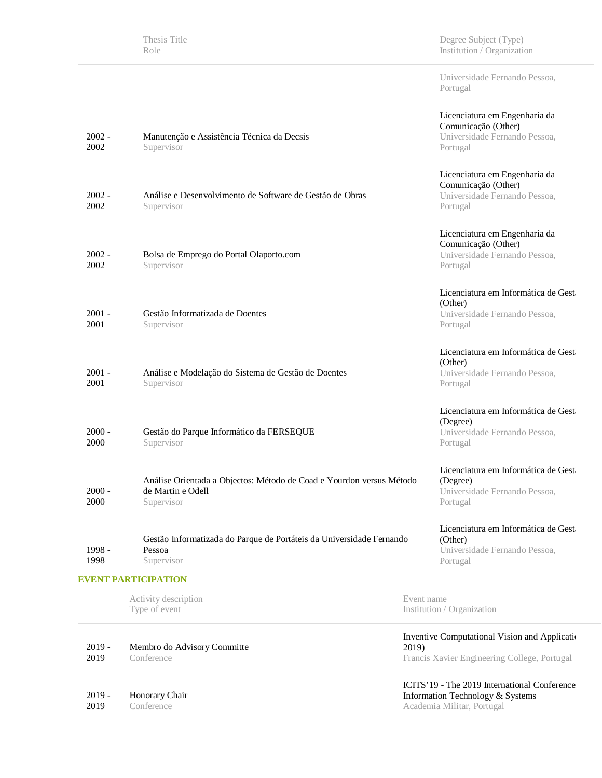Thesis Title Role

Degree Subject (Type) Institution / Organization

Universidade Fernando Pessoa, Portugal

| $2002 -$<br>2002 | Manutenção e Assistência Técnica da Decsis<br>Supervisor                                                | Licenciatura em Engenharia da<br>Comunicação (Other)<br>Universidade Fernando Pessoa,<br>Portugal |
|------------------|---------------------------------------------------------------------------------------------------------|---------------------------------------------------------------------------------------------------|
| $2002 -$<br>2002 | Análise e Desenvolvimento de Software de Gestão de Obras<br>Supervisor                                  | Licenciatura em Engenharia da<br>Comunicação (Other)<br>Universidade Fernando Pessoa,<br>Portugal |
| $2002 -$<br>2002 | Bolsa de Emprego do Portal Olaporto.com<br>Supervisor                                                   | Licenciatura em Engenharia da<br>Comunicação (Other)<br>Universidade Fernando Pessoa,<br>Portugal |
| 2001 -<br>2001   | Gestão Informatizada de Doentes<br>Supervisor                                                           | Licenciatura em Informática de Gest<br>(Other)<br>Universidade Fernando Pessoa,<br>Portugal       |
| $2001 -$<br>2001 | Análise e Modelação do Sistema de Gestão de Doentes<br>Supervisor                                       | Licenciatura em Informática de Gest<br>(Other)<br>Universidade Fernando Pessoa,<br>Portugal       |
| 2000 -<br>2000   | Gestão do Parque Informático da FERSEQUE<br>Supervisor                                                  | Licenciatura em Informática de Gest<br>(Degree)<br>Universidade Fernando Pessoa,<br>Portugal      |
| 2000 -<br>2000   | Análise Orientada a Objectos: Método de Coad e Yourdon versus Método<br>de Martin e Odell<br>Supervisor | Licenciatura em Informática de Gest<br>(Degree)<br>Universidade Fernando Pessoa,<br>Portugal      |
| 1998 -<br>1998   | Gestão Informatizada do Parque de Portáteis da Universidade Fernando<br>Pessoa<br>Supervisor            | Licenciatura em Informática de Gest<br>(Other)<br>Universidade Fernando Pessoa,<br>Portugal       |
|                  | <b>EVENT PARTICIPATION</b>                                                                              |                                                                                                   |
|                  | Activity description<br>Type of event                                                                   | Event name<br>Institution / Organization                                                          |
|                  |                                                                                                         | Inventive Computational Vision and Application                                                    |

2019 - 2019 Membro do Advisory Committe Conference

2019 - Honorary Chair

2019 Conference

2019) Francis Xavier Engineering College, Portugal

ICITS'19 - The 2019 International Conference Information Technology & Systems Academia Militar, Portugal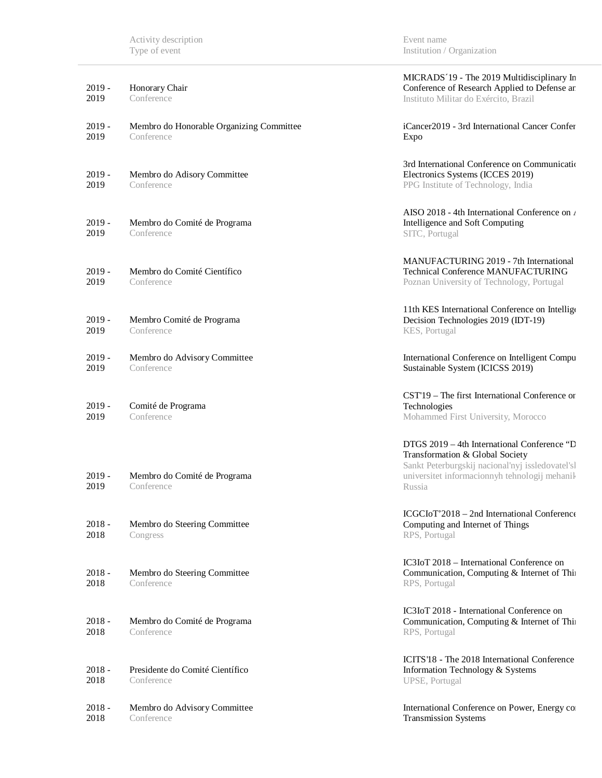| $2019 -$<br>2019 | Honorary Chair<br>Conference                           | MICRADS '19 - The 2019 Multidisciplinary In<br>Conference of Research Applied to Defense ar<br>Instituto Militar do Exército, Brazil                                                          |
|------------------|--------------------------------------------------------|-----------------------------------------------------------------------------------------------------------------------------------------------------------------------------------------------|
| $2019 -$<br>2019 | Membro do Honorable Organizing Committee<br>Conference | iCancer2019 - 3rd International Cancer Confer<br>Expo                                                                                                                                         |
| $2019 -$<br>2019 | Membro do Adisory Committee<br>Conference              | 3rd International Conference on Communicatio<br>Electronics Systems (ICCES 2019)<br>PPG Institute of Technology, India                                                                        |
| $2019 -$<br>2019 | Membro do Comité de Programa<br>Conference             | AISO 2018 - 4th International Conference on $\lambda$<br>Intelligence and Soft Computing<br>SITC, Portugal                                                                                    |
| $2019 -$<br>2019 | Membro do Comité Científico<br>Conference              | MANUFACTURING 2019 - 7th International<br><b>Technical Conference MANUFACTURING</b><br>Poznan University of Technology, Portugal                                                              |
| $2019 -$<br>2019 | Membro Comité de Programa<br>Conference                | 11th KES International Conference on Intellige<br>Decision Technologies 2019 (IDT-19)<br>KES, Portugal                                                                                        |
| $2019 -$<br>2019 | Membro do Advisory Committee<br>Conference             | International Conference on Intelligent Compu<br>Sustainable System (ICICSS 2019)                                                                                                             |
| $2019 -$<br>2019 | Comité de Programa<br>Conference                       | CST'19 - The first International Conference or<br>Technologies<br>Mohammed First University, Morocco                                                                                          |
| $2019 -$<br>2019 | Membro do Comité de Programa<br>Conference             | DTGS 2019 - 4th International Conference "D<br>Transformation & Global Society<br>Sankt Peterburgskij nacional'nyj issledovatel'sl<br>universitet informacionnyh tehnologij mehanik<br>Russia |
| $2018 -$<br>2018 | Membro do Steering Committee<br>Congress               | ICGCIoT'2018 - 2nd International Conference<br>Computing and Internet of Things<br>RPS, Portugal                                                                                              |
| $2018 -$<br>2018 | Membro do Steering Committee<br>Conference             | IC3IoT 2018 - International Conference on<br>Communication, Computing & Internet of Thi<br>RPS, Portugal                                                                                      |
| $2018 -$<br>2018 | Membro do Comité de Programa<br>Conference             | IC3IoT 2018 - International Conference on<br>Communication, Computing & Internet of Thi<br>RPS, Portugal                                                                                      |
| $2018 -$<br>2018 | Presidente do Comité Científico<br>Conference          | ICITS'18 - The 2018 International Conference<br>Information Technology & Systems<br>UPSE, Portugal                                                                                            |
| $2018 -$<br>2018 | Membro do Advisory Committee<br>Conference             | International Conference on Power, Energy co<br><b>Transmission Systems</b>                                                                                                                   |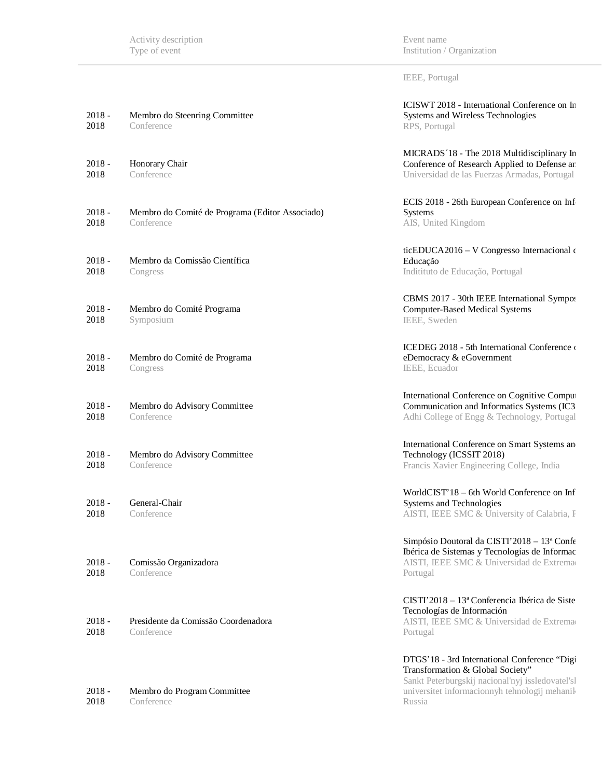Event name Institution / Organization

ICISWT 2018 - International Conference on In

IEEE, Portugal

| 2018 -<br>2018   | Membro do Steenring Committee<br>Conference                   | Systems and Wireless Technologies<br>RPS, Portugal                                                                                                                                               |
|------------------|---------------------------------------------------------------|--------------------------------------------------------------------------------------------------------------------------------------------------------------------------------------------------|
| 2018 -<br>2018   | Honorary Chair<br>Conference                                  | MICRADS '18 - The 2018 Multidisciplinary In<br>Conference of Research Applied to Defense ar<br>Universidad de las Fuerzas Armadas, Portugal                                                      |
| 2018 -<br>2018   | Membro do Comité de Programa (Editor Associado)<br>Conference | ECIS 2018 - 26th European Conference on Inf<br><b>Systems</b><br>AIS, United Kingdom                                                                                                             |
| 2018 -<br>2018   | Membro da Comissão Científica<br>Congress                     | ticEDUCA2016 - V Congresso Internacional o<br>Educação<br>Inditituto de Educação, Portugal                                                                                                       |
| 2018 -<br>2018   | Membro do Comité Programa<br>Symposium                        | CBMS 2017 - 30th IEEE International Sympos<br>Computer-Based Medical Systems<br>IEEE, Sweden                                                                                                     |
| 2018 -<br>2018   | Membro do Comité de Programa<br>Congress                      | ICEDEG 2018 - 5th International Conference<br>eDemocracy & eGovernment<br>IEEE, Ecuador                                                                                                          |
| 2018 -<br>2018   | Membro do Advisory Committee<br>Conference                    | International Conference on Cognitive Compu<br>Communication and Informatics Systems (IC3<br>Adhi College of Engg & Technology, Portugal                                                         |
| 2018 -<br>2018   | Membro do Advisory Committee<br>Conference                    | International Conference on Smart Systems an<br>Technology (ICSSIT 2018)<br>Francis Xavier Engineering College, India                                                                            |
| 2018 -<br>2018   | General-Chair<br>Conference                                   | WorldCIST'18 - 6th World Conference on Inf<br>Systems and Technologies<br>AISTI, IEEE SMC & University of Calabria, F                                                                            |
| $2018 -$<br>2018 | Comissão Organizadora<br>Conference                           | Simpósio Doutoral da CISTI'2018 – 13ª Confe<br>Ibérica de Sistemas y Tecnologías de Informac<br>AISTI, IEEE SMC & Universidad de Extrema<br>Portugal                                             |
| 2018 -<br>2018   | Presidente da Comissão Coordenadora<br>Conference             | $CISTI'2018 - 13a Conferencia Ibérica de Siste$<br>Tecnologías de Información<br>AISTI, IEEE SMC & Universidad de Extrema<br>Portugal                                                            |
| 2018 -<br>2018   | Membro do Program Committee<br>Conference                     | DTGS' 18 - 3rd International Conference "Digi<br>Transformation & Global Society"<br>Sankt Peterburgskij nacional'nyj issledovatel'sl<br>universitet informacionnyh tehnologij mehanik<br>Russia |
|                  |                                                               |                                                                                                                                                                                                  |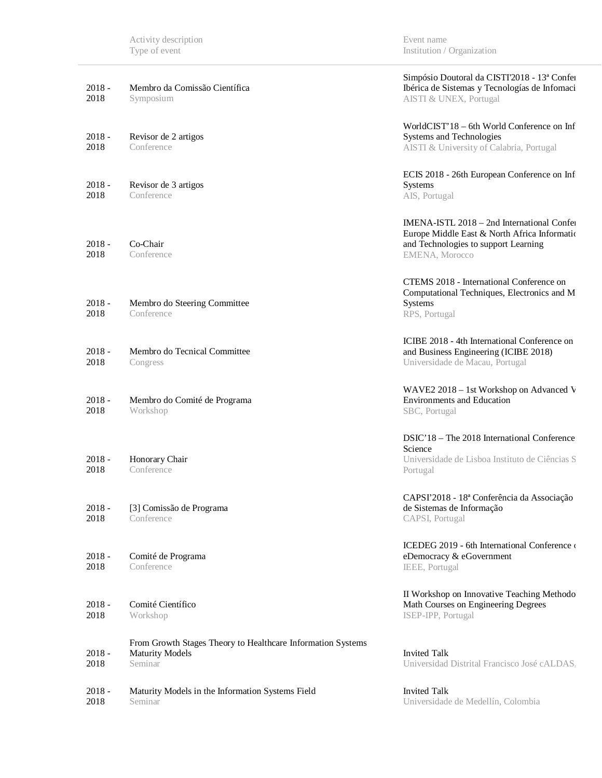| $2018 -$<br>2018 | Membro da Comissão Científica<br>Symposium                                                       | Simpósio Doutoral da CISTI'2018 - 13ª Confei<br>Ibérica de Sistemas y Tecnologías de Infomaci<br>AISTI & UNEX, Portugal                              |
|------------------|--------------------------------------------------------------------------------------------------|------------------------------------------------------------------------------------------------------------------------------------------------------|
| $2018 -$<br>2018 | Revisor de 2 artigos<br>Conference                                                               | WorldCIST'18 – 6th World Conference on Inf<br>Systems and Technologies<br>AISTI & University of Calabria, Portugal                                   |
| $2018 -$<br>2018 | Revisor de 3 artigos<br>Conference                                                               | ECIS 2018 - 26th European Conference on Inf<br>Systems<br>AIS, Portugal                                                                              |
| $2018 -$<br>2018 | Co-Chair<br>Conference                                                                           | IMENA-ISTL 2018 – 2nd International Confer<br>Europe Middle East & North Africa Informatio<br>and Technologies to support Learning<br>EMENA, Morocco |
| $2018 -$<br>2018 | Membro do Steering Committee<br>Conference                                                       | CTEMS 2018 - International Conference on<br>Computational Techniques, Electronics and M<br>Systems<br>RPS, Portugal                                  |
| $2018 -$<br>2018 | Membro do Tecnical Committee<br>Congress                                                         | ICIBE 2018 - 4th International Conference on<br>and Business Engineering (ICIBE 2018)<br>Universidade de Macau, Portugal                             |
| $2018 -$<br>2018 | Membro do Comité de Programa<br>Workshop                                                         | WAVE2 2018 – 1st Workshop on Advanced V<br><b>Environments and Education</b><br>SBC, Portugal                                                        |
| $2018 -$<br>2018 | Honorary Chair<br>Conference                                                                     | DSIC'18 – The 2018 International Conference<br>Science<br>Universidade de Lisboa Instituto de Ciências S<br>Portugal                                 |
| $2018 -$<br>2018 | [3] Comissão de Programa<br>Conference                                                           | CAPSI'2018 - 18ª Conferência da Associação<br>de Sistemas de Informação<br>CAPSI, Portugal                                                           |
| $2018 -$<br>2018 | Comité de Programa<br>Conference                                                                 | ICEDEG 2019 - 6th International Conference<br>eDemocracy & eGovernment<br>IEEE, Portugal                                                             |
| $2018 -$<br>2018 | Comité Científico<br>Workshop                                                                    | II Workshop on Innovative Teaching Methodo<br>Math Courses on Engineering Degrees<br>ISEP-IPP, Portugal                                              |
| $2018 -$<br>2018 | From Growth Stages Theory to Healthcare Information Systems<br><b>Maturity Models</b><br>Seminar | <b>Invited Talk</b><br>Universidad Distrital Francisco José cALDAS.                                                                                  |
| $2018 -$<br>2018 | Maturity Models in the Information Systems Field<br>Seminar                                      | <b>Invited Talk</b><br>Universidade de Medellín, Colombia                                                                                            |

Event name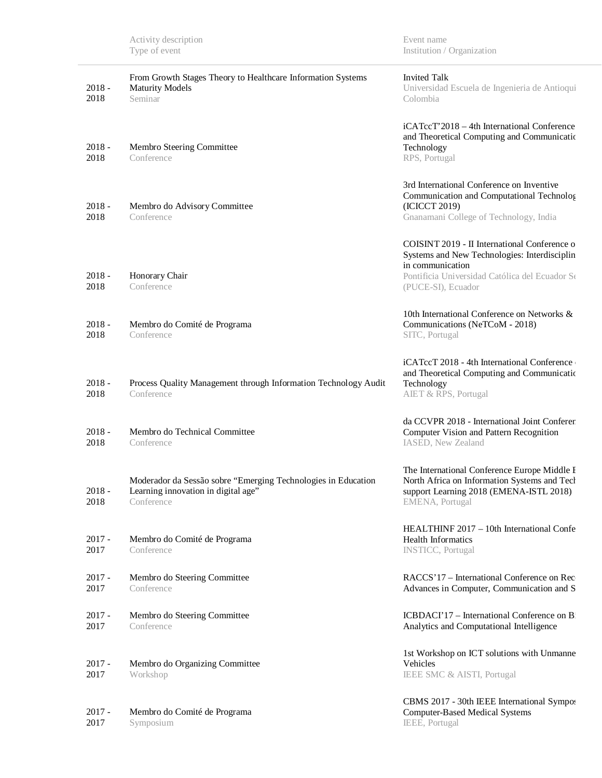Event name Institution / Organization

| $2018 -$<br>2018 | From Growth Stages Theory to Healthcare Information Systems<br><b>Maturity Models</b><br>Seminar                   | <b>Invited Talk</b><br>Universidad Escuela de Ingenieria de Antioqui<br>Colombia                                                                                                         |
|------------------|--------------------------------------------------------------------------------------------------------------------|------------------------------------------------------------------------------------------------------------------------------------------------------------------------------------------|
| $2018 -$<br>2018 | Membro Steering Committee<br>Conference                                                                            | iCATccT'2018 – 4th International Conference<br>and Theoretical Computing and Communicatio<br>Technology<br>RPS, Portugal                                                                 |
| $2018 -$<br>2018 | Membro do Advisory Committee<br>Conference                                                                         | 3rd International Conference on Inventive<br>Communication and Computational Technolog<br>(ICICCT 2019)<br>Gnanamani College of Technology, India                                        |
| $2018 -$<br>2018 | Honorary Chair<br>Conference                                                                                       | COISINT 2019 - II International Conference o<br>Systems and New Technologies: Interdisciplin<br>in communication<br>Pontificia Universidad Católica del Ecuador Se<br>(PUCE-SI), Ecuador |
| $2018 -$<br>2018 | Membro do Comité de Programa<br>Conference                                                                         | 10th International Conference on Networks &<br>Communications (NeTCoM - 2018)<br>SITC, Portugal                                                                                          |
| $2018 -$<br>2018 | Process Quality Management through Information Technology Audit<br>Conference                                      | iCATccT 2018 - 4th International Conference<br>and Theoretical Computing and Communicatio<br>Technology<br>AIET & RPS, Portugal                                                          |
| $2018 -$<br>2018 | Membro do Technical Committee<br>Conference                                                                        | da CCVPR 2018 - International Joint Conferer<br><b>Computer Vision and Pattern Recognition</b><br>IASED, New Zealand                                                                     |
| $2018 -$<br>2018 | Moderador da Sessão sobre "Emerging Technologies in Education<br>Learning innovation in digital age"<br>Conference | The International Conference Europe Middle I<br>North Africa on Information Systems and Tech<br>support Learning 2018 (EMENA-ISTL 2018)<br>EMENA, Portugal                               |
| $2017 -$<br>2017 | Membro do Comité de Programa<br>Conference                                                                         | HEALTHINF 2017 – 10th International Confe<br><b>Health Informatics</b><br><b>INSTICC</b> , Portugal                                                                                      |
| $2017 -$<br>2017 | Membro do Steering Committee<br>Conference                                                                         | RACCS' 17 – International Conference on Rec<br>Advances in Computer, Communication and S                                                                                                 |
| $2017 -$<br>2017 | Membro do Steering Committee<br>Conference                                                                         | ICBDACI'17 - International Conference on B<br>Analytics and Computational Intelligence                                                                                                   |
| $2017 -$<br>2017 | Membro do Organizing Committee<br>Workshop                                                                         | 1st Workshop on ICT solutions with Unmanne<br>Vehicles<br>IEEE SMC & AISTI, Portugal                                                                                                     |
| $2017 -$<br>2017 | Membro do Comité de Programa<br>Symposium                                                                          | CBMS 2017 - 30th IEEE International Sympos<br><b>Computer-Based Medical Systems</b><br>IEEE, Portugal                                                                                    |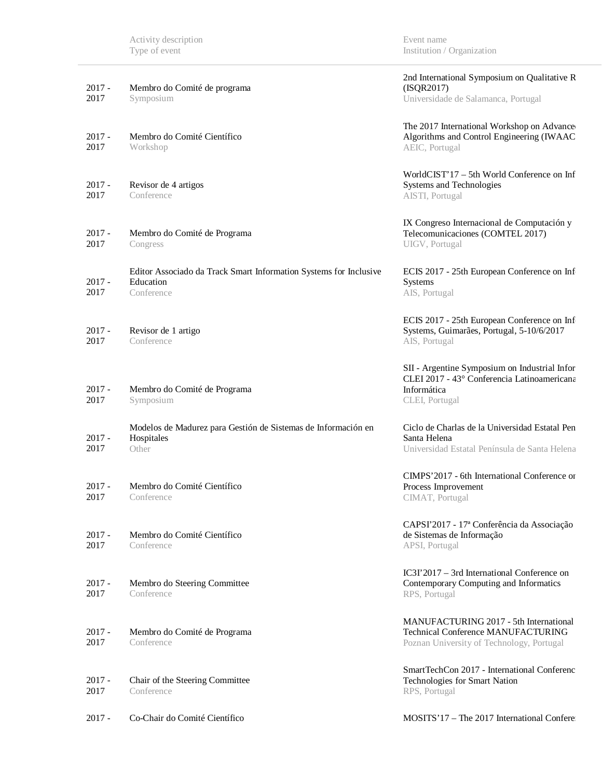| $2017 -$<br>2017 | Membro do Comité de programa<br>Symposium                                                    | 2nd International Symposium on Qualitative R<br>(ISQR2017)<br>Universidade de Salamanca, Portugal                                |
|------------------|----------------------------------------------------------------------------------------------|----------------------------------------------------------------------------------------------------------------------------------|
| $2017 -$<br>2017 | Membro do Comité Científico<br>Workshop                                                      | The 2017 International Workshop on Advance<br>Algorithms and Control Engineering (IWAAC<br>AEIC, Portugal                        |
| $2017 -$<br>2017 | Revisor de 4 artigos<br>Conference                                                           | WorldCIST'17 - 5th World Conference on Inf<br>Systems and Technologies<br>AISTI, Portugal                                        |
| $2017 -$<br>2017 | Membro do Comité de Programa<br>Congress                                                     | IX Congreso Internacional de Computación y<br>Telecomunicaciones (COMTEL 2017)<br>UIGV, Portugal                                 |
| $2017 -$<br>2017 | Editor Associado da Track Smart Information Systems for Inclusive<br>Education<br>Conference | ECIS 2017 - 25th European Conference on Inf<br>Systems<br>AIS, Portugal                                                          |
| $2017 -$<br>2017 | Revisor de 1 artigo<br>Conference                                                            | ECIS 2017 - 25th European Conference on Inf<br>Systems, Guimarães, Portugal, 5-10/6/2017<br>AIS, Portugal                        |
| $2017 -$<br>2017 | Membro do Comité de Programa<br>Symposium                                                    | SII - Argentine Symposium on Industrial Infor<br>CLEI 2017 - 43° Conferencia Latinoamericana<br>Informática<br>CLEI, Portugal    |
| $2017 -$<br>2017 | Modelos de Madurez para Gestión de Sistemas de Información en<br>Hospitales<br>Other         | Ciclo de Charlas de la Universidad Estatal Pen<br>Santa Helena<br>Universidad Estatal Península de Santa Helena                  |
| $2017 -$<br>2017 | Membro do Comité Científico<br>Conference                                                    | CIMPS'2017 - 6th International Conference or<br>Process Improvement<br>CIMAT, Portugal                                           |
| $2017 -$<br>2017 | Membro do Comité Científico<br>Conference                                                    | CAPSI'2017 - 17ª Conferência da Associação<br>de Sistemas de Informação<br>APSI, Portugal                                        |
| $2017 -$<br>2017 | Membro do Steering Committee<br>Conference                                                   | $IC3I'2017 - 3rd International Conference on$<br>Contemporary Computing and Informatics<br>RPS, Portugal                         |
| $2017 -$<br>2017 | Membro do Comité de Programa<br>Conference                                                   | MANUFACTURING 2017 - 5th International<br><b>Technical Conference MANUFACTURING</b><br>Poznan University of Technology, Portugal |
| $2017 -$<br>2017 | Chair of the Steering Committee<br>Conference                                                | SmartTechCon 2017 - International Conferenc<br>Technologies for Smart Nation<br>RPS, Portugal                                    |
| $2017 -$         | Co-Chair do Comité Científico                                                                | MOSITS'17 - The 2017 International Confere                                                                                       |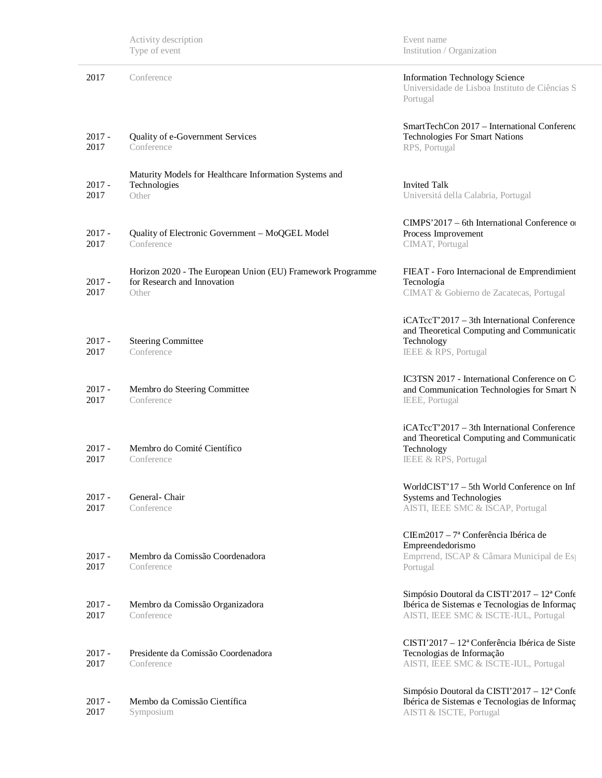| Activity description |  |
|----------------------|--|
| Type of event        |  |

Event name Institution / Organization

| 2017             | Conference                                                                                         | <b>Information Technology Science</b><br>Universidade de Lisboa Instituto de Ciências S<br>Portugal                                        |
|------------------|----------------------------------------------------------------------------------------------------|--------------------------------------------------------------------------------------------------------------------------------------------|
| $2017 -$<br>2017 | Quality of e-Government Services<br>Conference                                                     | SmartTechCon 2017 - International Conferenc<br><b>Technologies For Smart Nations</b><br>RPS, Portugal                                      |
| $2017 -$<br>2017 | Maturity Models for Healthcare Information Systems and<br>Technologies<br>Other                    | <b>Invited Talk</b><br>Universitá della Calabria, Portugal                                                                                 |
| $2017 -$<br>2017 | Quality of Electronic Government – MoQGEL Model<br>Conference                                      | CIMPS'2017 – 6th International Conference of<br>Process Improvement<br>CIMAT, Portugal                                                     |
| $2017 -$<br>2017 | Horizon 2020 - The European Union (EU) Framework Programme<br>for Research and Innovation<br>Other | FIEAT - Foro Internacional de Emprendimient<br>Tecnología<br>CIMAT & Gobierno de Zacatecas, Portugal                                       |
| $2017 -$<br>2017 | <b>Steering Committee</b><br>Conference                                                            | iCATccT'2017 - 3th International Conference<br>and Theoretical Computing and Communicatio<br>Technology<br><b>IEEE &amp; RPS, Portugal</b> |
| $2017 -$<br>2017 | Membro do Steering Committee<br>Conference                                                         | IC3TSN 2017 - International Conference on C<br>and Communication Technologies for Smart N<br>IEEE, Portugal                                |
| $2017 -$<br>2017 | Membro do Comité Científico<br>Conference                                                          | iCATccT'2017 - 3th International Conference<br>and Theoretical Computing and Communicatio<br>Technology<br>IEEE & RPS, Portugal            |
| $2017 -$<br>2017 | General-Chair<br>Conference                                                                        | WorldCIST'17 – 5th World Conference on Inf<br>Systems and Technologies<br>AISTI, IEEE SMC & ISCAP, Portugal                                |
| $2017 -$<br>2017 | Membro da Comissão Coordenadora<br>Conference                                                      | $CIEm2017 - 7a Conferência Ibérica de$<br>Empreendedorismo<br>Emprrend, ISCAP & Câmara Municipal de Es<br>Portugal                         |
| $2017 -$<br>2017 | Membro da Comissão Organizadora<br>Conference                                                      | Simpósio Doutoral da CISTI'2017 - 12ª Confe<br>Ibérica de Sistemas e Tecnologias de Informaç<br>AISTI, IEEE SMC & ISCTE-IUL, Portugal      |
| $2017 -$<br>2017 | Presidente da Comissão Coordenadora<br>Conference                                                  | $CISTI'2017 - 12a Conferência Ibérica de Siste$<br>Tecnologias de Informação<br>AISTI, IEEE SMC & ISCTE-IUL, Portugal                      |
| $2017 -$<br>2017 | Membo da Comissão Científica<br>Symposium                                                          | Simpósio Doutoral da CISTI'2017 - 12ª Confe<br>Ibérica de Sistemas e Tecnologias de Informaç<br>AISTI & ISCTE, Portugal                    |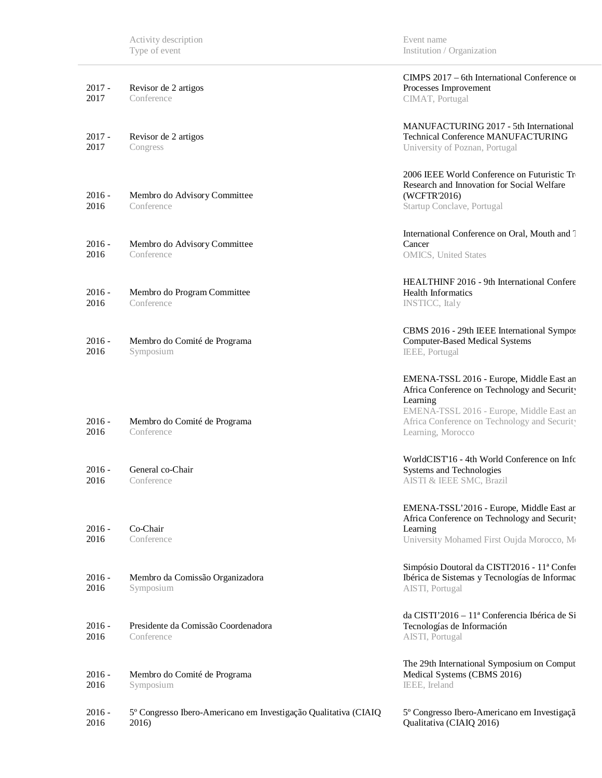| $2017 -$<br>2017 | Revisor de 2 artigos<br>Conference                                       | CIMPS 2017 – 6th International Conference of<br>Processes Improvement<br>CIMAT, Portugal                                                                                                                              |
|------------------|--------------------------------------------------------------------------|-----------------------------------------------------------------------------------------------------------------------------------------------------------------------------------------------------------------------|
| $2017 -$<br>2017 | Revisor de 2 artigos<br>Congress                                         | MANUFACTURING 2017 - 5th International<br><b>Technical Conference MANUFACTURING</b><br>University of Poznan, Portugal                                                                                                 |
| $2016 -$<br>2016 | Membro do Advisory Committee<br>Conference                               | 2006 IEEE World Conference on Futuristic Tr<br>Research and Innovation for Social Welfare<br>(WCFTR'2016)<br>Startup Conclave, Portugal                                                                               |
| $2016 -$<br>2016 | Membro do Advisory Committee<br>Conference                               | International Conference on Oral, Mouth and T<br>Cancer<br><b>OMICS</b> , United States                                                                                                                               |
| $2016 -$<br>2016 | Membro do Program Committee<br>Conference                                | HEALTHINF 2016 - 9th International Confere<br>Health Informatics<br><b>INSTICC</b> , Italy                                                                                                                            |
| $2016 -$<br>2016 | Membro do Comité de Programa<br>Symposium                                | CBMS 2016 - 29th IEEE International Sympos<br><b>Computer-Based Medical Systems</b><br>IEEE, Portugal                                                                                                                 |
| $2016 -$<br>2016 | Membro do Comité de Programa<br>Conference                               | EMENA-TSSL 2016 - Europe, Middle East an<br>Africa Conference on Technology and Security<br>Learning<br>EMENA-TSSL 2016 - Europe, Middle East an<br>Africa Conference on Technology and Security<br>Learning, Morocco |
| $2016 -$<br>2016 | General co-Chair<br>Conference                                           | WorldCIST'16 - 4th World Conference on Info<br>Systems and Technologies<br>AISTI & IEEE SMC, Brazil                                                                                                                   |
| $2016 -$<br>2016 | Co-Chair<br>Conference                                                   | EMENA-TSSL'2016 - Europe, Middle East ar<br>Africa Conference on Technology and Security<br>Learning<br>University Mohamed First Oujda Morocco, Mo                                                                    |
| $2016 -$<br>2016 | Membro da Comissão Organizadora<br>Symposium                             | Simpósio Doutoral da CISTI'2016 - 11ª Confei<br>Ibérica de Sistemas y Tecnologías de Informac<br>AISTI, Portugal                                                                                                      |
| $2016 -$<br>2016 | Presidente da Comissão Coordenadora<br>Conference                        | da CISTI'2016 – 11ª Conferencia Ibérica de Si<br>Tecnologías de Información<br>AISTI, Portugal                                                                                                                        |
| $2016 -$<br>2016 | Membro do Comité de Programa<br>Symposium                                | The 29th International Symposium on Comput<br>Medical Systems (CBMS 2016)<br>IEEE, Ireland                                                                                                                            |
| $2016 -$<br>2016 | 5º Congresso Ibero-Americano em Investigação Qualitativa (CIAIQ<br>2016) | 5º Congresso Ibero-Americano em Investigaçã<br>Qualitativa (CIAIQ 2016)                                                                                                                                               |

Event name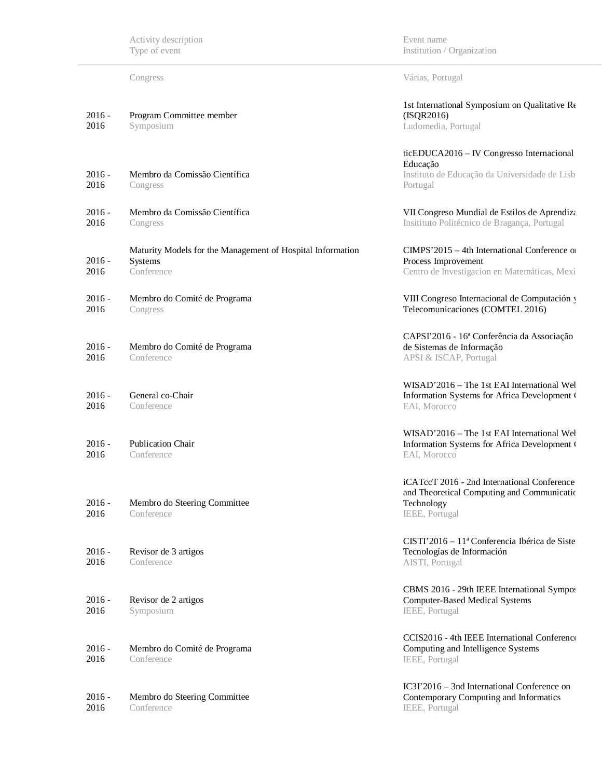Congress Várias, Portugal

| $2016 -$<br>2016 | Program Committee member<br>Symposium                                               | 1st International Symposium on Qualitative Re<br>(ISQR2016)<br>Ludomedia, Portugal                                        |
|------------------|-------------------------------------------------------------------------------------|---------------------------------------------------------------------------------------------------------------------------|
| $2016 -$<br>2016 | Membro da Comissão Científica<br>Congress                                           | ticEDUCA2016 - IV Congresso Internacional<br>Educação<br>Instituto de Educação da Universidade de Lisb<br>Portugal        |
| $2016 -$<br>2016 | Membro da Comissão Científica<br>Congress                                           | VII Congreso Mundial de Estilos de Aprendiza<br>Insitituto Politécnico de Bragança, Portugal                              |
| $2016 -$<br>2016 | Maturity Models for the Management of Hospital Information<br>Systems<br>Conference | $CIMPS'2015 - 4th International Conference$ or<br>Process Improvement<br>Centro de Investigacion en Matemáticas, Mexi     |
| $2016 -$<br>2016 | Membro do Comité de Programa<br>Congress                                            | VIII Congreso Internacional de Computación y<br>Telecomunicaciones (COMTEL 2016)                                          |
| $2016 -$<br>2016 | Membro do Comité de Programa<br>Conference                                          | CAPSI'2016 - 16ª Conferência da Associação<br>de Sistemas de Informação<br>APSI & ISCAP, Portugal                         |
| $2016 -$<br>2016 | General co-Chair<br>Conference                                                      | WISAD'2016 - The 1st EAI International Wel<br>Information Systems for Africa Development (<br>EAI, Morocco                |
| $2016 -$<br>2016 | <b>Publication Chair</b><br>Conference                                              | WISAD'2016 – The 1st EAI International Wel<br>Information Systems for Africa Development (<br>EAI, Morocco                |
| $2016 -$<br>2016 | Membro do Steering Committee<br>Conference                                          | iCATccT 2016 - 2nd International Conference<br>and Theoretical Computing and Communicatio<br>Technology<br>IEEE, Portugal |
| $2016 -$<br>2016 | Revisor de 3 artigos<br>Conference                                                  | CISTI'2016 – 11ª Conferencia Ibérica de Siste<br>Tecnologías de Información<br>AISTI, Portugal                            |
| $2016 -$<br>2016 | Revisor de 2 artigos<br>Symposium                                                   | CBMS 2016 - 29th IEEE International Sympos<br><b>Computer-Based Medical Systems</b><br>IEEE, Portugal                     |
| $2016 -$<br>2016 | Membro do Comité de Programa<br>Conference                                          | CCIS2016 - 4th IEEE International Conference<br>Computing and Intelligence Systems<br>IEEE, Portugal                      |
| $2016 -$<br>2016 | Membro do Steering Committee<br>Conference                                          | IC3I'2016 – 3nd International Conference on<br>Contemporary Computing and Informatics<br>IEEE, Portugal                   |

Event name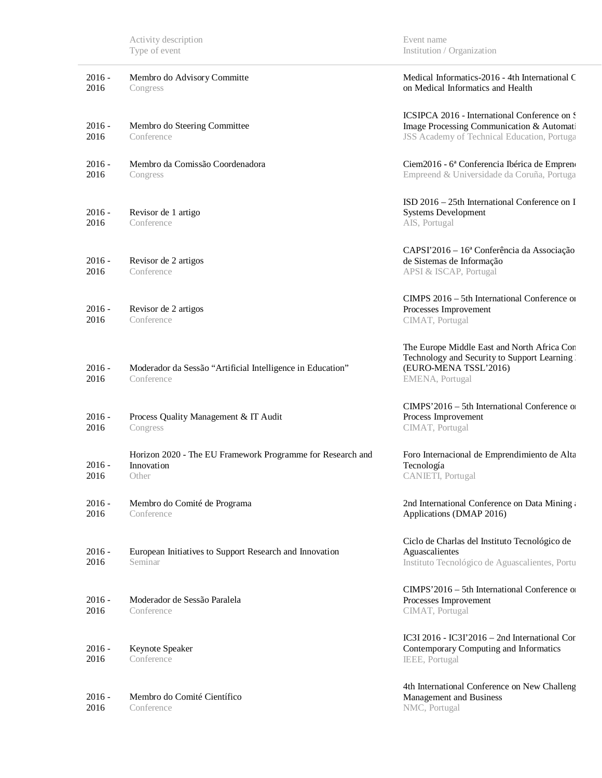| $2016 -$<br>2016 | Membro do Advisory Committe<br>Congress                                           | Medical Informatics-2016 - 4th International C<br>on Medical Informatics and Health                                                      |  |
|------------------|-----------------------------------------------------------------------------------|------------------------------------------------------------------------------------------------------------------------------------------|--|
| $2016 -$<br>2016 | Membro do Steering Committee<br>Conference                                        | ICSIPCA 2016 - International Conference on S<br>Image Processing Communication & Automati<br>JSS Academy of Technical Education, Portuga |  |
| $2016 -$<br>2016 | Membro da Comissão Coordenadora<br>Congress                                       | Ciem2016 - 6ª Conferencia Ibérica de Emprend<br>Empreend & Universidade da Coruña, Portuga                                               |  |
| $2016 -$<br>2016 | Revisor de 1 artigo<br>Conference                                                 | ISD 2016 – 25th International Conference on I<br><b>Systems Development</b><br>AIS, Portugal                                             |  |
| $2016 -$<br>2016 | Revisor de 2 artigos<br>Conference                                                | CAPSI'2016 - 16ª Conferência da Associação<br>de Sistemas de Informação<br>APSI & ISCAP, Portugal                                        |  |
| $2016 -$<br>2016 | Revisor de 2 artigos<br>Conference                                                | CIMPS 2016 – 5th International Conference of<br>Processes Improvement<br>CIMAT, Portugal                                                 |  |
| $2016 -$<br>2016 | Moderador da Sessão "Artificial Intelligence in Education"<br>Conference          | The Europe Middle East and North Africa Con<br>Technology and Security to Support Learning<br>(EURO-MENA TSSL'2016)<br>EMENA, Portugal   |  |
| $2016 -$<br>2016 | Process Quality Management & IT Audit<br>Congress                                 | CIMPS'2016 - 5th International Conference of<br>Process Improvement<br>CIMAT, Portugal                                                   |  |
| $2016 -$<br>2016 | Horizon 2020 - The EU Framework Programme for Research and<br>Innovation<br>Other | Foro Internacional de Emprendimiento de Alta<br>Tecnología<br>CANIETI, Portugal                                                          |  |
| $2016 -$<br>2016 | Membro do Comité de Programa<br>Conference                                        | 2nd International Conference on Data Mining:<br>Applications (DMAP 2016)                                                                 |  |
| $2016 -$<br>2016 | European Initiatives to Support Research and Innovation<br>Seminar                | Ciclo de Charlas del Instituto Tecnológico de<br>Aguascalientes<br>Instituto Tecnológico de Aguascalientes, Portu                        |  |
| $2016 -$<br>2016 | Moderador de Sessão Paralela<br>Conference                                        | CIMPS'2016 - 5th International Conference of<br>Processes Improvement<br>CIMAT, Portugal                                                 |  |
| $2016 -$<br>2016 | Keynote Speaker<br>Conference                                                     | IC3I 2016 - IC3I 2016 - 2nd International Cor<br>Contemporary Computing and Informatics<br>IEEE, Portugal                                |  |
| $2016 -$<br>2016 | Membro do Comité Científico<br>Conference                                         | 4th International Conference on New Challeng<br>Management and Business<br>NMC, Portugal                                                 |  |

Event name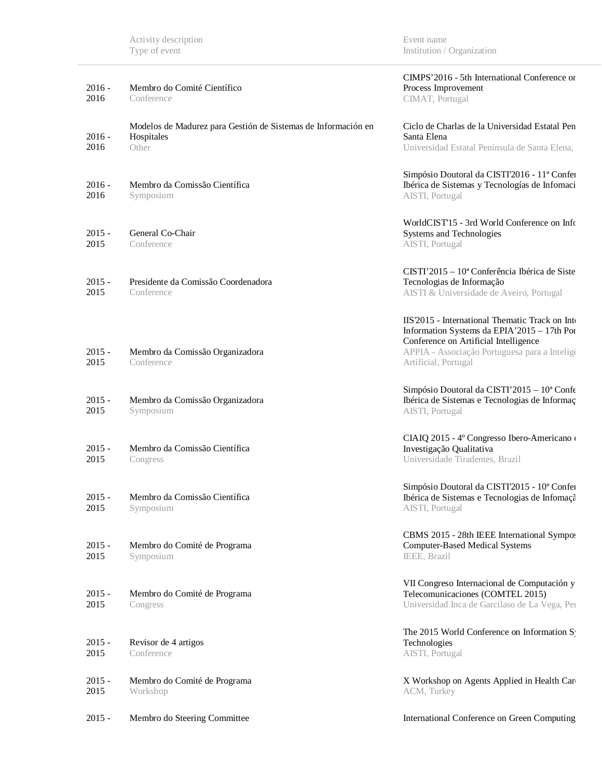| $2016 -$<br>2016 | Membro do Comité Científico<br>Conference                                            | CIMPS'2016 - 5th International Conference or<br>Process Improvement<br>CIMAT, Portugal                                                                                                                           |
|------------------|--------------------------------------------------------------------------------------|------------------------------------------------------------------------------------------------------------------------------------------------------------------------------------------------------------------|
| $2016 -$<br>2016 | Modelos de Madurez para Gestión de Sistemas de Información en<br>Hospitales<br>Other | Ciclo de Charlas de la Universidad Estatal Pen<br>Santa Elena<br>Universidad Estatal Península de Santa Elena,                                                                                                   |
| $2016 -$<br>2016 | Membro da Comissão Científica<br>Symposium                                           | Simpósio Doutoral da CISTI'2016 - 11ª Confei<br>Ibérica de Sistemas y Tecnologías de Infomaci<br>AISTI, Portugal                                                                                                 |
| $2015 -$<br>2015 | General Co-Chair<br>Conference                                                       | WorldCIST'15 - 3rd World Conference on Info<br>Systems and Technologies<br>AISTI, Portugal                                                                                                                       |
| $2015 -$<br>2015 | Presidente da Comissão Coordenadora<br>Conference                                    | CISTI'2015 – 10 <sup>ª</sup> Conferência Ibérica de Siste<br>Tecnologias de Informação<br>AISTI & Universidade de Aveiro, Portugal                                                                               |
| $2015 -$<br>2015 | Membro da Comissão Organizadora<br>Conference                                        | IIS'2015 - International Thematic Track on Inte<br>Information Systems da EPIA'2015 - 17th Por<br>Conference on Artificial Intelligence<br>APPIA - Associação Portuguesa para a Inteligi<br>Artificial, Portugal |
| $2015 -$<br>2015 | Membro da Comissão Organizadora<br>Symposium                                         | Simpósio Doutoral da CISTI'2015 - 10ª Confe<br>Ibérica de Sistemas e Tecnologias de Informaç<br>AISTI, Portugal                                                                                                  |
| $2015 -$<br>2015 | Membro da Comissão Científica<br>Congress                                            | CIAIQ 2015 - 4° Congresso Ibero-Americano<br>Investigação Qualitativa<br>Universidade Tiradentes, Brazil                                                                                                         |
| $2015 -$<br>2015 | Membro da Comissão Científica<br>Symposium                                           | Simpósio Doutoral da CISTI'2015 - 10ª Confei<br>Ibérica de Sistemas e Tecnologias de Infomaçã<br>AISTI, Portugal                                                                                                 |
| $2015 -$<br>2015 | Membro do Comité de Programa<br>Symposium                                            | CBMS 2015 - 28th IEEE International Sympos<br><b>Computer-Based Medical Systems</b><br>IEEE, Brazil                                                                                                              |
| $2015 -$<br>2015 | Membro do Comité de Programa<br>Congress                                             | VII Congreso Internacional de Computación y<br>Telecomunicaciones (COMTEL 2015)<br>Universidad Inca de Garcilaso de La Vega, Per                                                                                 |
| $2015 -$<br>2015 | Revisor de 4 artigos<br>Conference                                                   | The 2015 World Conference on Information S<br>Technologies<br>AISTI, Portugal                                                                                                                                    |
| $2015 -$<br>2015 | Membro do Comité de Programa<br>Workshop                                             | X Workshop on Agents Applied in Health Car<br>ACM, Turkey                                                                                                                                                        |
| $2015 -$         | Membro do Steering Committee                                                         | International Conference on Green Computing                                                                                                                                                                      |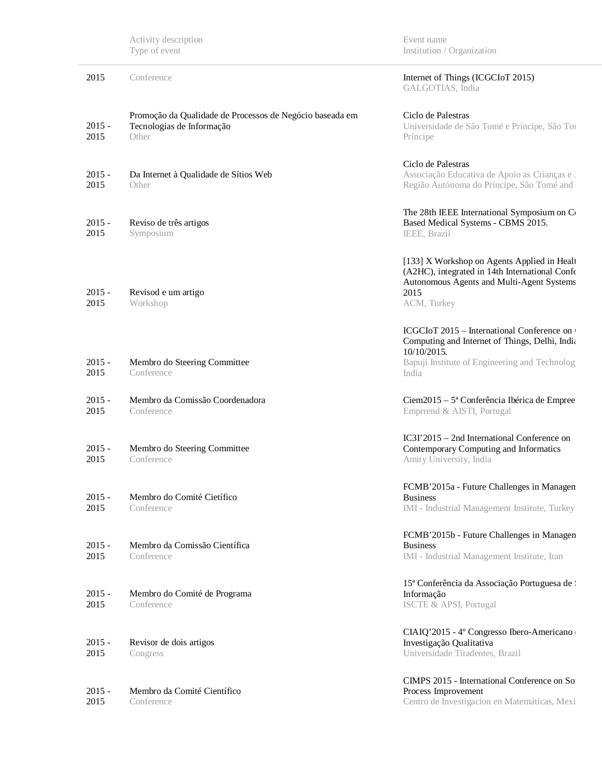|                  | Activity description<br>Type of event                                                          | Event name<br>Institution / Organization                                                                                                                              |
|------------------|------------------------------------------------------------------------------------------------|-----------------------------------------------------------------------------------------------------------------------------------------------------------------------|
| 2015             | Conference                                                                                     | Internet of Things (ICGCIoT 2015)<br>GALGOTIAS, India                                                                                                                 |
| $2015 -$<br>2015 | Promoção da Qualidade de Processos de Negócio baseada em<br>Tecnologias de Informação<br>Other | Ciclo de Palestras<br>Universidade de São Tomé e Príncipe, São Tor<br>Príncipe                                                                                        |
| $2015 -$<br>2015 | Da Internet à Qualidade de Sítios Web<br>Other                                                 | Ciclo de Palestras<br>Associação Educativa de Apoio as Crianças e.<br>Região Autónoma do Príncipe, São Tomé and                                                       |
| $2015 -$<br>2015 | Reviso de três artigos<br>Symposium                                                            | The 28th IEEE International Symposium on Co<br>Based Medical Systems - CBMS 2015.<br>IEEE, Brazil                                                                     |
| $2015 -$<br>2015 | Revisod e um artigo<br>Workshop                                                                | [133] X Workshop on Agents Applied in Healt<br>(A2HC), integrated in 14th International Confe<br>Autonomous Agents and Multi-Agent Systems<br>2015<br>ACM, Turkey     |
| $2015 -$<br>2015 | Membro do Steering Committee<br>Conference                                                     | ICGCIoT 2015 – International Conference on<br>Computing and Internet of Things, Delhi, India<br>10/10/2015.<br>Bapuji Institute of Engineering and Technolog<br>India |
| $2015 -$<br>2015 | Membro da Comissão Coordenadora<br>Conference                                                  | Ciem2015 – 5ª Conferência Ibérica de Empree<br>Emprrend & AISTI, Portugal                                                                                             |
| $2015 -$<br>2015 | Membro do Steering Committee<br>Conference                                                     | $IC3I'2015 - 2nd International Conference on$<br>Contemporary Computing and Informatics<br>Amity University, India                                                    |
| $2015 -$<br>2015 | Membro do Comité Cietífico<br>Conference                                                       | FCMB'2015a - Future Challenges in Managen<br><b>Business</b><br>IMI - Industrial Management Institute, Turkey                                                         |
| $2015 -$<br>2015 | Membro da Comissão Científica<br>Conference                                                    | FCMB'2015b - Future Challenges in Managen<br><b>Business</b><br>IMI - Industrial Management Institute, Iran                                                           |
| $2015 -$<br>2015 | Membro do Comité de Programa<br>Conference                                                     | 15 <sup>ª</sup> Conferência da Associação Portuguesa de l<br>Informação<br><b>ISCTE &amp; APSI, Portugal</b>                                                          |
| $2015 -$<br>2015 | Revisor de dois artigos<br>Congress                                                            | CIAIQ'2015 - 4º Congresso Ibero-Americano<br>Investigação Qualitativa<br>Universidade Tiradentes, Brazil                                                              |
| $2015 -$<br>2015 | Membro da Comité Científico<br>Conference                                                      | CIMPS 2015 - International Conference on So<br>Process Improvement<br>Centro de Investigacion en Matemáticas, Mexi                                                    |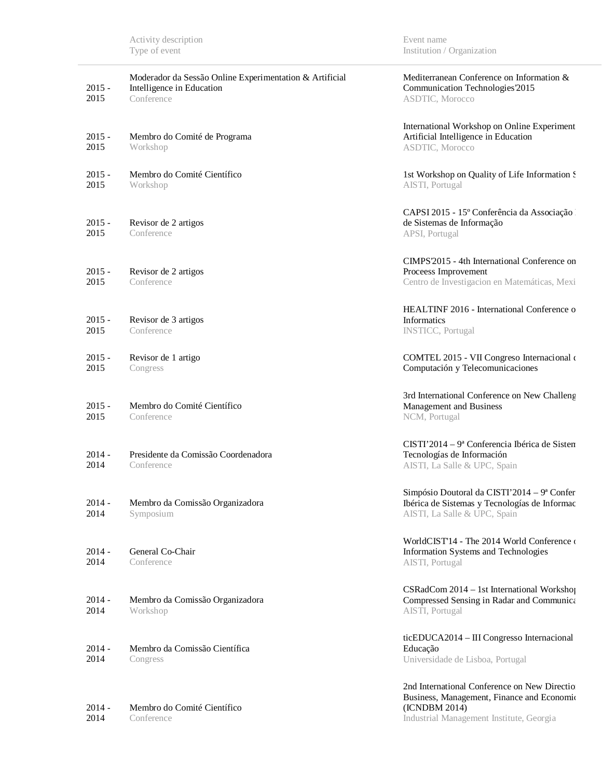| $2015 -$<br>2015 | Moderador da Sessão Online Experimentation & Artificial<br>Intelligence in Education<br>Conference | Mediterranean Conference on Information &<br>Communication Technologies 2015<br>ASDTIC, Morocco                                                         |
|------------------|----------------------------------------------------------------------------------------------------|---------------------------------------------------------------------------------------------------------------------------------------------------------|
| $2015 -$<br>2015 | Membro do Comité de Programa<br>Workshop                                                           | International Workshop on Online Experiment<br>Artificial Intelligence in Education<br>ASDTIC, Morocco                                                  |
| $2015 -$<br>2015 | Membro do Comité Científico<br>Workshop                                                            | 1st Workshop on Quality of Life Information S<br>AISTI, Portugal                                                                                        |
| $2015 -$<br>2015 | Revisor de 2 artigos<br>Conference                                                                 | CAPSI 2015 - 15º Conferência da Associação<br>de Sistemas de Informação<br>APSI, Portugal                                                               |
| $2015 -$<br>2015 | Revisor de 2 artigos<br>Conference                                                                 | CIMPS'2015 - 4th International Conference on<br>Proceess Improvement<br>Centro de Investigacion en Matemáticas, Mexi                                    |
| $2015 -$<br>2015 | Revisor de 3 artigos<br>Conference                                                                 | HEALTINF 2016 - International Conference o<br><b>Informatics</b><br><b>INSTICC</b> , Portugal                                                           |
| $2015 -$<br>2015 | Revisor de 1 artigo<br>Congress                                                                    | COMTEL 2015 - VII Congreso Internacional o<br>Computación y Telecomunicaciones                                                                          |
| $2015 -$<br>2015 | Membro do Comité Científico<br>Conference                                                          | 3rd International Conference on New Challeng<br>Management and Business<br>NCM, Portugal                                                                |
| $2014 -$<br>2014 | Presidente da Comissão Coordenadora<br>Conference                                                  | $CISTI'2014 - 9a Conferencia Ibérica de Sisten$<br>Tecnologías de Información<br>AISTI, La Salle & UPC, Spain                                           |
| $2014 -$<br>2014 | Membro da Comissão Organizadora<br>Symposium                                                       | Simpósio Doutoral da CISTI'2014 – 9ª Confer<br>Ibérica de Sistemas y Tecnologías de Informac<br>AISTI, La Salle & UPC, Spain                            |
| $2014 -$<br>2014 | General Co-Chair<br>Conference                                                                     | WorldCIST'14 - The 2014 World Conference of<br>Information Systems and Technologies<br>AISTI, Portugal                                                  |
| $2014 -$<br>2014 | Membro da Comissão Organizadora<br>Workshop                                                        | CSRadCom 2014 – 1st International Workshop<br>Compressed Sensing in Radar and Communica<br>AISTI, Portugal                                              |
| $2014 -$<br>2014 | Membro da Comissão Científica<br>Congress                                                          | ticEDUCA2014 - III Congresso Internacional<br>Educação<br>Universidade de Lisboa, Portugal                                                              |
| $2014 -$<br>2014 | Membro do Comité Científico<br>Conference                                                          | 2nd International Conference on New Directio<br>Business, Management, Finance and Economic<br>(ICNDBM 2014)<br>Industrial Management Institute, Georgia |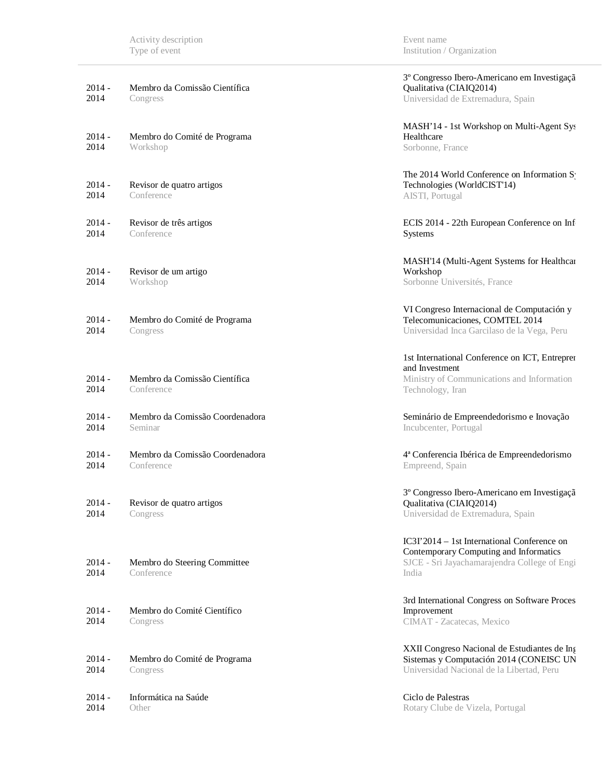| $2014 -$<br>2014 | Membro da Comissão Científica<br>Congress     | 3º Congresso Ibero-Americano em Investigaçã<br>Qualitativa (CIAIQ2014)<br>Universidad de Extremadura, Spain                                    |
|------------------|-----------------------------------------------|------------------------------------------------------------------------------------------------------------------------------------------------|
| $2014 -$<br>2014 | Membro do Comité de Programa<br>Workshop      | MASH'14 - 1st Workshop on Multi-Agent Sys<br>Healthcare<br>Sorbonne, France                                                                    |
| $2014 -$<br>2014 | Revisor de quatro artigos<br>Conference       | The 2014 World Conference on Information S<br>Technologies (WorldCIST'14)<br>AISTI, Portugal                                                   |
| $2014 -$<br>2014 | Revisor de três artigos<br>Conference         | ECIS 2014 - 22th European Conference on Inf<br>Systems                                                                                         |
| $2014 -$<br>2014 | Revisor de um artigo<br>Workshop              | MASH'14 (Multi-Agent Systems for Healthcar<br>Workshop<br>Sorbonne Universités, France                                                         |
| $2014 -$<br>2014 | Membro do Comité de Programa<br>Congress      | VI Congreso Internacional de Computación y<br>Telecomunicaciones, COMTEL 2014<br>Universidad Inca Garcilaso de la Vega, Peru                   |
| $2014 -$<br>2014 | Membro da Comissão Científica<br>Conference   | 1st International Conference on ICT, Entrepren<br>and Investment<br>Ministry of Communications and Information<br>Technology, Iran             |
| $2014 -$<br>2014 | Membro da Comissão Coordenadora<br>Seminar    | Seminário de Empreendedorismo e Inovação<br>Incubcenter, Portugal                                                                              |
| $2014 -$<br>2014 | Membro da Comissão Coordenadora<br>Conference | 4ª Conferencia Ibérica de Empreendedorismo<br>Empreend, Spain                                                                                  |
| $2014 -$<br>2014 | Revisor de quatro artigos<br>Congress         | 3º Congresso Ibero-Americano em Investigaçã<br>Qualitativa (CIAIQ2014)<br>Universidad de Extremadura, Spain                                    |
| $2014 -$<br>2014 | Membro do Steering Committee<br>Conference    | IC3I'2014 – 1st International Conference on<br>Contemporary Computing and Informatics<br>SJCE - Sri Jayachamarajendra College of Engi<br>India |
| $2014 -$<br>2014 | Membro do Comité Científico<br>Congress       | 3rd International Congress on Software Proces<br>Improvement<br>CIMAT - Zacatecas, Mexico                                                      |
| $2014 -$<br>2014 | Membro do Comité de Programa<br>Congress      | XXII Congreso Nacional de Estudiantes de Ing<br>Sistemas y Computación 2014 (CONEISC UN<br>Universidad Nacional de la Libertad, Peru           |
| $2014 -$<br>2014 | Informática na Saúde<br>Other                 | Ciclo de Palestras<br>Rotary Clube de Vizela, Portugal                                                                                         |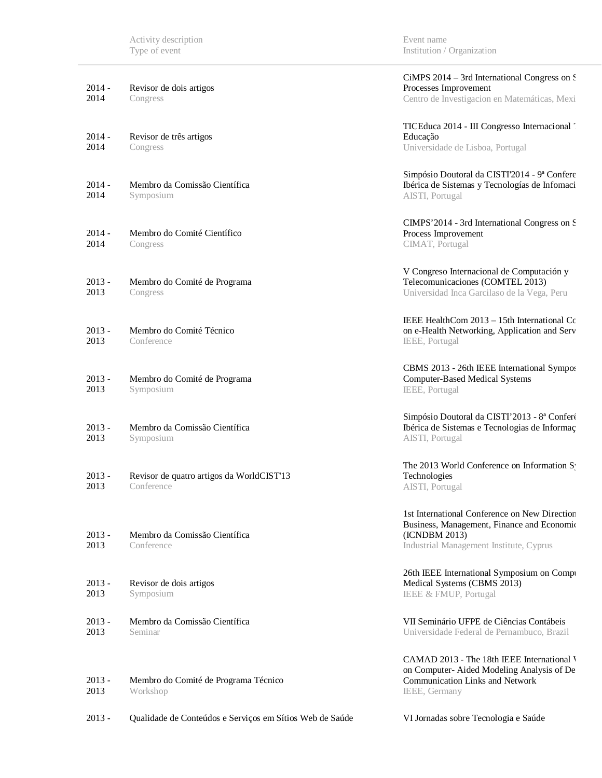| $2014 -$<br>2014 | Revisor de dois artigos<br>Congress                      | CiMPS 2014 - 3rd International Congress on S<br>Processes Improvement<br>Centro de Investigacion en Matemáticas, Mexi                                   |
|------------------|----------------------------------------------------------|---------------------------------------------------------------------------------------------------------------------------------------------------------|
| $2014 -$<br>2014 | Revisor de três artigos<br>Congress                      | TICEduca 2014 - III Congresso Internacional<br>Educação<br>Universidade de Lisboa, Portugal                                                             |
| $2014 -$<br>2014 | Membro da Comissão Científica<br>Symposium               | Simpósio Doutoral da CISTI'2014 - 9ª Confere<br>Ibérica de Sistemas y Tecnologías de Infomaci<br>AISTI, Portugal                                        |
| $2014 -$<br>2014 | Membro do Comité Científico<br>Congress                  | CIMPS'2014 - 3rd International Congress on S<br>Process Improvement<br>CIMAT, Portugal                                                                  |
| $2013 -$<br>2013 | Membro do Comité de Programa<br>Congress                 | V Congreso Internacional de Computación y<br>Telecomunicaciones (COMTEL 2013)<br>Universidad Inca Garcilaso de la Vega, Peru                            |
| $2013 -$<br>2013 | Membro do Comité Técnico<br>Conference                   | IEEE HealthCom $2013 - 15$ th International Co<br>on e-Health Networking, Application and Serv<br>IEEE, Portugal                                        |
| $2013 -$<br>2013 | Membro do Comité de Programa<br>Symposium                | CBMS 2013 - 26th IEEE International Sympos<br><b>Computer-Based Medical Systems</b><br>IEEE, Portugal                                                   |
| $2013 -$<br>2013 | Membro da Comissão Científica<br>Symposium               | Simpósio Doutoral da CISTI'2013 - 8ª Conferé<br>Ibérica de Sistemas e Tecnologias de Informaç<br>AISTI, Portugal                                        |
| $2013 -$<br>2013 | Revisor de quatro artigos da WorldCIST'13<br>Conference  | The 2013 World Conference on Information S<br>Technologies<br>AISTI, Portugal                                                                           |
| $2013 -$<br>2013 | Membro da Comissão Científica<br>Conference              | 1st International Conference on New Direction<br>Business, Management, Finance and Economic<br>(ICNDBM 2013)<br>Industrial Management Institute, Cyprus |
| $2013 -$<br>2013 | Revisor de dois artigos<br>Symposium                     | 26th IEEE International Symposium on Compr<br>Medical Systems (CBMS 2013)<br>IEEE & FMUP, Portugal                                                      |
| $2013 -$<br>2013 | Membro da Comissão Científica<br>Seminar                 | VII Seminário UFPE de Ciências Contábeis<br>Universidade Federal de Pernambuco, Brazil                                                                  |
| $2013 -$<br>2013 | Membro do Comité de Programa Técnico<br>Workshop         | CAMAD 2013 - The 18th IEEE International V<br>on Computer-Aided Modeling Analysis of De<br><b>Communication Links and Network</b><br>IEEE, Germany      |
| $2013 -$         | Qualidade de Conteúdos e Serviços em Sítios Web de Saúde | VI Jornadas sobre Tecnologia e Saúde                                                                                                                    |

Event name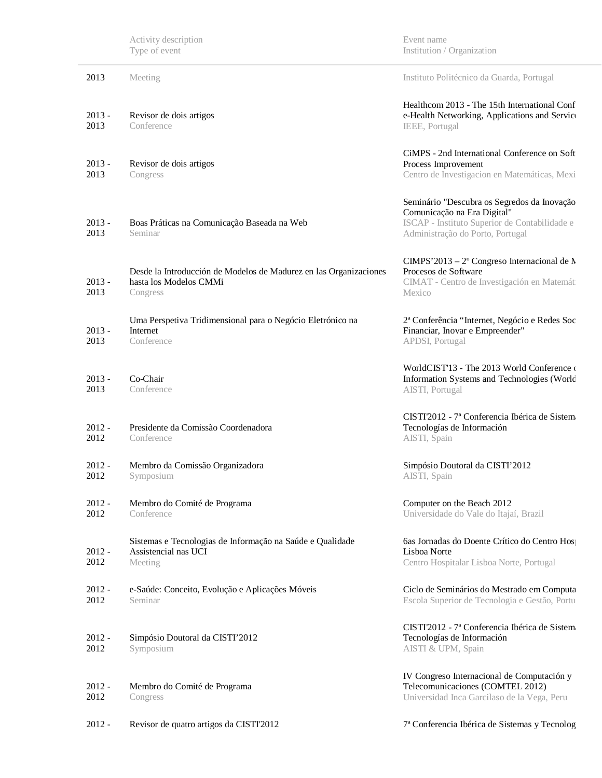|                  | Activity description<br>Type of event                                                                   | Event name<br>Institution / Organization                                                                                                                        |
|------------------|---------------------------------------------------------------------------------------------------------|-----------------------------------------------------------------------------------------------------------------------------------------------------------------|
| 2013             | Meeting                                                                                                 | Instituto Politécnico da Guarda, Portugal                                                                                                                       |
| $2013 -$<br>2013 | Revisor de dois artigos<br>Conference                                                                   | Healthcom 2013 - The 15th International Conf<br>e-Health Networking, Applications and Service<br>IEEE, Portugal                                                 |
| $2013 -$<br>2013 | Revisor de dois artigos<br>Congress                                                                     | CiMPS - 2nd International Conference on Soft<br>Process Improvement<br>Centro de Investigacion en Matemáticas, Mexi                                             |
| $2013 -$<br>2013 | Boas Práticas na Comunicação Baseada na Web<br>Seminar                                                  | Seminário "Descubra os Segredos da Inovação<br>Comunicação na Era Digital"<br>ISCAP - Instituto Superior de Contabilidade e<br>Administração do Porto, Portugal |
| $2013 -$<br>2013 | Desde la Introducción de Modelos de Madurez en las Organizaciones<br>hasta los Modelos CMMi<br>Congress | CIMPS'2013 – $2^{\circ}$ Congreso Internacional de N<br>Procesos de Software<br>CIMAT - Centro de Investigación en Matemát<br>Mexico                            |
| $2013 -$<br>2013 | Uma Perspetiva Tridimensional para o Negócio Eletrónico na<br>Internet<br>Conference                    | 2ª Conferência "Internet, Negócio e Redes Soc<br>Financiar, Inovar e Empreender"<br>APDSI, Portugal                                                             |
| $2013 -$<br>2013 | Co-Chair<br>Conference                                                                                  | WorldCIST'13 - The 2013 World Conference o<br>Information Systems and Technologies (World<br>AISTI, Portugal                                                    |
| $2012 -$<br>2012 | Presidente da Comissão Coordenadora<br>Conference                                                       | CISTI'2012 - 7ª Conferencia Ibérica de Sistem<br>Tecnologías de Información<br>AISTI, Spain                                                                     |
| $2012 -$<br>2012 | Membro da Comissão Organizadora<br>Symposium                                                            | Simpósio Doutoral da CISTI'2012<br>AISTI, Spain                                                                                                                 |
| $2012 -$<br>2012 | Membro do Comité de Programa<br>Conference                                                              | Computer on the Beach 2012<br>Universidade do Vale do Itajaí, Brazil                                                                                            |
| $2012 -$<br>2012 | Sistemas e Tecnologias de Informação na Saúde e Qualidade<br>Assistencial nas UCI<br>Meeting            | 6as Jornadas do Doente Crítico do Centro Hos<br>Lisboa Norte<br>Centro Hospitalar Lisboa Norte, Portugal                                                        |
| $2012 -$<br>2012 | e-Saúde: Conceito, Evolução e Aplicações Móveis<br>Seminar                                              | Ciclo de Seminários do Mestrado em Computa<br>Escola Superior de Tecnologia e Gestão, Portu                                                                     |
| $2012 -$<br>2012 | Simpósio Doutoral da CISTI'2012<br>Symposium                                                            | CISTI'2012 - 7ª Conferencia Ibérica de Sistem<br>Tecnologías de Información<br>AISTI & UPM, Spain                                                               |
| $2012 -$<br>2012 | Membro do Comité de Programa<br>Congress                                                                | IV Congreso Internacional de Computación y<br>Telecomunicaciones (COMTEL 2012)<br>Universidad Inca Garcilaso de la Vega, Peru                                   |
| $2012 -$         | Revisor de quatro artigos da CISTI'2012                                                                 | 7ª Conferencia Ibérica de Sistemas y Tecnolog                                                                                                                   |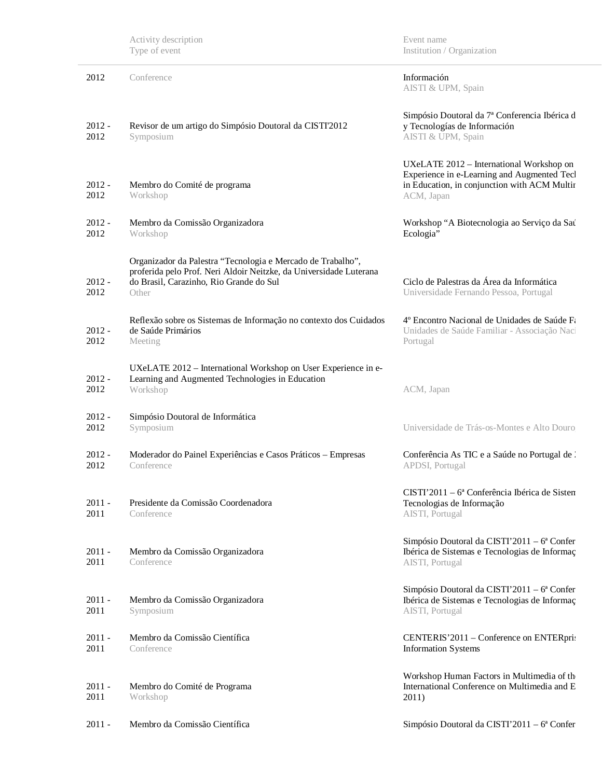|                  | Activity description<br>Type of event                                                                                                                                                 | Event name<br>Institution / Organization                                                                                                              |
|------------------|---------------------------------------------------------------------------------------------------------------------------------------------------------------------------------------|-------------------------------------------------------------------------------------------------------------------------------------------------------|
| 2012             | Conference                                                                                                                                                                            | Información<br>AISTI & UPM, Spain                                                                                                                     |
| $2012 -$<br>2012 | Revisor de um artigo do Simpósio Doutoral da CISTI'2012<br>Symposium                                                                                                                  | Simpósio Doutoral da 7ª Conferencia Ibérica d<br>y Tecnologías de Información<br>AISTI & UPM, Spain                                                   |
| $2012 -$<br>2012 | Membro do Comité de programa<br>Workshop                                                                                                                                              | UXeLATE 2012 - International Workshop on<br>Experience in e-Learning and Augmented Tecl<br>in Education, in conjunction with ACM Multir<br>ACM, Japan |
| $2012 -$<br>2012 | Membro da Comissão Organizadora<br>Workshop                                                                                                                                           | Workshop "A Biotecnologia ao Serviço da Sat<br>Ecologia"                                                                                              |
| $2012 -$<br>2012 | Organizador da Palestra "Tecnologia e Mercado de Trabalho",<br>proferida pelo Prof. Neri Aldoir Neitzke, da Universidade Luterana<br>do Brasil, Carazinho, Rio Grande do Sul<br>Other | Ciclo de Palestras da Área da Informática<br>Universidade Fernando Pessoa, Portugal                                                                   |
| $2012 -$<br>2012 | Reflexão sobre os Sistemas de Informação no contexto dos Cuidados<br>de Saúde Primários<br>Meeting                                                                                    | 4º Encontro Nacional de Unidades de Saúde Fa<br>Unidades de Saúde Familiar - Associação Naci<br>Portugal                                              |
| $2012 -$<br>2012 | UXeLATE 2012 - International Workshop on User Experience in e-<br>Learning and Augmented Technologies in Education<br>Workshop                                                        | ACM, Japan                                                                                                                                            |
| $2012 -$<br>2012 | Simpósio Doutoral de Informática<br>Symposium                                                                                                                                         | Universidade de Trás-os-Montes e Alto Douro                                                                                                           |
| $2012 -$<br>2012 | Moderador do Painel Experiências e Casos Práticos - Empresas<br>Conference                                                                                                            | Conferência As TIC e a Saúde no Portugal de .<br><b>APDSI</b> , Portugal                                                                              |
| $2011 -$<br>2011 | Presidente da Comissão Coordenadora<br>Conference                                                                                                                                     | $CISTI'2011 - 6a Conferência Ibérica de Sisten$<br>Tecnologias de Informação<br>AISTI, Portugal                                                       |
| $2011 -$<br>2011 | Membro da Comissão Organizadora<br>Conference                                                                                                                                         | Simpósio Doutoral da CISTI'2011 - $6^a$ Confer<br>Ibérica de Sistemas e Tecnologias de Informaç<br>AISTI, Portugal                                    |
| $2011 -$<br>2011 | Membro da Comissão Organizadora<br>Symposium                                                                                                                                          | Simpósio Doutoral da CISTI'2011 - $6^a$ Confer<br>Ibérica de Sistemas e Tecnologias de Informaç<br>AISTI, Portugal                                    |
| $2011 -$<br>2011 | Membro da Comissão Científica<br>Conference                                                                                                                                           | CENTERIS'2011 – Conference on ENTERpri:<br><b>Information Systems</b>                                                                                 |
| $2011 -$<br>2011 | Membro do Comité de Programa<br>Workshop                                                                                                                                              | Workshop Human Factors in Multimedia of th<br>International Conference on Multimedia and E<br>2011)                                                   |
| $2011 -$         | Membro da Comissão Científica                                                                                                                                                         | Simpósio Doutoral da CISTI'2011 – 6ª Confer                                                                                                           |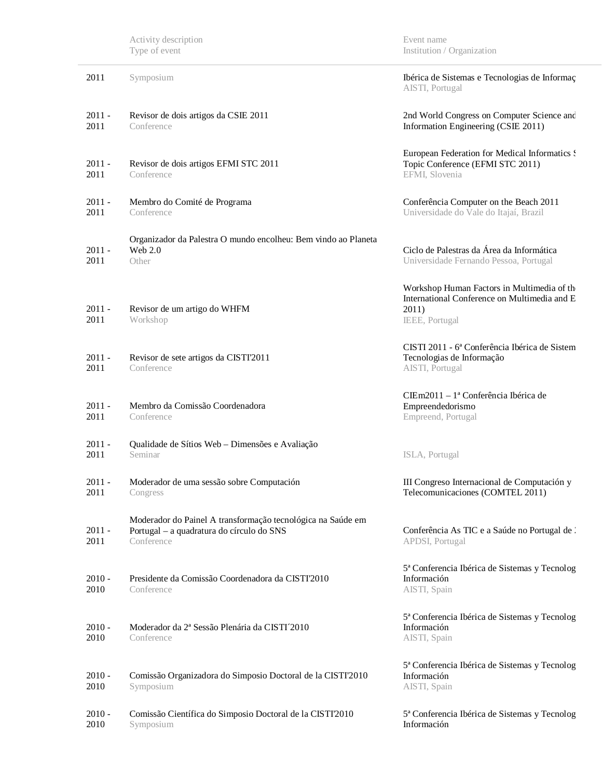|                  | Activity description<br>Type of event                                                                                  | Event name<br>Institution / Organization                                                                              |
|------------------|------------------------------------------------------------------------------------------------------------------------|-----------------------------------------------------------------------------------------------------------------------|
| 2011             | Symposium                                                                                                              | Ibérica de Sistemas e Tecnologias de Informaç<br>AISTI, Portugal                                                      |
| $2011 -$<br>2011 | Revisor de dois artigos da CSIE 2011<br>Conference                                                                     | 2nd World Congress on Computer Science and<br>Information Engineering (CSIE 2011)                                     |
| $2011 -$<br>2011 | Revisor de dois artigos EFMI STC 2011<br>Conference                                                                    | European Federation for Medical Informatics :<br>Topic Conference (EFMI STC 2011)<br>EFMI, Slovenia                   |
| $2011 -$<br>2011 | Membro do Comité de Programa<br>Conference                                                                             | Conferência Computer on the Beach 2011<br>Universidade do Vale do Itajaí, Brazil                                      |
| $2011 -$<br>2011 | Organizador da Palestra O mundo encolheu: Bem vindo ao Planeta<br><b>Web 2.0</b><br>Other                              | Ciclo de Palestras da Área da Informática<br>Universidade Fernando Pessoa, Portugal                                   |
| $2011 -$<br>2011 | Revisor de um artigo do WHFM<br>Workshop                                                                               | Workshop Human Factors in Multimedia of th<br>International Conference on Multimedia and E<br>2011)<br>IEEE, Portugal |
| $2011 -$<br>2011 | Revisor de sete artigos da CISTI'2011<br>Conference                                                                    | CISTI 2011 - 6ª Conferência Ibérica de Sistem<br>Tecnologias de Informação<br>AISTI, Portugal                         |
| $2011 -$<br>2011 | Membro da Comissão Coordenadora<br>Conference                                                                          | CIEm2011 - la Conferência Ibérica de<br>Empreendedorismo<br>Empreend, Portugal                                        |
| $2011 -$<br>2011 | Qualidade de Sítios Web - Dimensões e Avaliação<br>Seminar                                                             | ISLA, Portugal                                                                                                        |
| $2011 -$<br>2011 | Moderador de uma sessão sobre Computación<br>Congress                                                                  | III Congreso Internacional de Computación y<br>Telecomunicaciones (COMTEL 2011)                                       |
| $2011 -$<br>2011 | Moderador do Painel A transformação tecnológica na Saúde em<br>Portugal - a quadratura do círculo do SNS<br>Conference | Conferência As TIC e a Saúde no Portugal de :<br>APDSI, Portugal                                                      |
| $2010 -$<br>2010 | Presidente da Comissão Coordenadora da CISTI'2010<br>Conference                                                        | 5ª Conferencia Ibérica de Sistemas y Tecnolog<br>Información<br>AISTI, Spain                                          |
| $2010 -$<br>2010 | Moderador da 2ª Sessão Plenária da CISTI <sup>7</sup> 2010<br>Conference                                               | 5ª Conferencia Ibérica de Sistemas y Tecnolog<br>Información<br>AISTI, Spain                                          |
| $2010 -$<br>2010 | Comissão Organizadora do Simposio Doctoral de la CISTI'2010<br>Symposium                                               | 5ª Conferencia Ibérica de Sistemas y Tecnolog<br>Información<br>AISTI, Spain                                          |
| $2010 -$<br>2010 | Comissão Científica do Simposio Doctoral de la CISTI'2010<br>Symposium                                                 | 5ª Conferencia Ibérica de Sistemas y Tecnolog<br>Información                                                          |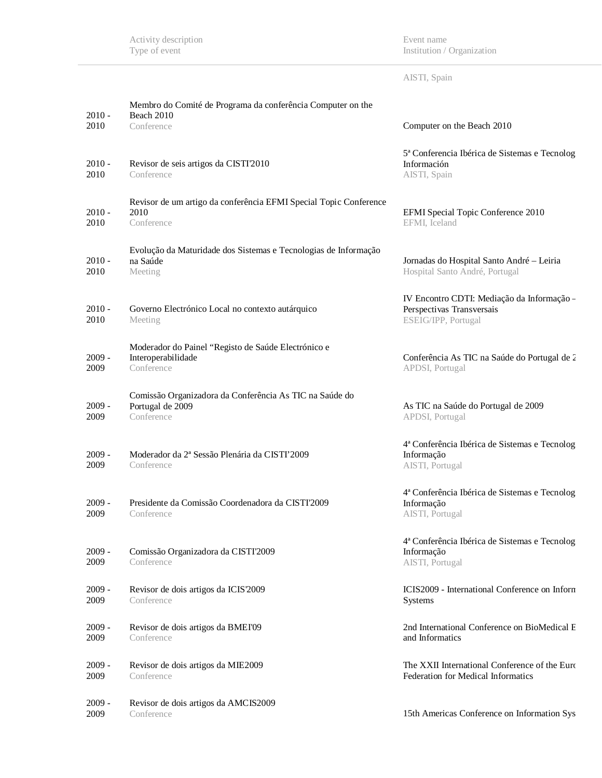Event name Institution / Organization

| AISTI, Spain |  |  |
|--------------|--|--|
|              |  |  |

| $2010 -$<br>2010 | Membro do Comité de Programa da conferência Computer on the<br>Beach 2010<br>Conference   | Computer on the Beach 2010                                                                     |
|------------------|-------------------------------------------------------------------------------------------|------------------------------------------------------------------------------------------------|
| $2010 -$<br>2010 | Revisor de seis artigos da CISTI'2010<br>Conference                                       | 5ª Conferencia Ibérica de Sistemas e Tecnolog<br>Información<br>AISTI, Spain                   |
| $2010 -$<br>2010 | Revisor de um artigo da conferência EFMI Special Topic Conference<br>2010<br>Conference   | EFMI Special Topic Conference 2010<br>EFMI, Iceland                                            |
| $2010 -$<br>2010 | Evolução da Maturidade dos Sistemas e Tecnologias de Informação<br>na Saúde<br>Meeting    | Jornadas do Hospital Santo André - Leiria<br>Hospital Santo André, Portugal                    |
| $2010 -$<br>2010 | Governo Electrónico Local no contexto autárquico<br>Meeting                               | IV Encontro CDTI: Mediação da Informação -<br>Perspectivas Transversais<br>ESEIG/IPP, Portugal |
| $2009 -$<br>2009 | Moderador do Painel "Registo de Saúde Electrónico e<br>Interoperabilidade<br>Conference   | Conferência As TIC na Saúde do Portugal de 2<br>APDSI, Portugal                                |
| $2009 -$<br>2009 | Comissão Organizadora da Conferência As TIC na Saúde do<br>Portugal de 2009<br>Conference | As TIC na Saúde do Portugal de 2009<br>APDSI, Portugal                                         |
| $2009 -$<br>2009 | Moderador da 2ª Sessão Plenária da CISTI'2009<br>Conference                               | 4ª Conferência Ibérica de Sistemas e Tecnolog<br>Informação<br>AISTI, Portugal                 |
| $2009 -$<br>2009 | Presidente da Comissão Coordenadora da CISTI'2009<br>Conference                           | 4ª Conferência Ibérica de Sistemas e Tecnolog<br>Informação<br>AISTI, Portugal                 |
| $2009 -$<br>2009 | Comissão Organizadora da CISTI'2009<br>Conference                                         | 4ª Conferência Ibérica de Sistemas e Tecnolog<br>Informação<br>AISTI, Portugal                 |
| $2009 -$<br>2009 | Revisor de dois artigos da ICIS 2009<br>Conference                                        | ICIS2009 - International Conference on Inform<br><b>Systems</b>                                |
| $2009 -$<br>2009 | Revisor de dois artigos da BMEI'09<br>Conference                                          | 2nd International Conference on BioMedical E<br>and Informatics                                |
| $2009 -$<br>2009 | Revisor de dois artigos da MIE2009<br>Conference                                          | The XXII International Conference of the Euro<br>Federation for Medical Informatics            |
| $2009 -$<br>2009 | Revisor de dois artigos da AMCIS2009<br>Conference                                        | 15th Americas Conference on Information Sys                                                    |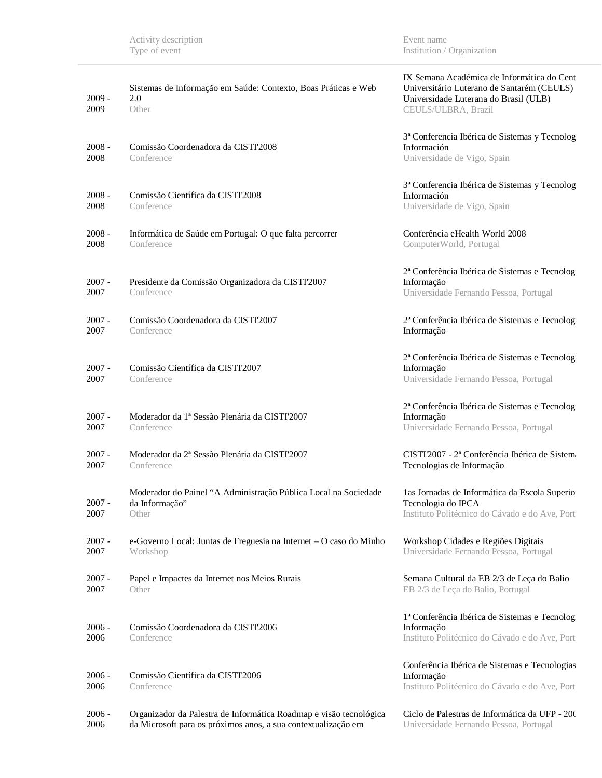| $2009 -$<br>2009 | Sistemas de Informação em Saúde: Contexto, Boas Práticas e Web<br>2.0<br>Other                                                      | IX Semana Académica de Informática do Cent<br>Universitário Luterano de Santarém (CEULS)<br>Universidade Luterana do Brasil (ULB)<br>CEULS/ULBRA, Brazil |
|------------------|-------------------------------------------------------------------------------------------------------------------------------------|----------------------------------------------------------------------------------------------------------------------------------------------------------|
| $2008 -$<br>2008 | Comissão Coordenadora da CISTI'2008<br>Conference                                                                                   | 3ª Conferencia Ibérica de Sistemas y Tecnolog<br>Información<br>Universidade de Vigo, Spain                                                              |
| $2008 -$<br>2008 | Comissão Científica da CISTI2008<br>Conference                                                                                      | 3ª Conferencia Ibérica de Sistemas y Tecnolog<br>Información<br>Universidade de Vigo, Spain                                                              |
| $2008 -$<br>2008 | Informática de Saúde em Portugal: O que falta percorrer<br>Conference                                                               | Conferência eHealth World 2008<br>ComputerWorld, Portugal                                                                                                |
| $2007 -$<br>2007 | Presidente da Comissão Organizadora da CISTI'2007<br>Conference                                                                     | 2ª Conferência Ibérica de Sistemas e Tecnolog<br>Informação<br>Universidade Fernando Pessoa, Portugal                                                    |
| $2007 -$<br>2007 | Comissão Coordenadora da CISTI'2007<br>Conference                                                                                   | 2ª Conferência Ibérica de Sistemas e Tecnolog<br>Informação                                                                                              |
| $2007 -$<br>2007 | Comissão Científica da CISTI2007<br>Conference                                                                                      | 2ª Conferência Ibérica de Sistemas e Tecnolog<br>Informação<br>Universidade Fernando Pessoa, Portugal                                                    |
| $2007 -$<br>2007 | Moderador da 1ª Sessão Plenária da CISTI'2007<br>Conference                                                                         | 2ª Conferência Ibérica de Sistemas e Tecnolog<br>Informação<br>Universidade Fernando Pessoa, Portugal                                                    |
| $2007 -$<br>2007 | Moderador da 2ª Sessão Plenária da CISTI'2007<br>Conference                                                                         | CISTI'2007 - 2ª Conferência Ibérica de Sistem<br>Tecnologias de Informação                                                                               |
| $2007 -$<br>2007 | Moderador do Painel "A Administração Pública Local na Sociedade<br>da Informação"<br>Other                                          | las Jornadas de Informática da Escola Superio<br>Tecnologia do IPCA<br>Instituto Politécnico do Cávado e do Ave, Port                                    |
| $2007 -$<br>2007 | e-Governo Local: Juntas de Freguesia na Internet - O caso do Minho<br>Workshop                                                      | Workshop Cidades e Regiões Digitais<br>Universidade Fernando Pessoa, Portugal                                                                            |
| $2007 -$<br>2007 | Papel e Impactes da Internet nos Meios Rurais<br>Other                                                                              | Semana Cultural da EB 2/3 de Leça do Balio<br>EB 2/3 de Leça do Balio, Portugal                                                                          |
| $2006 -$<br>2006 | Comissão Coordenadora da CISTI'2006<br>Conference                                                                                   | 1ª Conferência Ibérica de Sistemas e Tecnolog<br>Informação<br>Instituto Politécnico do Cávado e do Ave, Port                                            |
| $2006 -$<br>2006 | Comissão Científica da CISTI2006<br>Conference                                                                                      | Conferência Ibérica de Sistemas e Tecnologias<br>Informação<br>Instituto Politécnico do Cávado e do Ave, Port                                            |
| $2006 -$<br>2006 | Organizador da Palestra de Informática Roadmap e visão tecnológica<br>da Microsoft para os próximos anos, a sua contextualização em | Ciclo de Palestras de Informática da UFP - 200<br>Universidade Fernando Pessoa, Portugal                                                                 |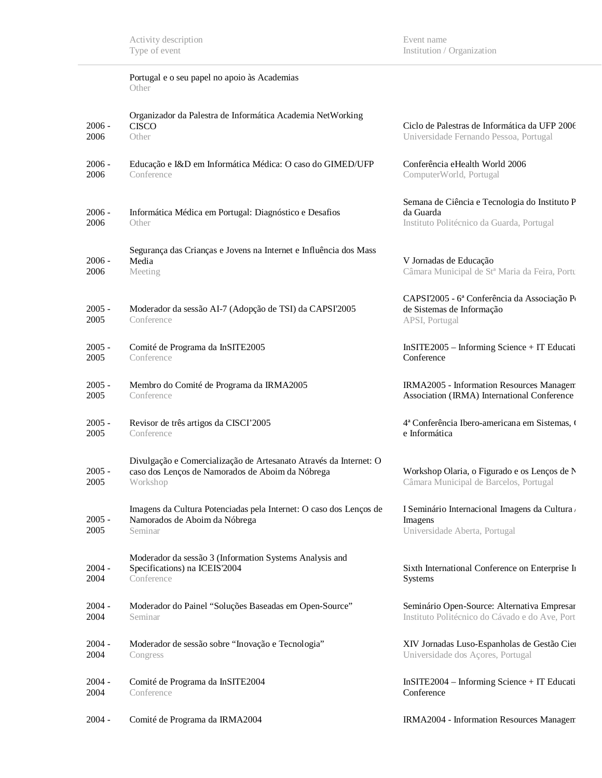Event name Institution / Organization

|                  | Portugal e o seu papel no apoio às Academias<br>Other                                                                             |                                                                                                         |
|------------------|-----------------------------------------------------------------------------------------------------------------------------------|---------------------------------------------------------------------------------------------------------|
| $2006 -$<br>2006 | Organizador da Palestra de Informática Academia NetWorking<br><b>CISCO</b><br>Other                                               | Ciclo de Palestras de Informática da UFP 2006<br>Universidade Fernando Pessoa, Portugal                 |
| $2006 -$<br>2006 | Educação e I&D em Informática Médica: O caso do GIMED/UFP<br>Conference                                                           | Conferência eHealth World 2006<br>ComputerWorld, Portugal                                               |
| $2006 -$<br>2006 | Informática Médica em Portugal: Diagnóstico e Desafios<br>Other                                                                   | Semana de Ciência e Tecnologia do Instituto P<br>da Guarda<br>Instituto Politécnico da Guarda, Portugal |
| $2006 -$<br>2006 | Segurança das Crianças e Jovens na Internet e Influência dos Mass<br>Media<br>Meeting                                             | V Jornadas de Educação<br>Câmara Municipal de Stª Maria da Feira, Portu                                 |
| $2005 -$<br>2005 | Moderador da sessão AI-7 (Adopção de TSI) da CAPSI'2005<br>Conference                                                             | CAPSI2005 - 6ª Conferência da Associação P<br>de Sistemas de Informação<br>APSI, Portugal               |
| $2005 -$<br>2005 | Comité de Programa da InSITE2005<br>Conference                                                                                    | InSITE2005 - Informing Science + IT Educati<br>Conference                                               |
| $2005 -$<br>2005 | Membro do Comité de Programa da IRMA2005<br>Conference                                                                            | IRMA2005 - Information Resources Managem<br>Association (IRMA) International Conference                 |
| $2005 -$<br>2005 | Revisor de três artigos da CISCI'2005<br>Conference                                                                               | 4ª Conferência Ibero-americana em Sistemas, (<br>e Informática                                          |
| $2005 -$<br>2005 | Divulgação e Comercialização de Artesanato Através da Internet: O<br>caso dos Lenços de Namorados de Aboim da Nóbrega<br>Workshop | Workshop Olaria, o Figurado e os Lenços de N<br>Câmara Municipal de Barcelos, Portugal                  |
| $2005 -$<br>2005 | Imagens da Cultura Potenciadas pela Internet: O caso dos Lenços de<br>Namorados de Aboim da Nóbrega<br>Seminar                    | I Seminário Internacional Imagens da Cultura<br>Imagens<br>Universidade Aberta, Portugal                |
| $2004 -$<br>2004 | Moderador da sessão 3 (Information Systems Analysis and<br>Specifications) na ICEIS'2004<br>Conference                            | Sixth International Conference on Enterprise In<br>Systems                                              |
| $2004 -$<br>2004 | Moderador do Painel "Soluções Baseadas em Open-Source"<br>Seminar                                                                 | Seminário Open-Source: Alternativa Empresar<br>Instituto Politécnico do Cávado e do Ave, Port           |
| $2004 -$<br>2004 | Moderador de sessão sobre "Inovação e Tecnologia"<br>Congress                                                                     | XIV Jornadas Luso-Espanholas de Gestão Cier<br>Universidade dos Açores, Portugal                        |
| $2004 -$<br>2004 | Comité de Programa da InSITE2004<br>Conference                                                                                    | InSITE2004 - Informing Science + IT Educati<br>Conference                                               |
| $2004 -$         | Comité de Programa da IRMA2004                                                                                                    | IRMA2004 - Information Resources Managem                                                                |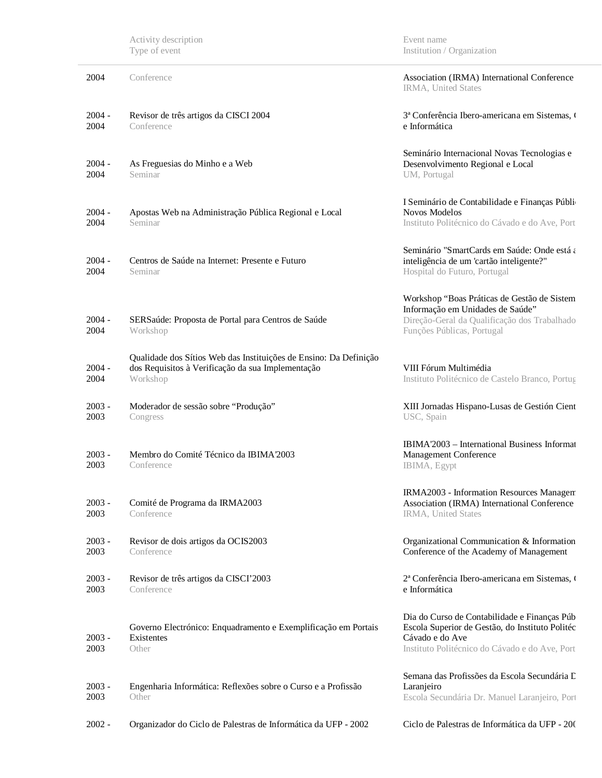|                  | Activity description<br>Type of event                                                                                              | Event name<br>Institution / Organization                                                                                                                             |
|------------------|------------------------------------------------------------------------------------------------------------------------------------|----------------------------------------------------------------------------------------------------------------------------------------------------------------------|
| 2004             | Conference                                                                                                                         | Association (IRMA) International Conference<br>IRMA, United States                                                                                                   |
| $2004 -$<br>2004 | Revisor de três artigos da CISCI 2004<br>Conference                                                                                | 3ª Conferência Ibero-americana em Sistemas,<br>e Informática                                                                                                         |
| $2004 -$<br>2004 | As Freguesias do Minho e a Web<br>Seminar                                                                                          | Seminário Internacional Novas Tecnologias e<br>Desenvolvimento Regional e Local<br>UM, Portugal                                                                      |
| $2004 -$<br>2004 | Apostas Web na Administração Pública Regional e Local<br>Seminar                                                                   | I Seminário de Contabilidade e Finanças Públi-<br><b>Novos Modelos</b><br>Instituto Politécnico do Cávado e do Ave, Port                                             |
| $2004 -$<br>2004 | Centros de Saúde na Internet: Presente e Futuro<br>Seminar                                                                         | Seminário "SmartCards em Saúde: Onde está a<br>inteligência de um 'cartão inteligente?"<br>Hospital do Futuro, Portugal                                              |
| $2004 -$<br>2004 | SERSaúde: Proposta de Portal para Centros de Saúde<br>Workshop                                                                     | Workshop "Boas Práticas de Gestão de Sistem<br>Informação em Unidades de Saúde"<br>Direção-Geral da Qualificação dos Trabalhado<br>Funções Públicas, Portugal        |
| $2004 -$<br>2004 | Qualidade dos Sítios Web das Instituições de Ensino: Da Definição<br>dos Requisitos à Verificação da sua Implementação<br>Workshop | VIII Fórum Multimédia<br>Instituto Politécnico de Castelo Branco, Portug                                                                                             |
| $2003 -$<br>2003 | Moderador de sessão sobre "Produção"<br>Congress                                                                                   | XIII Jornadas Hispano-Lusas de Gestión Cient<br>USC, Spain                                                                                                           |
| $2003 -$<br>2003 | Membro do Comité Técnico da IBIMA 2003<br>Conference                                                                               | IBIMA'2003 - International Business Informat<br>Management Conference<br>IBIMA, Egypt                                                                                |
| $2003 -$<br>2003 | Comité de Programa da IRMA2003<br>Conference                                                                                       | IRMA2003 - Information Resources Managem<br>Association (IRMA) International Conference<br>IRMA, United States                                                       |
| $2003 -$<br>2003 | Revisor de dois artigos da OCIS2003<br>Conference                                                                                  | Organizational Communication & Information<br>Conference of the Academy of Management                                                                                |
| $2003 -$<br>2003 | Revisor de três artigos da CISCI'2003<br>Conference                                                                                | 2ª Conferência Ibero-americana em Sistemas, (<br>e Informática                                                                                                       |
| $2003 -$<br>2003 | Governo Electrónico: Enquadramento e Exemplificação em Portais<br>Existentes<br>Other                                              | Dia do Curso de Contabilidade e Finanças Púb<br>Escola Superior de Gestão, do Instituto Politéc<br>Cávado e do Ave<br>Instituto Politécnico do Cávado e do Ave, Port |
| $2003 -$<br>2003 | Engenharia Informática: Reflexões sobre o Curso e a Profissão<br>Other                                                             | Semana das Profissões da Escola Secundária L<br>Laranjeiro<br>Escola Secundária Dr. Manuel Laranjeiro, Port                                                          |
| $2002 -$         | Organizador do Ciclo de Palestras de Informática da UFP - 2002                                                                     | Ciclo de Palestras de Informática da UFP - 200                                                                                                                       |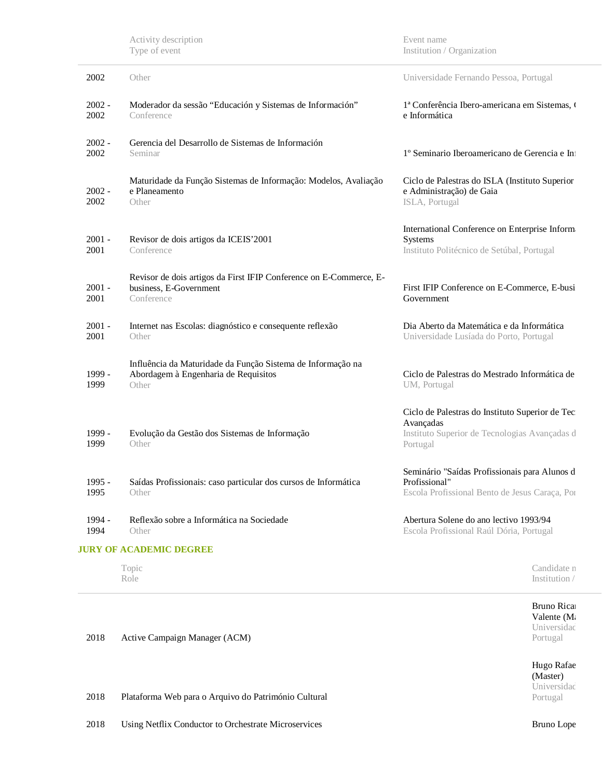|                  | Activity description<br>Type of event                                                                        | Event name<br>Institution / Organization                                                                                  |
|------------------|--------------------------------------------------------------------------------------------------------------|---------------------------------------------------------------------------------------------------------------------------|
| 2002             | Other                                                                                                        | Universidade Fernando Pessoa, Portugal                                                                                    |
| $2002 -$<br>2002 | Moderador da sessão "Educación y Sistemas de Información"<br>Conference                                      | 1ª Conferência Ibero-americana em Sistemas, o<br>e Informática                                                            |
| $2002 -$<br>2002 | Gerencia del Desarrollo de Sistemas de Información<br>Seminar                                                | 1º Seminario Iberoamericano de Gerencia e Int                                                                             |
| $2002 -$<br>2002 | Maturidade da Função Sistemas de Informação: Modelos, Avaliação<br>e Planeamento<br>Other                    | Ciclo de Palestras do ISLA (Instituto Superior<br>e Administração) de Gaia<br>ISLA, Portugal                              |
| $2001 -$<br>2001 | Revisor de dois artigos da ICEIS'2001<br>Conference                                                          | International Conference on Enterprise Inform<br>Systems<br>Instituto Politécnico de Setúbal, Portugal                    |
| $2001 -$<br>2001 | Revisor de dois artigos da First IFIP Conference on E-Commerce, E-<br>business, E-Government<br>Conference   | First IFIP Conference on E-Commerce, E-busi<br>Government                                                                 |
| $2001 -$<br>2001 | Internet nas Escolas: diagnóstico e consequente reflexão<br>Other                                            | Dia Aberto da Matemática e da Informática<br>Universidade Lusíada do Porto, Portugal                                      |
| 1999 -<br>1999   | Influência da Maturidade da Função Sistema de Informação na<br>Abordagem à Engenharia de Requisitos<br>Other | Ciclo de Palestras do Mestrado Informática de<br>UM, Portugal                                                             |
| 1999 -<br>1999   | Evolução da Gestão dos Sistemas de Informação<br>Other                                                       | Ciclo de Palestras do Instituto Superior de Tec<br>Avançadas<br>Instituto Superior de Tecnologias Avançadas d<br>Portugal |
| 1995 -<br>1995   | Saídas Profissionais: caso particular dos cursos de Informática<br>Other                                     | Seminário "Saídas Profissionais para Alunos d<br>Profissional"<br>Escola Profissional Bento de Jesus Caraça, Poi          |
| 1994 -<br>1994   | Reflexão sobre a Informática na Sociedade<br>Other                                                           | Abertura Solene do ano lectivo 1993/94<br>Escola Profissional Raúl Dória, Portugal                                        |
|                  | <b>JURY OF ACADEMIC DEGREE</b>                                                                               |                                                                                                                           |
|                  | Topic<br>Role                                                                                                | Candidate n<br>Institution /                                                                                              |

2018 Active Campaign Manager (ACM) Bruno Ricardo Valente (Ma Universidad Portugal 2018 Plataforma Web para o Arquivo do Património Cultural Hugo Rafae (Master) Universidad Portugal

2018 Using Netflix Conductor to Orchestrate Microservices Bruno Lope (Master) Bruno Lope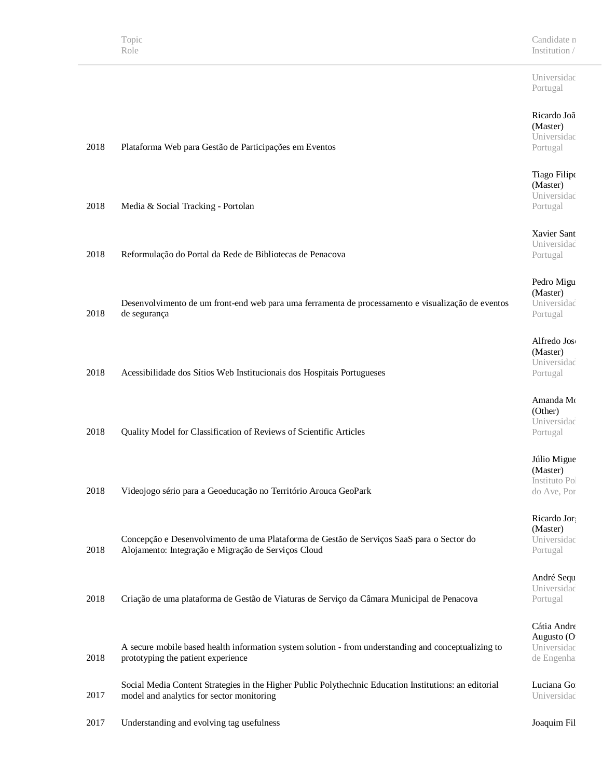2018 Plataforma Web para Gestão de Participações em Eventos

Universidad Portugal

#### Ricardo Joã (Master) Universidad

Portugal

o Filipe ster) versidad ugal

ier Sant versidad ugal

o Migu ster) versidad ugal

edo Jose ster) versidad ugal

anda Mo er) versidad ugal

Migue ster) tuto Pol ve, Por

rdo Jor ster) versidad ugal

ré Sequ versidad ugal

a Andre  $usto$  (O versidad de engenharia

Luciana Go Universidad

| 2018 | Media & Social Tracking - Portolan                                                                                                               | Tiag<br>(Mas<br>Univ<br>Portu   |
|------|--------------------------------------------------------------------------------------------------------------------------------------------------|---------------------------------|
| 2018 | Reformulação do Portal da Rede de Bibliotecas de Penacova                                                                                        | Xavi<br>Univ<br>Portu           |
| 2018 | Desenvolvimento de um front-end web para uma ferramenta de processamento e visualização de eventos<br>de segurança                               | Pedr<br>(Mas<br>Univ<br>Porti   |
| 2018 | Acessibilidade dos Sítios Web Institucionais dos Hospitais Portugueses                                                                           | Alfre<br>(Mas<br>Univ<br>Porti  |
| 2018 | Quality Model for Classification of Reviews of Scientific Articles                                                                               | Ama<br>(Oth<br>Univ<br>Porti    |
| 2018 | Videojogo sério para a Geoeducação no Território Arouca GeoPark                                                                                  | Júlio<br>(Mas<br>Instit<br>do A |
| 2018 | Concepção e Desenvolvimento de uma Plataforma de Gestão de Serviços SaaS para o Sector do<br>Alojamento: Integração e Migração de Serviços Cloud | Rica<br>(Mas<br>Univ<br>Portu   |
| 2018 | Criação de uma plataforma de Gestão de Viaturas de Serviço da Câmara Municipal de Penacova                                                       | Andı<br>Univ<br>Portu           |
| 2018 | A secure mobile based health information system solution - from understanding and conceptualizing to<br>prototyping the patient experience       | Cátia<br>Augu<br>Univ<br>de E   |
|      | Social Media Content Strategies in the Higher Public Polythechnic Education Institutions: an editorial                                           | Lucia                           |

2017 Understanding and evolving tag usefulness Joaquim Fil

model and analytics for sector monitoring

2017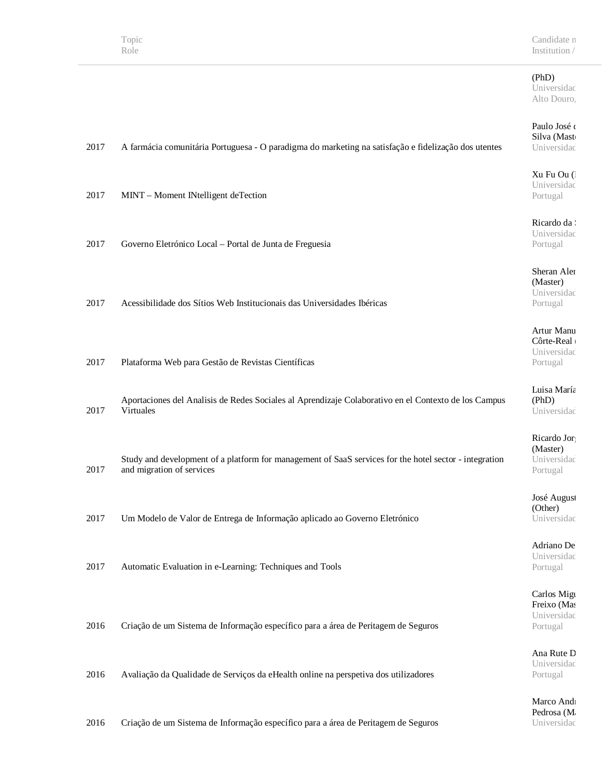Candidate n Institution /  $\,$ 

# (PhD)

Universidad Alto Douro,

## Paulo José d Silva (Mast

Ricardo da Silva Australia Universidad Portugal

Artur Manu  $C$ ôrte-Real ( $\blacksquare$ Universidad

José August (Other) Universidad

Carlos Migu Freixo (Mas Universidad

| 2017 | A farmácia comunitária Portuguesa - O paradigma do marketing na satisfação e fidelização dos utentes   | SIIVA (MASU<br>Universidad            |
|------|--------------------------------------------------------------------------------------------------------|---------------------------------------|
| 2017 | MINT - Moment INtelligent deTection                                                                    | Xu Fu Ou (<br>Universidad<br>Portugal |
|      |                                                                                                        |                                       |
|      |                                                                                                        | Ricardo da:<br>Universidad            |
| 2017 | Governo Eletrónico Local - Portal de Junta de Freguesia                                                | Portugal                              |
|      |                                                                                                        | Sheran Aler                           |
|      |                                                                                                        | (Master)                              |
| 2017 | Acessibilidade dos Sítios Web Institucionais das Universidades Ibéricas                                | Universidad                           |
|      |                                                                                                        | Portugal                              |
|      |                                                                                                        | Artur Manu                            |
|      |                                                                                                        | Côrte-Real<br>Universidad             |
| 2017 | Plataforma Web para Gestão de Revistas Científicas                                                     | Portugal                              |
|      |                                                                                                        |                                       |
|      | Aportaciones del Analisis de Redes Sociales al Aprendizaje Colaborativo en el Contexto de los Campus   | Luisa María<br>(PhD)                  |
| 2017 | Virtuales                                                                                              | Universidad                           |
|      |                                                                                                        |                                       |
|      |                                                                                                        | Ricardo Jor<br>(Master)               |
|      | Study and development of a platform for management of SaaS services for the hotel sector - integration | Universidad                           |
| 2017 | and migration of services                                                                              | Portugal                              |
|      |                                                                                                        | José August                           |
|      |                                                                                                        | (Other)                               |
| 2017 | Um Modelo de Valor de Entrega de Informação aplicado ao Governo Eletrónico                             | Universidad                           |
|      |                                                                                                        | Adriano De                            |
|      |                                                                                                        | Universidad                           |
| 2017 | Automatic Evaluation in e-Learning: Techniques and Tools                                               | Portugal                              |
|      |                                                                                                        | Carlos Migu                           |
|      |                                                                                                        | Freixo (Mas                           |
|      |                                                                                                        | Universidad                           |
| 2016 | Criação de um Sistema de Informação específico para a área de Peritagem de Seguros                     | Portugal                              |
|      |                                                                                                        | Ana Rute D                            |
|      |                                                                                                        | Universidad                           |
| 2016 | Avaliação da Qualidade de Serviços da eHealth online na perspetiva dos utilizadores                    | Portugal                              |
|      |                                                                                                        | Marco And                             |
|      |                                                                                                        | Pedrosa (M                            |
| 2016 | Criação de um Sistema de Informação específico para a área de Peritagem de Seguros                     | Universidad                           |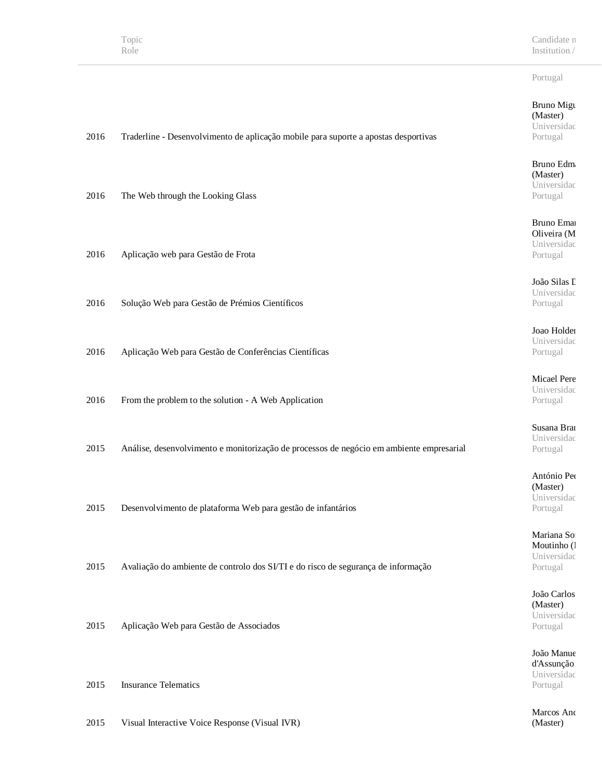Candidate n Institution /

#### Portugal

#### Bruno Migu (Master) Universidad Portugal

Bruno Edm (Master) Universidad Portugal

Bruno Emai Oliveira (M Universidad Portugal

João Silas L Universidad Portugal

Joao Holden Universidad Portugal

Micael Pere Universidad Portugal

Susana Bran Universidad Portugal

António Ped (Master) Universidad Portugal

Mariana Sofi Moutinho (l Universidad Portugal

João Carlos (Master) Universidad Portugal

João Manue d'Assunção Universidad Portugal

Marcos And (Master)

- 2016 The Web through the Looking Glass
- 2016 Aplicação web para Gestão de Frota
- 2016 Solução Web para Gestão de Prémios Científicos
- 2016 Aplicação Web para Gestão de Conferências Científicas
- 2016 From the problem to the solution A Web Application
- 2015 Análise, desenvolvimento e monitorização de processos de negócio em ambiente empresarial

2016 Traderline - Desenvolvimento de aplicação mobile para suporte a apostas desportivas

- 2015 Desenvolvimento de plataforma Web para gestão de infantários
- 2015 Avaliação do ambiente de controlo dos SI/TI e do risco de segurança de informação
- 2015 Aplicação Web para Gestão de Associados

2015 Insurance Telematics

2015 Visual Interactive Voice Response (Visual IVR)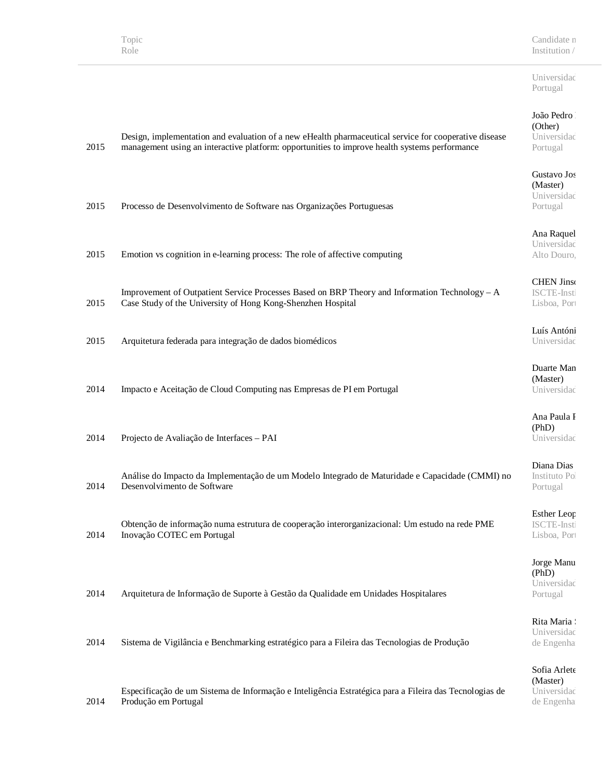Candidate n Institution /  $\,$ 

Universidad Portugal

#### João Pedro B (Other)

sidad al I

#### o Jos  $r)$ .<br>sidac al

quel sidad ouro,

#### Jinson Insti  $Por<sub>1</sub>$

ntóni sidad

Man  $r)$ .<br>sidac

ula F (PhD) sidad

Dias o Poli al

Leop  $-Insti$  $\mathop{\mathrm{Por}}\nolimits$ 

*A*anu (PhD) sidad al I

aria . sidad enhari

 $x$ lete  $r)$ sidad de Engenha

| 2015 | Design, implementation and evaluation of a new eHealth pharmaceutical service for cooperative disease<br>management using an interactive platform: opportunities to improve health systems performance | $($ U $\mu$ <sub>L</sub> $\mu$<br>Univers<br>Portuga |
|------|--------------------------------------------------------------------------------------------------------------------------------------------------------------------------------------------------------|------------------------------------------------------|
| 2015 | Processo de Desenvolvimento de Software nas Organizações Portuguesas                                                                                                                                   | Gustavo<br>(Master<br>Univers<br>Portuga             |
| 2015 | Emotion vs cognition in e-learning process: The role of affective computing                                                                                                                            | Ana Ra<br>Univers<br>Alto Do                         |
| 2015 | Improvement of Outpatient Service Processes Based on BRP Theory and Information Technology - A<br>Case Study of the University of Hong Kong-Shenzhen Hospital                                          | <b>CHEN</b><br>ISCTE-<br>Lisboa,                     |
| 2015 | Arquitetura federada para integração de dados biomédicos                                                                                                                                               | Luís Ar<br>Univers                                   |
| 2014 | Impacto e Aceitação de Cloud Computing nas Empresas de PI em Portugal                                                                                                                                  | Duarte<br>(Master<br>Univers                         |
| 2014 | Projecto de Avaliação de Interfaces - PAI                                                                                                                                                              | Ana Pa<br>(PhD)<br>Univers                           |
| 2014 | Análise do Impacto da Implementação de um Modelo Integrado de Maturidade e Capacidade (CMMI) no<br>Desenvolvimento de Software                                                                         | Diana I<br>Institute<br>Portuga                      |
| 2014 | Obtenção de informação numa estrutura de cooperação interorganizacional: Um estudo na rede PME<br>Inovação COTEC em Portugal                                                                           | Esther 1<br>ISCTE-<br>Lisboa,                        |
| 2014 | Arquitetura de Informação de Suporte à Gestão da Qualidade em Unidades Hospitalares                                                                                                                    | Jorge M<br>(PhD)<br>Univers<br>Portuga               |
| 2014 | Sistema de Vigilância e Benchmarking estratégico para a Fileira das Tecnologias de Produção                                                                                                            | Rita Ma<br>Univers<br>de Enge                        |
|      | Especificação de um Sistema de Informação e Inteligência Estratégica para a Fileira das Tecnologias de                                                                                                 | Sofia A<br>(Master<br>Univers                        |

2014 Produção em Portugal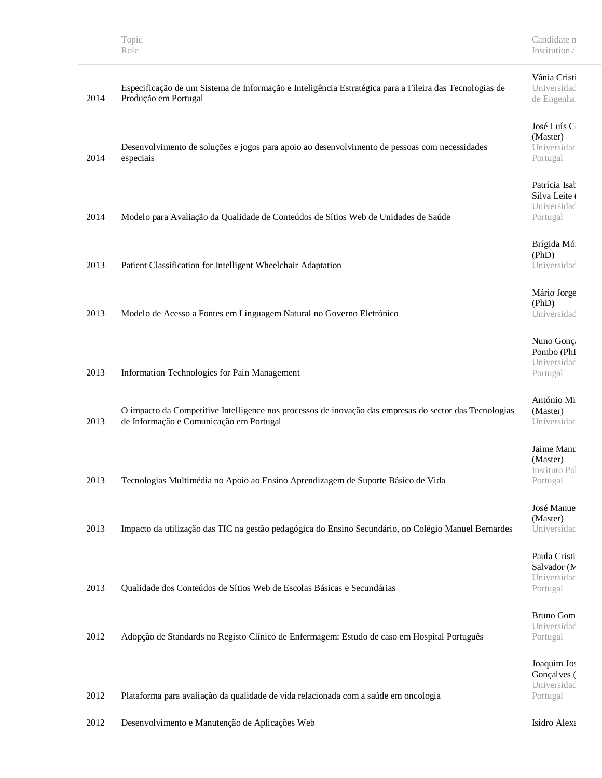# Vânia Cristi

sidad enha

#### $\hat{\text{u}}$ s C  $r)$ sidad<sup>-</sup> al

l Isab eite ( sidad<sup>.</sup> al

Mó (PhD) sidad

Jorge (PhD) sidad

 $\mathop{\mathrm{Jon}}\nolimits \varsigma$  $(Ph)$ sidad<sup>.</sup> al

o Mi  $r)$ sidad<sup>.</sup>

Manu  $r)$ io Pol al

lanue  $r)$ sidad

Cristi or  $(N - )$ sidad<sup>.</sup> al

Gom sidad<sup>.</sup> al

 $m$  Jos lves ( sidad Portugal

| 2014 | Especificação de um Sistema de Informação e Inteligência Estratégica para a Fileira das Tecnologias de<br>Produção em Portugal                    | <b>Univers</b><br>de Eng                        |
|------|---------------------------------------------------------------------------------------------------------------------------------------------------|-------------------------------------------------|
| 2014 | Desenvolvimento de soluções e jogos para apoio ao desenvolvimento de pessoas com necessidades<br>especiais                                        | José Lu<br>(Master<br><b>Univers</b><br>Portuga |
| 2014 | Modelo para Avaliação da Qualidade de Conteúdos de Sítios Web de Unidades de Saúde                                                                | Patrícia<br>Silva L<br>Univer<br>Portuga        |
| 2013 | Patient Classification for Intelligent Wheelchair Adaptation                                                                                      | Brígida<br>(PhD)<br>Univer                      |
| 2013 | Modelo de Acesso a Fontes em Linguagem Natural no Governo Eletrónico                                                                              | Mário J<br>(PhD)<br><b>Univers</b>              |
| 2013 | Information Technologies for Pain Management                                                                                                      | Nuno C<br>Pombo<br><b>Univers</b><br>Portuga    |
| 2013 | O impacto da Competitive Intelligence nos processos de inovação das empresas do sector das Tecnologias<br>de Informação e Comunicação em Portugal | Antóni<br>(Master<br><b>Univers</b>             |
| 2013 | Tecnologias Multimédia no Apoio ao Ensino Aprendizagem de Suporte Básico de Vida                                                                  | Jaime N<br>(Master<br>Institut<br>Portuga       |
| 2013 | Impacto da utilização das TIC na gestão pedagógica do Ensino Secundário, no Colégio Manuel Bernardes                                              | José M<br>(Master<br>Univer                     |
| 2013 | Qualidade dos Conteúdos de Sítios Web de Escolas Básicas e Secundárias                                                                            | Paula C<br>Salvado<br>Univer<br>Portuga         |
| 2012 | Adopção de Standards no Registo Clínico de Enfermagem: Estudo de caso em Hospital Português                                                       | Bruno<br>Univer<br>Portuga                      |
| 2012 | Plataforma para avaliação da qualidade de vida relacionada com a saúde em oncologia                                                               | Joaquir<br>Gonçal<br>Univer<br>Portuga          |

2012 Desenvolvimento e Manutenção de Aplicações Web Isidro Alexandre Norte Isidro Alexandre Norte Norte Norte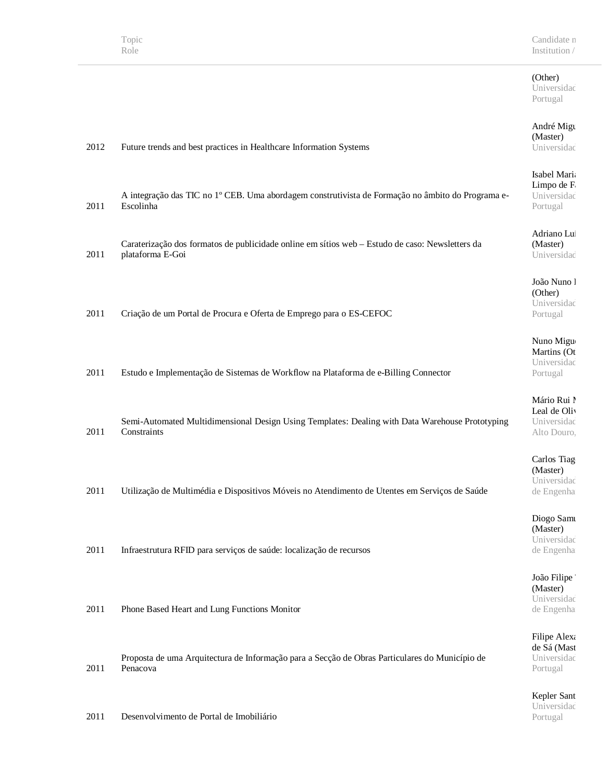#### (Other) Universidad Portugal

#### André Migu (Master) Universidad

Isabel Maria Limpo de F Universidad Portugal

Adriano Lui (Master) Universidad

João Nuno l (Other) Universidad Portugal

Nuno Migue Martins (Ot Universidad Portugal

#### Mário Rui I Leal de Oliv Universidad

Alto Douro,

Carlos Tiag (Master) Universidad de Engenha

Diogo Samu (Master) Universidad de Engenha

João Filipe (Master) Universidad de Engenha

Filipe Alexa de Sá (Mast Universidad Portugal

Kepler Sant Universidad Portugal

| 2012 | Future trends and best practices in Healthcare Information Systems |
|------|--------------------------------------------------------------------|
|      |                                                                    |

- 2011 A integração das TIC no 1º CEB. Uma abordagem construtivista de Formação no âmbito do Programa e-Escolinha
- 2011 Caraterização dos formatos de publicidade online em sítios web – Estudo de caso: Newsletters da plataforma E-Goi
- 2011 Criação de um Portal de Procura e Oferta de Emprego para o ES-CEFOC
- 2011 Estudo e Implementação de Sistemas de Workflow na Plataforma de e-Billing Connector
- 2011 Semi-Automated Multidimensional Design Using Templates: Dealing with Data Warehouse Prototyping **Constraints**
- 2011 Utilização de Multimédia e Dispositivos Móveis no Atendimento de Utentes em Serviços de Saúde
- 2011 Infraestrutura RFID para serviços de saúde: localização de recursos
- 2011 Phone Based Heart and Lung Functions Monitor

2011 Proposta de uma Arquitectura de Informação para a Secção de Obras Particulares do Município de Penacova

2011 Desenvolvimento de Portal de Imobiliário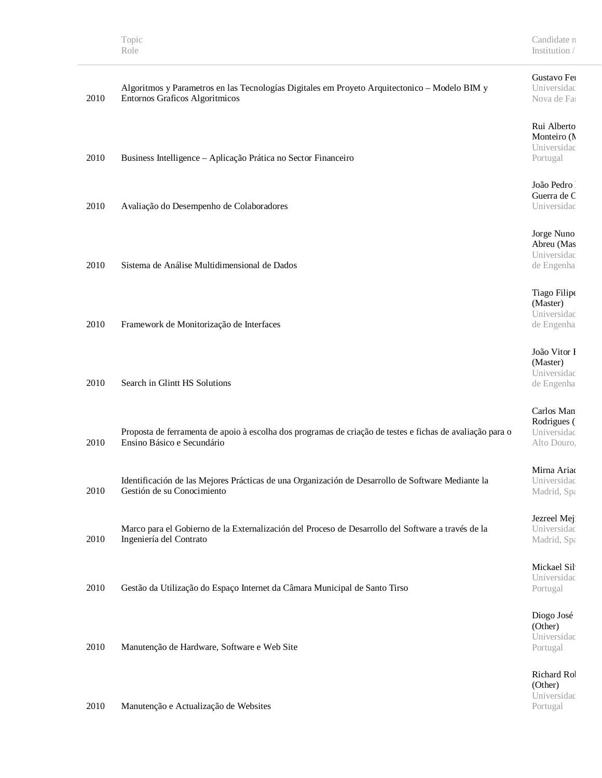Portugal

|      |                                                                                                           | Gustavo Fer  |
|------|-----------------------------------------------------------------------------------------------------------|--------------|
|      | Algoritmos y Parametros en las Tecnologías Digitales em Proyeto Arquitectonico - Modelo BIM y             | Universidad  |
| 2010 | Entornos Graficos Algoritmicos                                                                            | Nova de Fa   |
|      |                                                                                                           |              |
|      |                                                                                                           |              |
|      |                                                                                                           | Rui Alberto  |
|      |                                                                                                           | Monteiro (N  |
|      |                                                                                                           | Universidad  |
| 2010 | Business Intelligence - Aplicação Prática no Sector Financeiro                                            | Portugal     |
|      |                                                                                                           |              |
|      |                                                                                                           |              |
|      |                                                                                                           | João Pedro   |
|      |                                                                                                           | Guerra de C  |
| 2010 | Avaliação do Desempenho de Colaboradores                                                                  | Universidad  |
|      |                                                                                                           |              |
|      |                                                                                                           |              |
|      |                                                                                                           | Jorge Nuno   |
|      |                                                                                                           | Abreu (Mas   |
|      |                                                                                                           | Universidad  |
| 2010 | Sistema de Análise Multidimensional de Dados                                                              | de Engenha   |
|      |                                                                                                           |              |
|      |                                                                                                           |              |
|      |                                                                                                           | Tiago Filipe |
|      |                                                                                                           | (Master)     |
|      |                                                                                                           | Universidad  |
| 2010 | Framework de Monitorização de Interfaces                                                                  | de Engenha   |
|      |                                                                                                           |              |
|      |                                                                                                           | João Vitor I |
|      |                                                                                                           |              |
|      |                                                                                                           | (Master)     |
|      |                                                                                                           | Universidad  |
| 2010 | Search in Glintt HS Solutions                                                                             | de Engenha   |
|      |                                                                                                           |              |
|      |                                                                                                           | Carlos Man   |
|      |                                                                                                           | Rodrigues (  |
|      | Proposta de ferramenta de apoio à escolha dos programas de criação de testes e fichas de avaliação para o | Universidad  |
| 2010 | Ensino Básico e Secundário                                                                                | Alto Douro,  |
|      |                                                                                                           |              |
|      |                                                                                                           |              |
|      |                                                                                                           | Mirna Ariac  |
|      | Identificación de las Mejores Prácticas de una Organización de Desarrollo de Software Mediante la         | Universidad  |
| 2010 | Gestión de su Conocimiento                                                                                | Madrid, Spa  |
|      |                                                                                                           |              |
|      |                                                                                                           |              |
|      |                                                                                                           | Jezreel Mej  |
|      | Marco para el Gobierno de la Externalización del Proceso de Desarrollo del Software a través de la        | Universidad  |
| 2010 | Ingeniería del Contrato                                                                                   | Madrid, Spa  |
|      |                                                                                                           |              |
|      |                                                                                                           | Mickael Sil  |
|      |                                                                                                           | Universidad  |
| 2010 | Gestão da Utilização do Espaço Internet da Câmara Municipal de Santo Tirso                                | Portugal     |
|      |                                                                                                           |              |
|      |                                                                                                           |              |
|      |                                                                                                           | Diogo José   |
|      |                                                                                                           | (Other)      |
|      |                                                                                                           | Universidad  |
| 2010 | Manutenção de Hardware, Software e Web Site                                                               | Portugal     |
|      |                                                                                                           |              |
|      |                                                                                                           |              |
|      |                                                                                                           | Richard Rol  |
|      |                                                                                                           | (Other)      |
|      |                                                                                                           | Universidad  |

2010 Manutenção e Actualização de Websites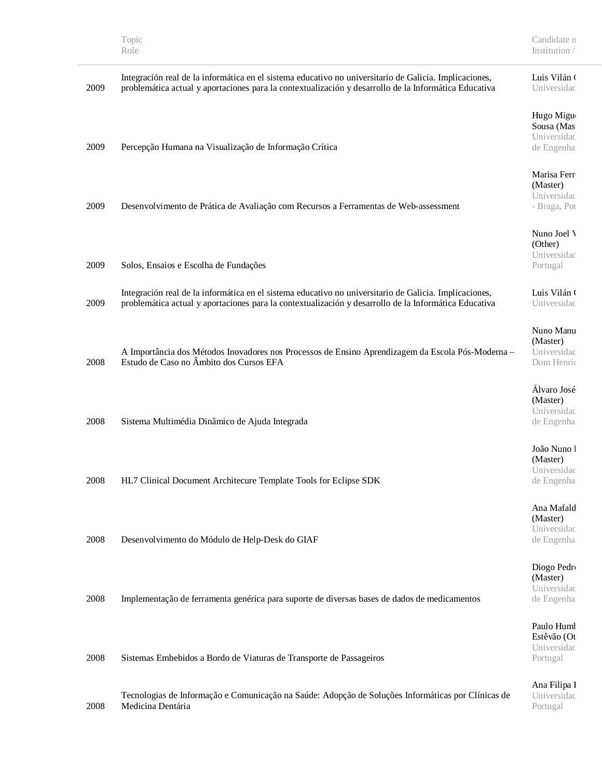| 2009 | Integración real de la informática en el sistema educativo no universitario de Galicia. Implicaciones,<br>problemática actual y aportaciones para la contextualización y desarrollo de la Informática Educativa | Luis Vilán (<br>Universidad |
|------|-----------------------------------------------------------------------------------------------------------------------------------------------------------------------------------------------------------------|-----------------------------|
|      |                                                                                                                                                                                                                 |                             |
|      |                                                                                                                                                                                                                 | Hugo Migu                   |
|      |                                                                                                                                                                                                                 | Sousa (Mas                  |
|      |                                                                                                                                                                                                                 | Universidad                 |
| 2009 | Percepção Humana na Visualização de Informação Crítica                                                                                                                                                          | de Engenha                  |
|      |                                                                                                                                                                                                                 |                             |
|      |                                                                                                                                                                                                                 | Marisa Ferr                 |
|      |                                                                                                                                                                                                                 | (Master)                    |
|      |                                                                                                                                                                                                                 | Universidad                 |
| 2009 | Desenvolvimento de Prática de Avaliação com Recursos a Ferramentas de Web-assessment                                                                                                                            | - Braga, Poi                |
|      |                                                                                                                                                                                                                 | Nuno Joel V                 |
|      |                                                                                                                                                                                                                 | (Other)                     |
|      |                                                                                                                                                                                                                 | Universidad                 |
| 2009 | Solos, Ensaios e Escolha de Fundações                                                                                                                                                                           | Portugal                    |
|      |                                                                                                                                                                                                                 |                             |
|      | Integración real de la informática en el sistema educativo no universitario de Galicia. Implicaciones,                                                                                                          | Luis Vilán (                |
| 2009 | problemática actual y aportaciones para la contextualización y desarrollo de la Informática Educativa                                                                                                           | Universidad                 |
|      |                                                                                                                                                                                                                 |                             |
|      |                                                                                                                                                                                                                 | Nuno Manu                   |
|      |                                                                                                                                                                                                                 | (Master)                    |
|      | A Importância dos Métodos Inovadores nos Processos de Ensino Aprendizagem da Escola Pós-Moderna -                                                                                                               | Universidad                 |
| 2008 | Estudo de Caso no Âmbito dos Cursos EFA                                                                                                                                                                         | Dom Henric                  |
|      |                                                                                                                                                                                                                 | Álvaro José                 |
|      |                                                                                                                                                                                                                 |                             |
|      |                                                                                                                                                                                                                 | (Master)<br>Universidad     |
| 2008 |                                                                                                                                                                                                                 |                             |
|      | Sistema Multimédia Dinâmico de Ajuda Integrada                                                                                                                                                                  | de Engenha                  |
|      |                                                                                                                                                                                                                 | João Nuno l                 |
|      |                                                                                                                                                                                                                 | (Master)                    |
|      |                                                                                                                                                                                                                 | Universidad                 |
| 2008 | HL7 Clinical Document Architecure Template Tools for Eclipse SDK                                                                                                                                                | de Engenha                  |
|      |                                                                                                                                                                                                                 |                             |
|      |                                                                                                                                                                                                                 | Ana Mafald                  |
|      |                                                                                                                                                                                                                 | (Master)<br>Universidad     |
| 2008 | Desenvolvimento do Módulo de Help-Desk do GIAF                                                                                                                                                                  | de Engenha                  |
|      |                                                                                                                                                                                                                 |                             |
|      |                                                                                                                                                                                                                 | Diogo Pedro                 |
|      |                                                                                                                                                                                                                 | (Master)                    |
|      |                                                                                                                                                                                                                 | Universidad                 |
| 2008 | Implementação de ferramenta genérica para suporte de diversas bases de dados de medicamentos                                                                                                                    | de Engenha                  |
|      |                                                                                                                                                                                                                 |                             |
|      |                                                                                                                                                                                                                 | Paulo Huml                  |
|      |                                                                                                                                                                                                                 | Estêvão (Ot                 |
|      |                                                                                                                                                                                                                 | Universidad                 |
| 2008 | Sistemas Embebidos a Bordo de Viaturas de Transporte de Passageiros                                                                                                                                             | Portugal                    |
|      |                                                                                                                                                                                                                 | Ana Filipa l                |
|      | Tecnologias de Informação e Comunicação na Saúde: Adopção de Soluções Informáticas por Clínicas de                                                                                                              | Universidad                 |
| 2008 | Medicina Dentária                                                                                                                                                                                               | Portugal                    |
|      |                                                                                                                                                                                                                 |                             |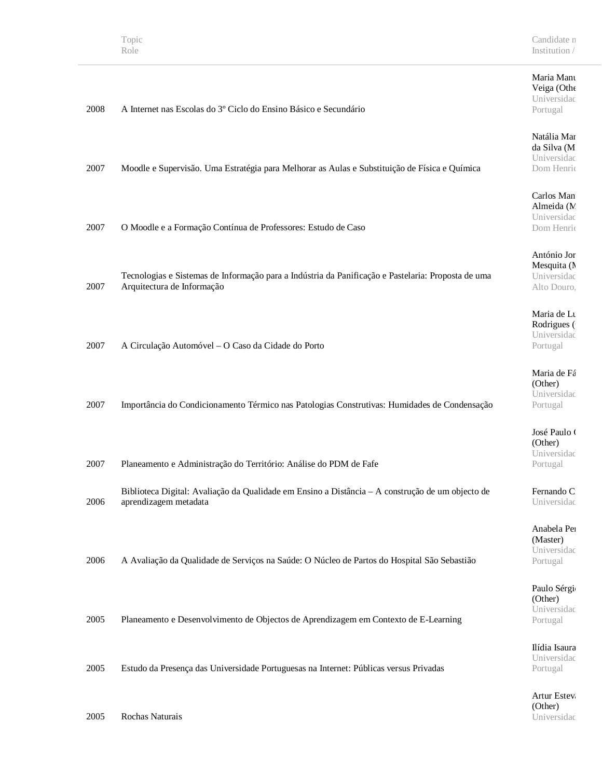#### Maria Manu Veiga (Other Universidad Portugal

Natália Mar da Silva (M Universidad Dom Henriq

#### Carlos Man Almeida (M Universidad Dom Henriq

António Jor Mesquita (N Universidad Alto Douro,

Maria de Lu Rodrigues ( Universidad Portugal

Maria de Fá (Other) Universidad Portugal

José Paulo ( (Other) Universidad Portugal

Fernando C Universidad

Anabela Per (Master) Universidad Portugal

Paulo Sérgio (Other) Universidad Portugal

Ilídia Isaura Universidad Portugal

Artur Estevão (Other) Universidad

# 2008 A Internet nas Escolas do 3º Ciclo do Ensino Básico e Secundário

2007 Moodle e Supervisão. Uma Estratégia para Melhorar as Aulas e Substituição de Física e Química

2007 O Moodle e a Formação Contínua de Professores: Estudo de Caso

2007 Tecnologias e Sistemas de Informação para a Indústria da Panificação e Pastelaria: Proposta de uma Arquitectura de Informação

2007 A Circulação Automóvel – O Caso da Cidade do Porto

| 2007 | Importância do Condicionamento Térmico nas Patologias Construtivas: Humidades de Condensação |  |  |  |
|------|----------------------------------------------------------------------------------------------|--|--|--|
|      |                                                                                              |  |  |  |

2007 Planeamento e Administração do Território: Análise do PDM de Fafe

2006 Biblioteca Digital: Avaliação da Qualidade em Ensino a Distância – A construção de um objecto de aprendizagem metadata

2006 A Avaliação da Qualidade de Serviços na Saúde: O Núcleo de Partos do Hospital São Sebastião

2005 Planeamento e Desenvolvimento de Objectos de Aprendizagem em Contexto de E-Learning

2005 Estudo da Presença das Universidade Portuguesas na Internet: Públicas versus Privadas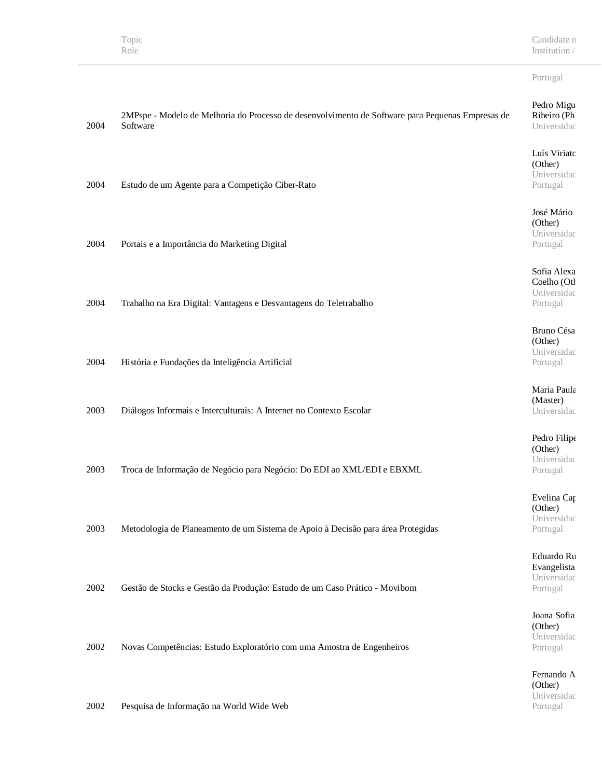Candidate n Institution /  $\,$ 

### Portugal

Portugal

| 2004 | 2MPspe - Modelo de Melhoria do Processo de desenvolvimento de Software para Pequenas Empresas de<br>Software | Pedro Migu<br>Ribeiro (Ph<br>Universidad |
|------|--------------------------------------------------------------------------------------------------------------|------------------------------------------|
|      |                                                                                                              | Luís Viriatc                             |
|      |                                                                                                              | (Other)<br>Universidad                   |
| 2004 | Estudo de um Agente para a Competição Ciber-Rato                                                             | Portugal                                 |
|      |                                                                                                              |                                          |
|      |                                                                                                              | José Mário                               |
|      |                                                                                                              | (Other)                                  |
| 2004 |                                                                                                              | Universidad                              |
|      | Portais e a Importância do Marketing Digital                                                                 | Portugal                                 |
|      |                                                                                                              | Sofia Alexa                              |
|      |                                                                                                              | Coelho (Otl                              |
|      |                                                                                                              | Universidad                              |
| 2004 | Trabalho na Era Digital: Vantagens e Desvantagens do Teletrabalho                                            | Portugal                                 |
|      |                                                                                                              |                                          |
|      |                                                                                                              | Bruno Césa<br>(Other)                    |
|      |                                                                                                              | Universidad                              |
| 2004 | História e Fundações da Inteligência Artificial                                                              | Portugal                                 |
|      |                                                                                                              |                                          |
|      |                                                                                                              | Maria Paula                              |
|      |                                                                                                              | (Master)                                 |
| 2003 | Diálogos Informais e Interculturais: A Internet no Contexto Escolar                                          | Universidad                              |
|      |                                                                                                              | Pedro Filipe                             |
|      |                                                                                                              | (Other)                                  |
|      |                                                                                                              | Universidad                              |
| 2003 | Troca de Informação de Negócio para Negócio: Do EDI ao XML/EDI e EBXML                                       | Portugal                                 |
|      |                                                                                                              | Evelina Cap                              |
|      |                                                                                                              | (Other)                                  |
|      |                                                                                                              | Universidad                              |
| 2003 | Metodologia de Planeamento de um Sistema de Apoio à Decisão para área Protegidas                             | Portugal                                 |
|      |                                                                                                              | Eduardo Ru                               |
|      |                                                                                                              | Evangelista                              |
|      |                                                                                                              | Universidad                              |
| 2002 | Gestão de Stocks e Gestão da Produção: Estudo de um Caso Prático - Movibom                                   | Portugal                                 |
|      |                                                                                                              |                                          |
|      |                                                                                                              | Joana Sofia                              |
|      |                                                                                                              | (Other)<br>Universidad                   |
| 2002 | Novas Competências: Estudo Exploratório com uma Amostra de Engenheiros                                       | Portugal                                 |
|      |                                                                                                              |                                          |
|      |                                                                                                              | Fernando A<br>(Other)                    |
|      |                                                                                                              | Universidad                              |
|      |                                                                                                              |                                          |

2002 Pesquisa de Informação na World Wide Web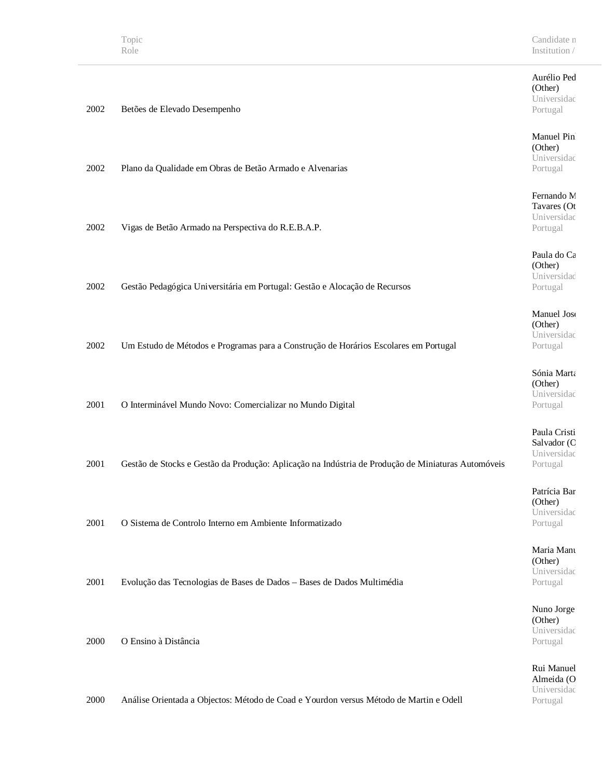2002 Betões de Elevado Desempenho

#### Aurélio Ped (Other) Universidad Portugal

Manuel Pin (Other) Universidad Portugal

Fernando M Tavares (Ot Universidad Portugal

Paula do Ca (Other) Universidad Portugal

Manuel Jose (Other) Universidad Portugal

Sónia Marta (Other) Universidad Portugal

Paula Cristi Salvador (C Universidad Portugal

Patrícia Bar (Other) Universidad Portugal

Maria Manu (Other) Universidad Portugal

Nuno Jorge (Other) Universidad Portugal

Rui Manuel Almeida (O Universidad Portugal

| 2002 | Plano da Qualidade em Obras de Betão Armado e Alvenarias                   |
|------|----------------------------------------------------------------------------|
| 2002 | Vigas de Betão Armado na Perspectiva do R.E.B.A.P.                         |
| 2002 | Gestão Pedagógica Universitária em Portugal: Gestão e Alocação de Recursos |

2002 Um Estudo de Métodos e Programas para a Construção de Horários Escolares em Portugal

2001 O Interminável Mundo Novo: Comercializar no Mundo Digital

2001 Gestão de Stocks e Gestão da Produção: Aplicação na Indústria de Produção de Miniaturas Automóveis

2001 O Sistema de Controlo Interno em Ambiente Informatizado

2001 Evolução das Tecnologias de Bases de Dados – Bases de Dados Multimédia

2000 O Ensino à Distância

2000 Análise Orientada a Objectos: Método de Coad e Yourdon versus Método de Martin e Odell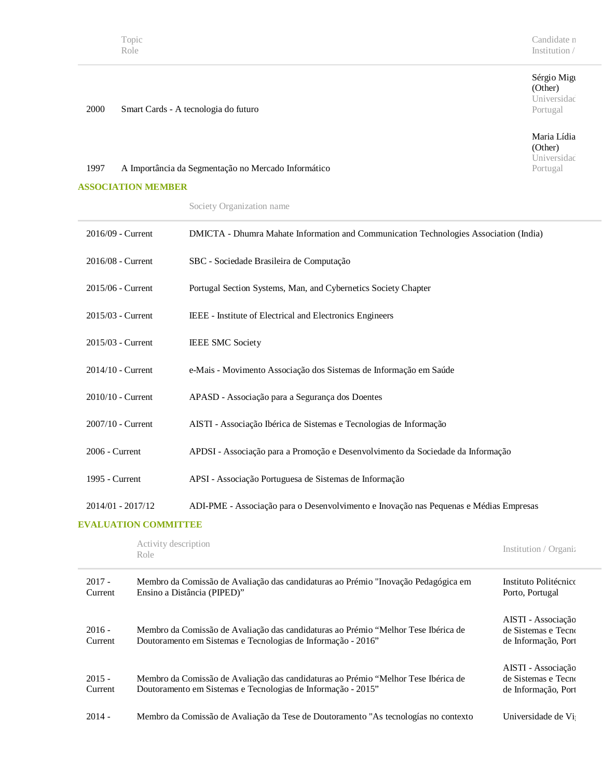#### Sérgio Migu (Other) Universidad Portugal

Maria Lídia (Other) Universidad Portugal

2000 Smart Cards - A tecnologia do futuro

# 1997 A Importância da Segmentação no Mercado Informático

#### **ASSOCIATION MEMBER**

|  |  |  | Society Organization name |
|--|--|--|---------------------------|
|  |  |  |                           |

| 2016/09 - Current            | DMICTA - Dhumra Mahate Information and Communication Technologies Association (India) |                       |
|------------------------------|---------------------------------------------------------------------------------------|-----------------------|
| 2016/08 - Current            | SBC - Sociedade Brasileira de Computação                                              |                       |
| 2015/06 - Current            | Portugal Section Systems, Man, and Cybernetics Society Chapter                        |                       |
| 2015/03 - Current            | IEEE - Institute of Electrical and Electronics Engineers                              |                       |
| 2015/03 - Current            | <b>IEEE SMC Society</b>                                                               |                       |
| 2014/10 - Current            | e-Mais - Movimento Associação dos Sistemas de Informação em Saúde                     |                       |
| 2010/10 - Current            | APASD - Associação para a Segurança dos Doentes                                       |                       |
| 2007/10 - Current            | AISTI - Associação Ibérica de Sistemas e Tecnologias de Informação                    |                       |
| 2006 - Current               | APDSI - Associação para a Promoção e Desenvolvimento da Sociedade da Informação       |                       |
| 1995 - Current               | APSI - Associação Portuguesa de Sistemas de Informação                                |                       |
| 2014/01 - 2017/12            | ADI-PME - Associação para o Desenvolvimento e Inovação nas Pequenas e Médias Empresas |                       |
| <b>EVALUATION COMMITTEE</b>  |                                                                                       |                       |
| Activity description<br>Role |                                                                                       | Institution / Organi: |

| $2017 -$<br>Current | Membro da Comissão de Avaliação das candidaturas ao Prémio "Inovação Pedagógica em<br>Ensino a Distância (PIPED)"                                  | Instituto Politécnico<br>Porto, Portugal                         |
|---------------------|----------------------------------------------------------------------------------------------------------------------------------------------------|------------------------------------------------------------------|
| $2016 -$<br>Current | Membro da Comissão de Avaliação das candidaturas ao Prémio "Melhor Tese Ibérica de<br>Doutoramento em Sistemas e Tecnologias de Informação - 2016" | AISTI - Associação<br>de Sistemas e Tecno<br>de Informação, Port |
| $2015 -$<br>Current | Membro da Comissão de Avaliação das candidaturas ao Prémio "Melhor Tese Ibérica de<br>Doutoramento em Sistemas e Tecnologias de Informação - 2015" | AISTI - Associação<br>de Sistemas e Tecno<br>de Informação, Port |
| $2014 -$            | Membro da Comissão de Avaliação da Tese de Doutoramento "As tecnologías no contexto"                                                               | Universidade de Vi                                               |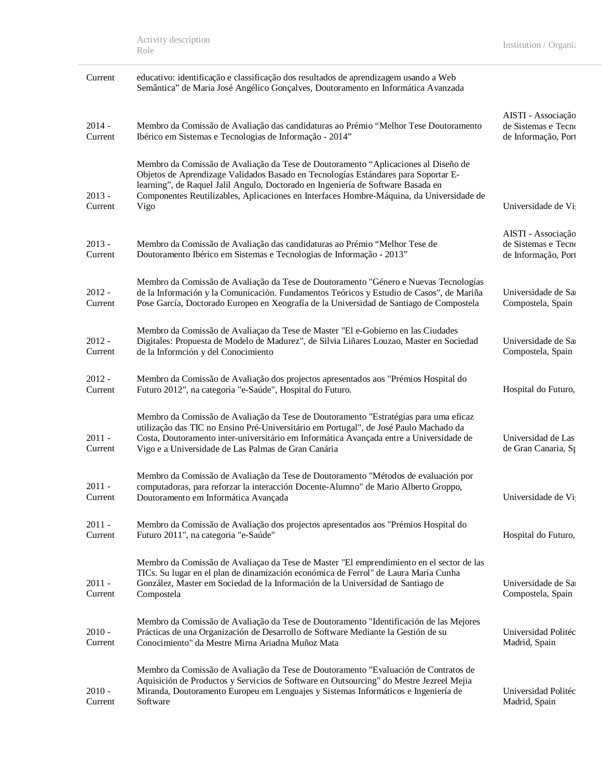| Current             | educativo: identificação e classificação dos resultados de aprendizagem usando a Web<br>Semântica" de Maria José Angélico Gonçalves, Doutoramento en Informática Avanzada                                                                                                                                                                                        |                                                                  |
|---------------------|------------------------------------------------------------------------------------------------------------------------------------------------------------------------------------------------------------------------------------------------------------------------------------------------------------------------------------------------------------------|------------------------------------------------------------------|
| $2014 -$<br>Current | Membro da Comissão de Avaliação das candidaturas ao Prémio "Melhor Tese Doutoramento<br>Ibérico em Sistemas e Tecnologias de Informação - 2014"                                                                                                                                                                                                                  | AISTI - Associação<br>de Sistemas e Tecno<br>de Informação, Port |
| $2013 -$<br>Current | Membro da Comissão de Avaliação da Tese de Doutoramento "Aplicaciones al Diseño de<br>Objetos de Aprendizage Validados Basado en Tecnologías Estándares para Soportar E-<br>learning", de Raquel Jalil Angulo, Doctorado en Ingeniería de Software Basada en<br>Componentes Reutilizables, Aplicaciones en Interfaces Hombre-Máquina, da Universidade de<br>Vigo | Universidade de Vi                                               |
| $2013 -$<br>Current | Membro da Comissão de Avaliação das candidaturas ao Prémio "Melhor Tese de<br>Doutoramento Ibérico em Sistemas e Tecnologias de Informação - 2013"                                                                                                                                                                                                               | AISTI - Associação<br>de Sistemas e Tecno<br>de Informação, Port |
| $2012 -$<br>Current | Membro da Comissão de Avaliação da Tese de Doutoramento "Género e Nuevas Tecnologías<br>de la Información y la Comunicación. Fundamentos Teóricos y Estudio de Casos", de Mariña<br>Pose García, Doctorado Europeo en Xeografía de la Universidad de Santiago de Compostela                                                                                      | Universidade de Sa<br>Compostela, Spain                          |
| $2012 -$<br>Current | Membro da Comissão de Avaliação da Tese de Master "El e-Gobierno en las Ciudades<br>Digitales: Propuesta de Modelo de Madurez", de Silvia Liñares Louzao, Master en Sociedad<br>de la Informción y del Conocimiento                                                                                                                                              | Universidade de Sa<br>Compostela, Spain                          |
| $2012 -$<br>Current | Membro da Comissão de Avaliação dos projectos apresentados aos "Prémios Hospital do<br>Futuro 2012", na categoria "e-Saúde", Hospital do Futuro.                                                                                                                                                                                                                 | Hospital do Futuro,                                              |
| $2011 -$<br>Current | Membro da Comissão de Avaliação da Tese de Doutoramento "Estratégias para uma eficaz<br>utilização das TIC no Ensino Pré-Universitário em Portugal", de José Paulo Machado da<br>Costa, Doutoramento inter-universitário em Informática Avançada entre a Universidade de<br>Vigo e a Universidade de Las Palmas de Gran Canária                                  | Universidad de Las<br>de Gran Canaria, Sp                        |
| $2011 -$<br>Current | Membro da Comissão de Avaliação da Tese de Doutoramento "Métodos de evaluación por<br>computadoras, para reforzar la interacción Docente-Alumno" de Mario Alberto Groppo,<br>Doutoramento em Informática Avançada                                                                                                                                                | Universidade de Vi                                               |
| $2011 -$<br>Current | Membro da Comissão de Avaliação dos projectos apresentados aos "Prémios Hospital do<br>Futuro 2011", na categoria "e-Saúde"                                                                                                                                                                                                                                      | Hospital do Futuro,                                              |
| $2011 -$<br>Current | Membro da Comissão de Avaliação da Tese de Master "El emprendimiento en el sector de las<br>TICs. Su lugar en el plan de dinamización económica de Ferrol" de Laura María Cunha<br>González, Master em Sociedad de la Información de la Universidad de Santiago de<br>Compostela                                                                                 | Universidade de Sa<br>Compostela, Spain                          |
| $2010 -$<br>Current | Membro da Comissão de Avaliação da Tese de Doutoramento "Identificación de las Mejores<br>Prácticas de una Organización de Desarrollo de Software Mediante la Gestión de su<br>Conocimiento" da Mestre Mirna Ariadna Muñoz Mata                                                                                                                                  | Universidad Politéc<br>Madrid, Spain                             |
| $2010 -$<br>Current | Membro da Comissão de Avaliação da Tese de Doutoramento "Evaluación de Contratos de<br>Aquisición de Productos y Servicios de Software en Outsourcing" do Mestre Jezreel Mejia<br>Miranda, Doutoramento Europeu em Lenguajes y Sistemas Informáticos e Ingeniería de<br>Software                                                                                 | Universidad Politéc<br>Madrid, Spain                             |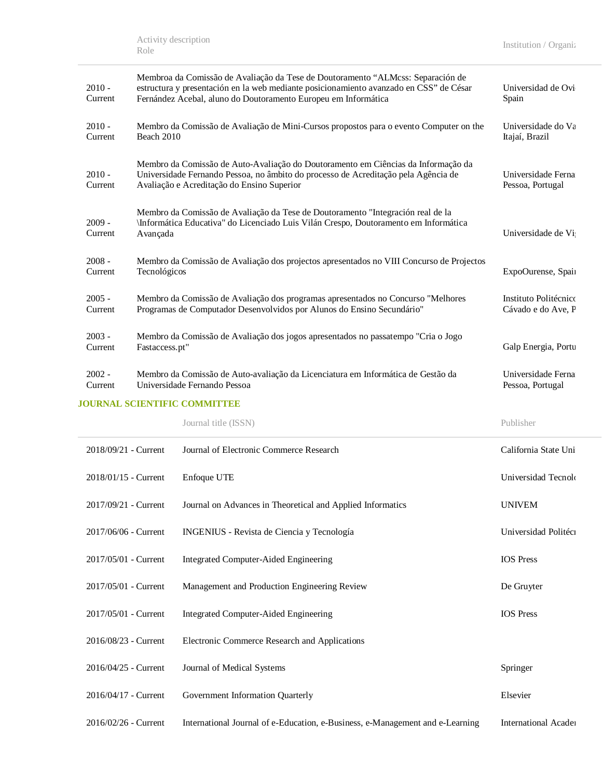| $2010 -$<br>Current | Membroa da Comissão de Avaliação da Tese de Doutoramento "ALMcss: Separación de<br>estructura y presentación en la web mediante posicionamiento avanzado en CSS" de César<br>Fernández Acebal, aluno do Doutoramento Europeu em Informática | Universidad de Ovi<br>Spain                 |
|---------------------|---------------------------------------------------------------------------------------------------------------------------------------------------------------------------------------------------------------------------------------------|---------------------------------------------|
| $2010 -$<br>Current | Membro da Comissão de Avaliação de Mini-Cursos propostos para o evento Computer on the<br>Beach 2010                                                                                                                                        | Universidade do Va<br>Itajaí, Brazil        |
| $2010 -$<br>Current | Membro da Comissão de Auto-Avaliação do Doutoramento em Ciências da Informação da<br>Universidade Fernando Pessoa, no âmbito do processo de Acreditação pela Agência de<br>Avaliação e Acreditação do Ensino Superior                       | Universidade Ferna<br>Pessoa, Portugal      |
| $2009 -$<br>Current | Membro da Comissão de Avaliação da Tese de Doutoramento "Integración real de la<br>\Informática Educativa" do Licenciado Luis Vilán Crespo, Doutoramento em Informática<br>Avançada                                                         | Universidade de Vi                          |
| $2008 -$<br>Current | Membro da Comissão de Avaliação dos projectos apresentados no VIII Concurso de Projectos<br>Tecnológicos                                                                                                                                    | ExpoOurense, Spain                          |
| $2005 -$<br>Current | Membro da Comissão de Avaliação dos programas apresentados no Concurso "Melhores"<br>Programas de Computador Desenvolvidos por Alunos do Ensino Secundário"                                                                                 | Instituto Politécnico<br>Cávado e do Ave, P |
| $2003 -$<br>Current | Membro da Comissão de Avaliação dos jogos apresentados no passatempo "Cria o Jogo<br>Fastaccess.pt"                                                                                                                                         | Galp Energia, Portu                         |
| $2002 -$<br>Current | Membro da Comissão de Auto-avaliação da Licenciatura em Informática de Gestão da<br>Universidade Fernando Pessoa                                                                                                                            | Universidade Ferna<br>Pessoa, Portugal      |

### **JOURNAL SCIENTIFIC COMMITTEE**

|                      | Journal title (ISSN)                                                          | Publisher                   |
|----------------------|-------------------------------------------------------------------------------|-----------------------------|
| 2018/09/21 - Current | Journal of Electronic Commerce Research                                       | California State Uni        |
| 2018/01/15 - Current | Enfoque UTE                                                                   | Universidad Tecnolo         |
| 2017/09/21 - Current | Journal on Advances in Theoretical and Applied Informatics                    | <b>UNIVEM</b>               |
| 2017/06/06 - Current | INGENIUS - Revista de Ciencia y Tecnología                                    | Universidad Politéci        |
| 2017/05/01 - Current | <b>Integrated Computer-Aided Engineering</b>                                  | <b>IOS</b> Press            |
| 2017/05/01 - Current | Management and Production Engineering Review                                  | De Gruyter                  |
| 2017/05/01 - Current | Integrated Computer-Aided Engineering                                         | <b>IOS</b> Press            |
| 2016/08/23 - Current | Electronic Commerce Research and Applications                                 |                             |
| 2016/04/25 - Current | Journal of Medical Systems                                                    | Springer                    |
| 2016/04/17 - Current | Government Information Quarterly                                              | Elsevier                    |
| 2016/02/26 - Current | International Journal of e-Education, e-Business, e-Management and e-Learning | <b>International Acader</b> |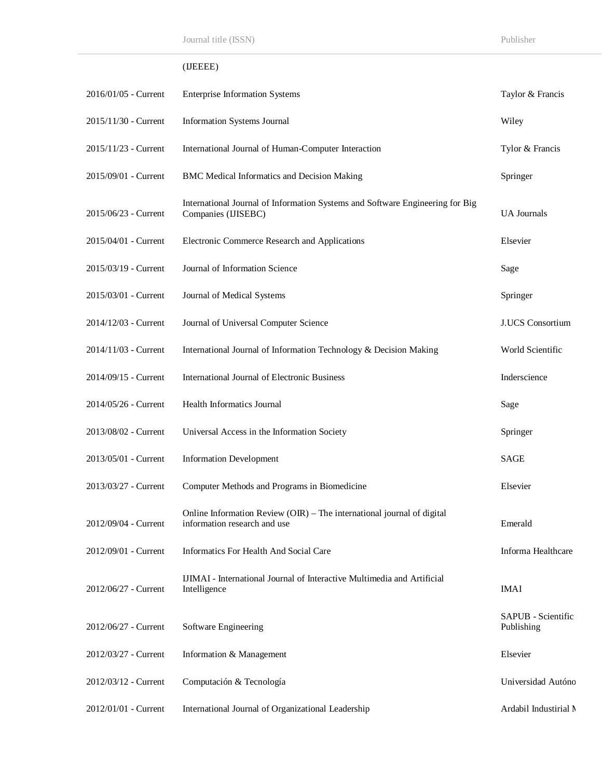# (IJEEEE)

| 2016/01/05 - Current | <b>Enterprise Information Systems</b>                                                                  | Taylor & Francis                 |
|----------------------|--------------------------------------------------------------------------------------------------------|----------------------------------|
| 2015/11/30 - Current | <b>Information Systems Journal</b>                                                                     | Wiley                            |
| 2015/11/23 - Current | International Journal of Human-Computer Interaction                                                    | Tylor & Francis                  |
| 2015/09/01 - Current | <b>BMC Medical Informatics and Decision Making</b>                                                     | Springer                         |
| 2015/06/23 - Current | International Journal of Information Systems and Software Engineering for Big<br>Companies (IJISEBC)   | <b>UA</b> Journals               |
| 2015/04/01 - Current | Electronic Commerce Research and Applications                                                          | Elsevier                         |
| 2015/03/19 - Current | Journal of Information Science                                                                         | Sage                             |
| 2015/03/01 - Current | Journal of Medical Systems                                                                             | Springer                         |
| 2014/12/03 - Current | Journal of Universal Computer Science                                                                  | <b>J.UCS</b> Consortium          |
| 2014/11/03 - Current | International Journal of Information Technology & Decision Making                                      | World Scientific                 |
| 2014/09/15 - Current | International Journal of Electronic Business                                                           | Inderscience                     |
| 2014/05/26 - Current | Health Informatics Journal                                                                             | Sage                             |
| 2013/08/02 - Current | Universal Access in the Information Society                                                            | Springer                         |
| 2013/05/01 - Current | <b>Information Development</b>                                                                         | SAGE                             |
| 2013/03/27 - Current | Computer Methods and Programs in Biomedicine                                                           | Elsevier                         |
| 2012/09/04 - Current | Online Information Review (OIR) - The international journal of digital<br>information research and use | Emerald                          |
| 2012/09/01 - Current | Informatics For Health And Social Care                                                                 | Informa Healthcare               |
| 2012/06/27 - Current | IJIMAI - International Journal of Interactive Multimedia and Artificial<br>Intelligence                | <b>IMAI</b>                      |
| 2012/06/27 - Current | Software Engineering                                                                                   | SAPUB - Scientific<br>Publishing |
| 2012/03/27 - Current | Information & Management                                                                               | Elsevier                         |
| 2012/03/12 - Current | Computación & Tecnología                                                                               | Universidad Autóno               |
| 2012/01/01 - Current | International Journal of Organizational Leadership                                                     | Ardabil Industirial N            |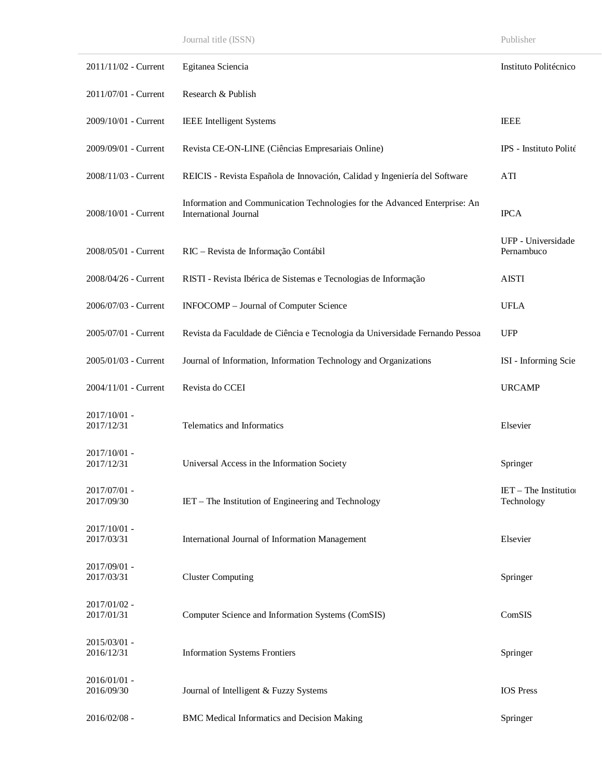| 2011/11/02 - Current       | Egitanea Sciencia                                                                                          | Instituto Politécnico                 |
|----------------------------|------------------------------------------------------------------------------------------------------------|---------------------------------------|
| 2011/07/01 - Current       | Research & Publish                                                                                         |                                       |
| 2009/10/01 - Current       | <b>IEEE</b> Intelligent Systems                                                                            | <b>IEEE</b>                           |
| 2009/09/01 - Current       | Revista CE-ON-LINE (Ciências Empresariais Online)                                                          | IPS - Instituto Polité                |
| 2008/11/03 - Current       | REICIS - Revista Española de Innovación, Calidad y Ingeniería del Software                                 | ATI                                   |
| 2008/10/01 - Current       | Information and Communication Technologies for the Advanced Enterprise: An<br><b>International Journal</b> | <b>IPCA</b>                           |
| 2008/05/01 - Current       | RIC - Revista de Informação Contábil                                                                       | UFP - Universidade<br>Pernambuco      |
| 2008/04/26 - Current       | RISTI - Revista Ibérica de Sistemas e Tecnologias de Informação                                            | <b>AISTI</b>                          |
| 2006/07/03 - Current       | INFOCOMP - Journal of Computer Science                                                                     | <b>UFLA</b>                           |
| 2005/07/01 - Current       | Revista da Faculdade de Ciência e Tecnologia da Universidade Fernando Pessoa                               | <b>UFP</b>                            |
| 2005/01/03 - Current       | Journal of Information, Information Technology and Organizations                                           | ISI - Informing Scie                  |
| 2004/11/01 - Current       | Revista do CCEI                                                                                            | <b>URCAMP</b>                         |
| 2017/10/01 -<br>2017/12/31 | Telematics and Informatics                                                                                 | Elsevier                              |
| 2017/10/01 -<br>2017/12/31 | Universal Access in the Information Society                                                                | Springer                              |
| 2017/07/01 -<br>2017/09/30 | IET - The Institution of Engineering and Technology                                                        | $IET$ – The Institution<br>Technology |
| 2017/10/01 -<br>2017/03/31 | International Journal of Information Management                                                            | Elsevier                              |
| 2017/09/01 -<br>2017/03/31 | <b>Cluster Computing</b>                                                                                   | Springer                              |
| 2017/01/02 -<br>2017/01/31 | Computer Science and Information Systems (ComSIS)                                                          | ComSIS                                |
| 2015/03/01 -<br>2016/12/31 | <b>Information Systems Frontiers</b>                                                                       | Springer                              |
| 2016/01/01 -<br>2016/09/30 | Journal of Intelligent & Fuzzy Systems                                                                     | <b>IOS</b> Press                      |
| 2016/02/08 -               | <b>BMC Medical Informatics and Decision Making</b>                                                         | Springer                              |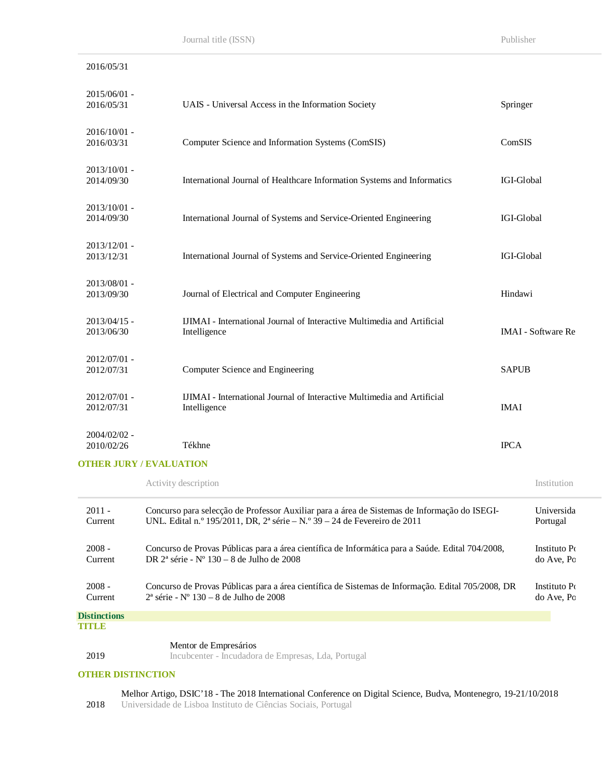do Ave, Po

| 2016/05/31                   |                                                                                                                                                                           |              |                            |  |
|------------------------------|---------------------------------------------------------------------------------------------------------------------------------------------------------------------------|--------------|----------------------------|--|
| 2015/06/01 -<br>2016/05/31   | UAIS - Universal Access in the Information Society                                                                                                                        | Springer     |                            |  |
| 2016/10/01 -<br>2016/03/31   | Computer Science and Information Systems (ComSIS)                                                                                                                         | ComSIS       |                            |  |
| 2013/10/01 -<br>2014/09/30   | International Journal of Healthcare Information Systems and Informatics                                                                                                   | IGI-Global   |                            |  |
| 2013/10/01 -<br>2014/09/30   | International Journal of Systems and Service-Oriented Engineering                                                                                                         | IGI-Global   |                            |  |
| $2013/12/01$ -<br>2013/12/31 | International Journal of Systems and Service-Oriented Engineering                                                                                                         |              | IGI-Global                 |  |
| 2013/08/01 -<br>2013/09/30   | Journal of Electrical and Computer Engineering                                                                                                                            | Hindawi      |                            |  |
| $2013/04/15$ -<br>2013/06/30 | IJIMAI - International Journal of Interactive Multimedia and Artificial<br>Intelligence                                                                                   |              | <b>IMAI</b> - Software Re  |  |
| 2012/07/01 -<br>2012/07/31   | Computer Science and Engineering                                                                                                                                          | <b>SAPUB</b> |                            |  |
| 2012/07/01 -<br>2012/07/31   | IJIMAI - International Journal of Interactive Multimedia and Artificial<br>Intelligence                                                                                   | <b>IMAI</b>  |                            |  |
| 2004/02/02 -<br>2010/02/26   | Tékhne                                                                                                                                                                    | <b>IPCA</b>  |                            |  |
|                              | <b>OTHER JURY / EVALUATION</b>                                                                                                                                            |              |                            |  |
|                              | Activity description                                                                                                                                                      |              | Institution                |  |
| $2011 -$<br>Current          | Concurso para selecção de Professor Auxiliar para a área de Sistemas de Informação do ISEGI-<br>UNL. Edital n.º 195/2011, DR, 2ª série – N.º 39 – 24 de Fevereiro de 2011 |              | Universida<br>Portugal     |  |
| $2008 -$<br>Current          | Concurso de Provas Públicas para a área científica de Informática para a Saúde. Edital 704/2008,<br>DR 2 <sup>ª</sup> série - Nº 130 – 8 de Julho de 2008                 |              | Instituto Po<br>do Ave, Po |  |
| $2008 -$                     | Concurso de Provas Públicas para a área científica de Sistemas de Informação. Edital 705/2008, DR                                                                         |              | Instituto Po               |  |

**Distinctions TITLE**

2019

Current

Mentor de Empresários

Incubcenter - Incudadora de Empresas, Lda, Portugal

 $2^{\textrm{a}}$ série -  $N^{\textrm{o}}$  130 – 8 de Julho de 2008

#### **OTHER DISTINCTION**

2018 Melhor Artigo, DSIC'18 - The 2018 International Conference on Digital Science, Budva, Montenegro, 19-21/10/2018

Universidade de Lisboa Instituto de Ciências Sociais, Portugal